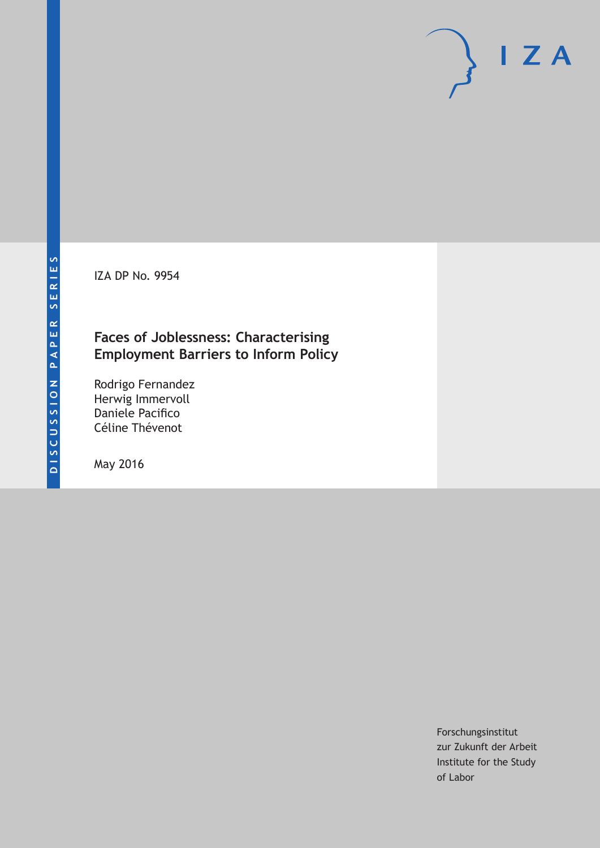IZA DP No. 9954

# **Faces of Joblessness: Characterising Employment Barriers to Inform Policy**

Rodrigo Fernandez Herwig Immervoll Daniele Pacifico Céline Thévenot

May 2016

Forschungsinstitut zur Zukunft der Arbeit Institute for the Study of Labor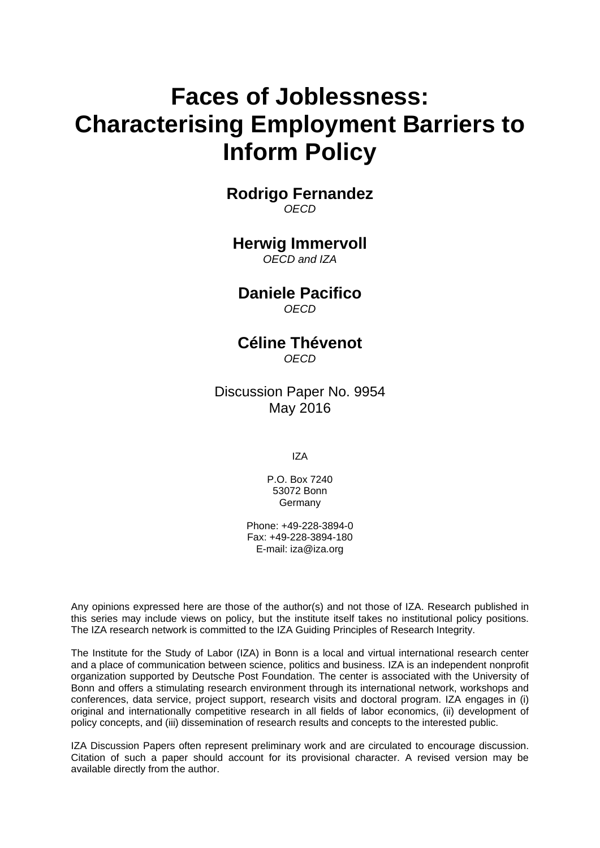# **Faces of Joblessness: Characterising Employment Barriers to Inform Policy**

**Rodrigo Fernandez**  *OECD* 

# **Herwig Immervoll**

*OECD and IZA* 

**Daniele Pacifico**  *OECD*

**Céline Thévenot**  *OECD* 

Discussion Paper No. 9954 May 2016

IZA

P.O. Box 7240 53072 Bonn Germany

Phone: +49-228-3894-0 Fax: +49-228-3894-180 E-mail: iza@iza.org

Any opinions expressed here are those of the author(s) and not those of IZA. Research published in this series may include views on policy, but the institute itself takes no institutional policy positions. The IZA research network is committed to the IZA Guiding Principles of Research Integrity.

The Institute for the Study of Labor (IZA) in Bonn is a local and virtual international research center and a place of communication between science, politics and business. IZA is an independent nonprofit organization supported by Deutsche Post Foundation. The center is associated with the University of Bonn and offers a stimulating research environment through its international network, workshops and conferences, data service, project support, research visits and doctoral program. IZA engages in (i) original and internationally competitive research in all fields of labor economics, (ii) development of policy concepts, and (iii) dissemination of research results and concepts to the interested public.

IZA Discussion Papers often represent preliminary work and are circulated to encourage discussion. Citation of such a paper should account for its provisional character. A revised version may be available directly from the author.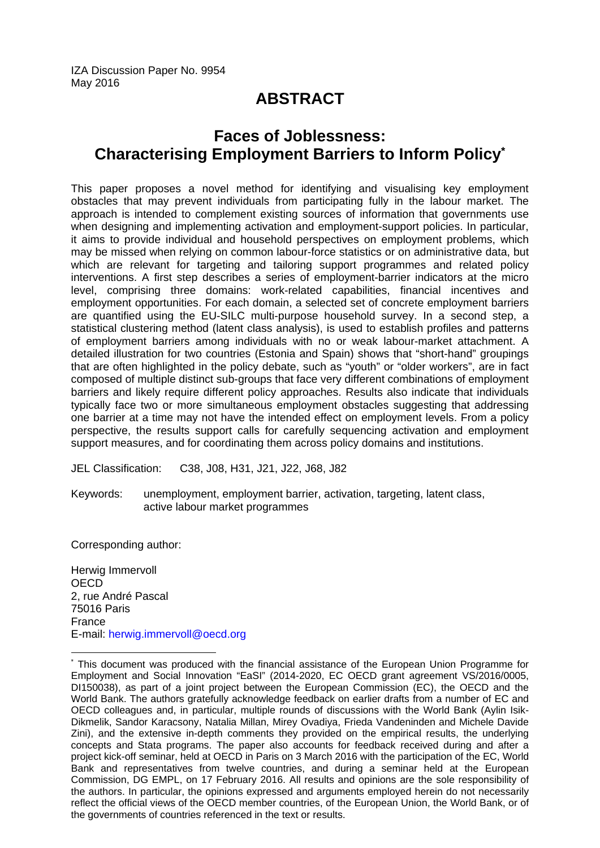IZA Discussion Paper No. 9954 May 2016

# **ABSTRACT**

# **Faces of Joblessness: Characterising Employment Barriers to Inform Policy\***

This paper proposes a novel method for identifying and visualising key employment obstacles that may prevent individuals from participating fully in the labour market. The approach is intended to complement existing sources of information that governments use when designing and implementing activation and employment-support policies. In particular, it aims to provide individual and household perspectives on employment problems, which may be missed when relying on common labour-force statistics or on administrative data, but which are relevant for targeting and tailoring support programmes and related policy interventions. A first step describes a series of employment-barrier indicators at the micro level, comprising three domains: work-related capabilities, financial incentives and employment opportunities. For each domain, a selected set of concrete employment barriers are quantified using the EU-SILC multi-purpose household survey. In a second step, a statistical clustering method (latent class analysis), is used to establish profiles and patterns of employment barriers among individuals with no or weak labour-market attachment. A detailed illustration for two countries (Estonia and Spain) shows that "short-hand" groupings that are often highlighted in the policy debate, such as "youth" or "older workers", are in fact composed of multiple distinct sub-groups that face very different combinations of employment barriers and likely require different policy approaches. Results also indicate that individuals typically face two or more simultaneous employment obstacles suggesting that addressing one barrier at a time may not have the intended effect on employment levels. From a policy perspective, the results support calls for carefully sequencing activation and employment support measures, and for coordinating them across policy domains and institutions.

JEL Classification: C38, J08, H31, J21, J22, J68, J82

Keywords: unemployment, employment barrier, activation, targeting, latent class, active labour market programmes

Corresponding author:

 $\overline{\phantom{a}}$ 

Herwig Immervoll **OECD** 2, rue André Pascal 75016 Paris France E-mail: herwig.immervoll@oecd.org

<sup>\*</sup> This document was produced with the financial assistance of the European Union Programme for Employment and Social Innovation "EaSI" (2014-2020, EC OECD grant agreement VS/2016/0005, DI150038), as part of a joint project between the European Commission (EC), the OECD and the World Bank. The authors gratefully acknowledge feedback on earlier drafts from a number of EC and OECD colleagues and, in particular, multiple rounds of discussions with the World Bank (Aylin Isik-Dikmelik, Sandor Karacsony, Natalia Millan, Mirey Ovadiya, Frieda Vandeninden and Michele Davide Zini), and the extensive in-depth comments they provided on the empirical results, the underlying concepts and Stata programs. The paper also accounts for feedback received during and after a project kick-off seminar, held at OECD in Paris on 3 March 2016 with the participation of the EC, World Bank and representatives from twelve countries, and during a seminar held at the European Commission, DG EMPL, on 17 February 2016. All results and opinions are the sole responsibility of the authors. In particular, the opinions expressed and arguments employed herein do not necessarily reflect the official views of the OECD member countries, of the European Union, the World Bank, or of the governments of countries referenced in the text or results.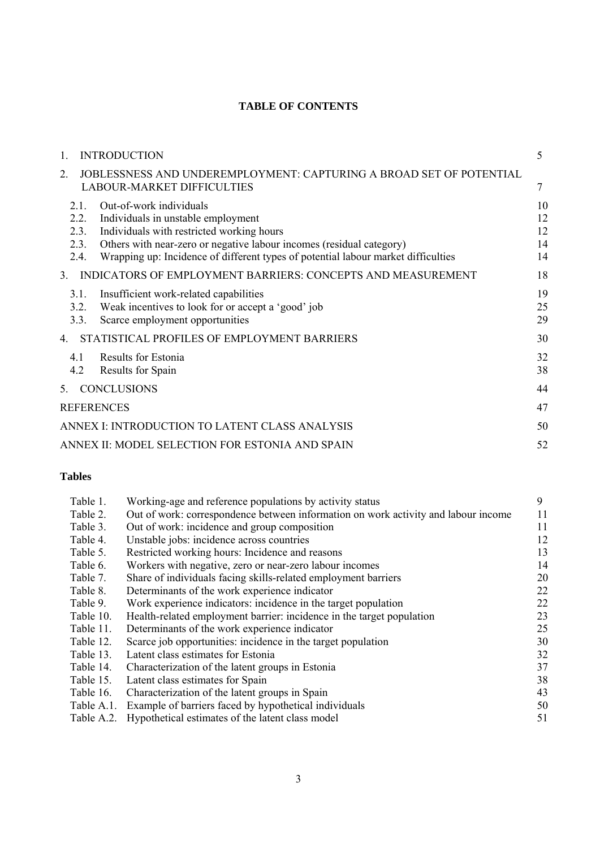# **TABLE OF CONTENTS**

| $\mathbf{1}$ .   |                                     | <b>INTRODUCTION</b>                                                                                                                                                                                                                                                     | 5                          |
|------------------|-------------------------------------|-------------------------------------------------------------------------------------------------------------------------------------------------------------------------------------------------------------------------------------------------------------------------|----------------------------|
| 2.               |                                     | JOBLESSNESS AND UNDEREMPLOYMENT: CAPTURING A BROAD SET OF POTENTIAL<br><b>LABOUR-MARKET DIFFICULTIES</b>                                                                                                                                                                |                            |
|                  | 2.1<br>2.2.<br>2.3.<br>2.3.<br>2.4. | Out-of-work individuals<br>Individuals in unstable employment<br>Individuals with restricted working hours<br>Others with near-zero or negative labour incomes (residual category)<br>Wrapping up: Incidence of different types of potential labour market difficulties | 10<br>12<br>12<br>14<br>14 |
| $3_{-}$          |                                     | INDICATORS OF EMPLOYMENT BARRIERS: CONCEPTS AND MEASUREMENT                                                                                                                                                                                                             | 18                         |
|                  | 3.1.<br>3.2.<br>3.3.                | Insufficient work-related capabilities<br>Weak incentives to look for or accept a 'good' job<br>Scarce employment opportunities                                                                                                                                         | 19<br>25<br>29             |
| $\overline{4}$ . |                                     | STATISTICAL PROFILES OF EMPLOYMENT BARRIERS                                                                                                                                                                                                                             | 30                         |
|                  | 4.1<br>4.2                          | Results for Estonia<br>Results for Spain                                                                                                                                                                                                                                | 32<br>38                   |
| 5.               |                                     | <b>CONCLUSIONS</b>                                                                                                                                                                                                                                                      | 44                         |
|                  |                                     | <b>REFERENCES</b>                                                                                                                                                                                                                                                       | 47                         |
|                  |                                     | ANNEX I: INTRODUCTION TO LATENT CLASS ANALYSIS                                                                                                                                                                                                                          | 50                         |
|                  |                                     | ANNEX II: MODEL SELECTION FOR ESTONIA AND SPAIN                                                                                                                                                                                                                         | 52                         |

# **Tables**

| Table 1.   | Working-age and reference populations by activity status                           | 9  |
|------------|------------------------------------------------------------------------------------|----|
| Table 2.   | Out of work: correspondence between information on work activity and labour income | 11 |
| Table 3.   | Out of work: incidence and group composition                                       | 11 |
| Table 4.   | Unstable jobs: incidence across countries                                          | 12 |
| Table 5.   | Restricted working hours: Incidence and reasons                                    | 13 |
| Table 6.   | Workers with negative, zero or near-zero labour incomes                            | 14 |
| Table 7.   | Share of individuals facing skills-related employment barriers                     | 20 |
| Table 8.   | Determinants of the work experience indicator                                      | 22 |
| Table 9.   | Work experience indicators: incidence in the target population                     | 22 |
| Table 10.  | Health-related employment barrier: incidence in the target population              | 23 |
| Table 11.  | Determinants of the work experience indicator                                      | 25 |
| Table 12.  | Scarce job opportunities: incidence in the target population                       | 30 |
| Table 13.  | Latent class estimates for Estonia                                                 | 32 |
| Table 14.  | Characterization of the latent groups in Estonia                                   | 37 |
| Table 15.  | Latent class estimates for Spain                                                   | 38 |
| Table 16.  | Characterization of the latent groups in Spain                                     | 43 |
| Table A.1. | Example of barriers faced by hypothetical individuals                              | 50 |
| Table A.2. | Hypothetical estimates of the latent class model                                   | 51 |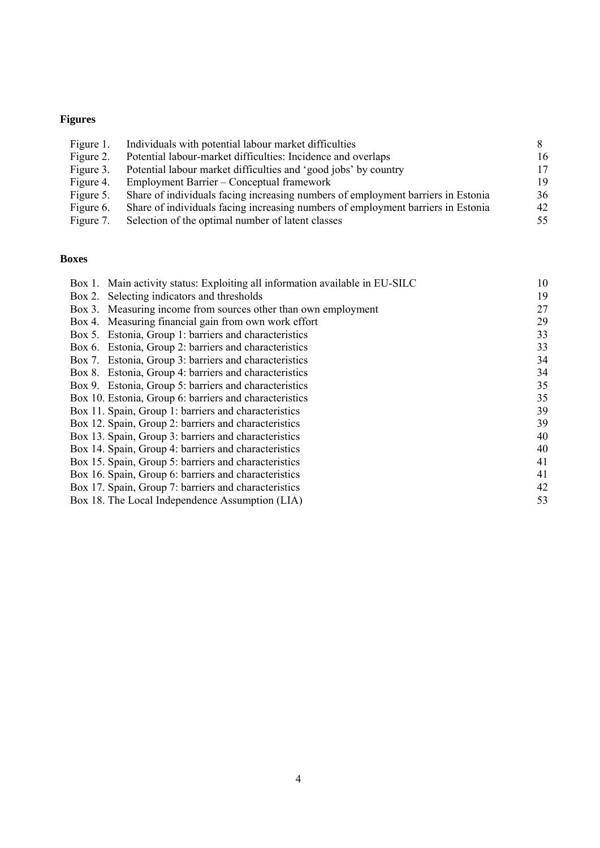# **Figures**

| Figure 1. | Individuals with potential labour market difficulties                            |    |
|-----------|----------------------------------------------------------------------------------|----|
| Figure 2. | Potential labour-market difficulties: Incidence and overlaps                     | 16 |
| Figure 3. | Potential labour market difficulties and 'good jobs' by country                  | 17 |
| Figure 4. | Employment Barrier – Conceptual framework                                        | 19 |
| Figure 5. | Share of individuals facing increasing numbers of employment barriers in Estonia | 36 |
| Figure 6. | Share of individuals facing increasing numbers of employment barriers in Estonia | 42 |
| Figure 7. | Selection of the optimal number of latent classes                                | 55 |

# **Boxes**

| Box 1. Main activity status: Exploiting all information available in EU-SILC | 10 |
|------------------------------------------------------------------------------|----|
| Selecting indicators and thresholds<br>Box 2.                                | 19 |
| Box 3. Measuring income from sources other than own employment               | 27 |
| Box 4. Measuring financial gain from own work effort                         | 29 |
| Box 5. Estonia, Group 1: barriers and characteristics                        | 33 |
| Box 6. Estonia, Group 2: barriers and characteristics                        | 33 |
| Box 7. Estonia, Group 3: barriers and characteristics                        | 34 |
| Box 8. Estonia, Group 4: barriers and characteristics                        | 34 |
| Box 9. Estonia, Group 5: barriers and characteristics                        | 35 |
| Box 10. Estonia, Group 6: barriers and characteristics                       | 35 |
| Box 11. Spain, Group 1: barriers and characteristics                         | 39 |
| Box 12. Spain, Group 2: barriers and characteristics                         | 39 |
| Box 13. Spain, Group 3: barriers and characteristics                         | 40 |
| Box 14. Spain, Group 4: barriers and characteristics                         | 40 |
| Box 15. Spain, Group 5: barriers and characteristics                         | 41 |
| Box 16. Spain, Group 6: barriers and characteristics                         | 41 |
| Box 17. Spain, Group 7: barriers and characteristics                         | 42 |
| Box 18. The Local Independence Assumption (LIA)                              | 53 |
|                                                                              |    |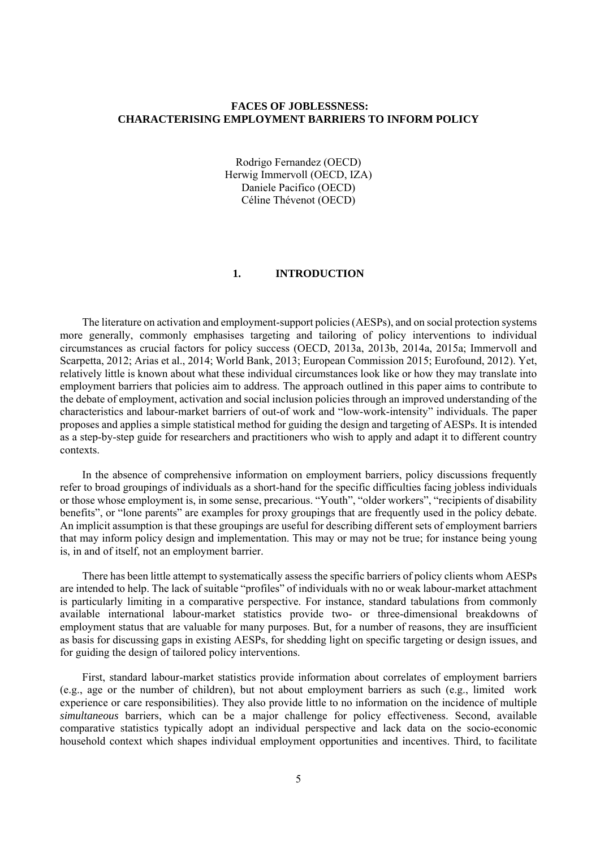# **FACES OF JOBLESSNESS: CHARACTERISING EMPLOYMENT BARRIERS TO INFORM POLICY**

Rodrigo Fernandez (OECD) Herwig Immervoll (OECD, IZA) Daniele Pacifico (OECD) Céline Thévenot (OECD)

# **1. INTRODUCTION**

The literature on activation and employment-support policies (AESPs), and on social protection systems more generally, commonly emphasises targeting and tailoring of policy interventions to individual circumstances as crucial factors for policy success (OECD, 2013a, 2013b, 2014a, 2015a; Immervoll and Scarpetta, 2012; Arias et al., 2014; World Bank, 2013; European Commission 2015; Eurofound, 2012). Yet, relatively little is known about what these individual circumstances look like or how they may translate into employment barriers that policies aim to address. The approach outlined in this paper aims to contribute to the debate of employment, activation and social inclusion policies through an improved understanding of the characteristics and labour-market barriers of out-of work and "low-work-intensity" individuals. The paper proposes and applies a simple statistical method for guiding the design and targeting of AESPs. It is intended as a step-by-step guide for researchers and practitioners who wish to apply and adapt it to different country contexts.

In the absence of comprehensive information on employment barriers, policy discussions frequently refer to broad groupings of individuals as a short-hand for the specific difficulties facing jobless individuals or those whose employment is, in some sense, precarious. "Youth", "older workers", "recipients of disability benefits", or "lone parents" are examples for proxy groupings that are frequently used in the policy debate. An implicit assumption is that these groupings are useful for describing different sets of employment barriers that may inform policy design and implementation. This may or may not be true; for instance being young is, in and of itself, not an employment barrier.

There has been little attempt to systematically assess the specific barriers of policy clients whom AESPs are intended to help. The lack of suitable "profiles" of individuals with no or weak labour-market attachment is particularly limiting in a comparative perspective. For instance, standard tabulations from commonly available international labour-market statistics provide two- or three-dimensional breakdowns of employment status that are valuable for many purposes. But, for a number of reasons, they are insufficient as basis for discussing gaps in existing AESPs, for shedding light on specific targeting or design issues, and for guiding the design of tailored policy interventions.

First, standard labour-market statistics provide information about correlates of employment barriers (e.g., age or the number of children), but not about employment barriers as such (e.g., limited work experience or care responsibilities). They also provide little to no information on the incidence of multiple *simultaneous* barriers, which can be a major challenge for policy effectiveness. Second, available comparative statistics typically adopt an individual perspective and lack data on the socio-economic household context which shapes individual employment opportunities and incentives. Third, to facilitate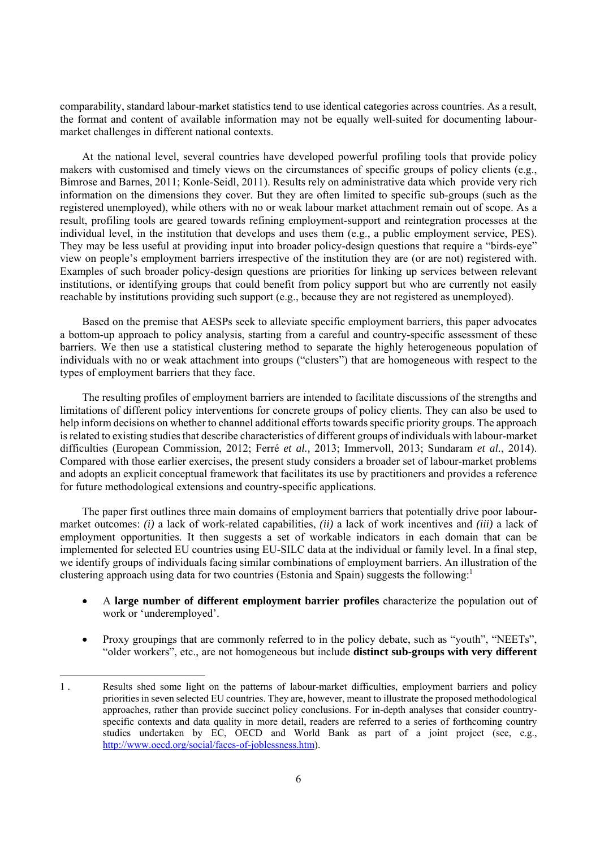comparability, standard labour-market statistics tend to use identical categories across countries. As a result, the format and content of available information may not be equally well-suited for documenting labourmarket challenges in different national contexts.

At the national level, several countries have developed powerful profiling tools that provide policy makers with customised and timely views on the circumstances of specific groups of policy clients (e.g., Bimrose and Barnes, 2011; Konle-Seidl, 2011). Results rely on administrative data which provide very rich information on the dimensions they cover. But they are often limited to specific sub-groups (such as the registered unemployed), while others with no or weak labour market attachment remain out of scope. As a result, profiling tools are geared towards refining employment-support and reintegration processes at the individual level, in the institution that develops and uses them (e.g., a public employment service, PES). They may be less useful at providing input into broader policy-design questions that require a "birds-eye" view on people's employment barriers irrespective of the institution they are (or are not) registered with. Examples of such broader policy-design questions are priorities for linking up services between relevant institutions, or identifying groups that could benefit from policy support but who are currently not easily reachable by institutions providing such support (e.g., because they are not registered as unemployed).

Based on the premise that AESPs seek to alleviate specific employment barriers, this paper advocates a bottom-up approach to policy analysis, starting from a careful and country-specific assessment of these barriers. We then use a statistical clustering method to separate the highly heterogeneous population of individuals with no or weak attachment into groups ("clusters") that are homogeneous with respect to the types of employment barriers that they face.

The resulting profiles of employment barriers are intended to facilitate discussions of the strengths and limitations of different policy interventions for concrete groups of policy clients. They can also be used to help inform decisions on whether to channel additional efforts towards specific priority groups. The approach is related to existing studies that describe characteristics of different groups of individuals with labour-market difficulties (European Commission, 2012; Ferré *et al.,* 2013; Immervoll, 2013; Sundaram *et al.*, 2014). Compared with those earlier exercises, the present study considers a broader set of labour-market problems and adopts an explicit conceptual framework that facilitates its use by practitioners and provides a reference for future methodological extensions and country-specific applications.

The paper first outlines three main domains of employment barriers that potentially drive poor labourmarket outcomes: *(i)* a lack of work-related capabilities, *(ii)* a lack of work incentives and *(iii)* a lack of employment opportunities. It then suggests a set of workable indicators in each domain that can be implemented for selected EU countries using EU-SILC data at the individual or family level. In a final step, we identify groups of individuals facing similar combinations of employment barriers. An illustration of the clustering approach using data for two countries (Estonia and Spain) suggests the following:<sup>1</sup>

- A **large number of different employment barrier profiles** characterize the population out of work or 'underemployed'.
- Proxy groupings that are commonly referred to in the policy debate, such as "youth", "NEETs", "older workers", etc., are not homogeneous but include **distinct sub-groups with very different**

<sup>1 .</sup> Results shed some light on the patterns of labour-market difficulties, employment barriers and policy priorities in seven selected EU countries. They are, however, meant to illustrate the proposed methodological approaches, rather than provide succinct policy conclusions. For in-depth analyses that consider countryspecific contexts and data quality in more detail, readers are referred to a series of forthcoming country studies undertaken by EC, OECD and World Bank as part of a joint project (see, e.g., http://www.oecd.org/social/faces-of-joblessness.htm).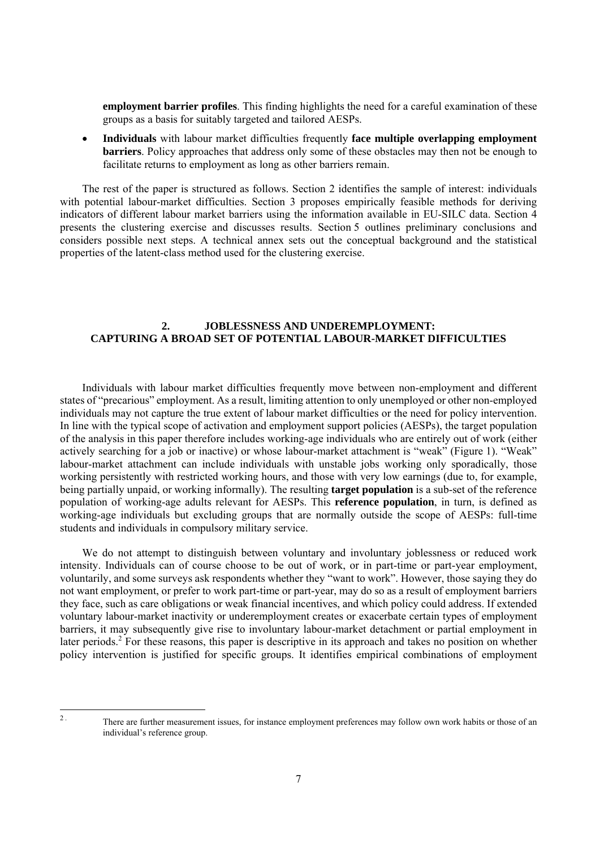**employment barrier profiles**. This finding highlights the need for a careful examination of these groups as a basis for suitably targeted and tailored AESPs.

 **Individuals** with labour market difficulties frequently **face multiple overlapping employment barriers**. Policy approaches that address only some of these obstacles may then not be enough to facilitate returns to employment as long as other barriers remain.

The rest of the paper is structured as follows. Section 2 identifies the sample of interest: individuals with potential labour-market difficulties. Section 3 proposes empirically feasible methods for deriving indicators of different labour market barriers using the information available in EU-SILC data. Section 4 presents the clustering exercise and discusses results. Section 5 outlines preliminary conclusions and considers possible next steps. A technical annex sets out the conceptual background and the statistical properties of the latent-class method used for the clustering exercise.

# **2. JOBLESSNESS AND UNDEREMPLOYMENT: CAPTURING A BROAD SET OF POTENTIAL LABOUR-MARKET DIFFICULTIES**

Individuals with labour market difficulties frequently move between non-employment and different states of "precarious" employment. As a result, limiting attention to only unemployed or other non-employed individuals may not capture the true extent of labour market difficulties or the need for policy intervention. In line with the typical scope of activation and employment support policies (AESPs), the target population of the analysis in this paper therefore includes working-age individuals who are entirely out of work (either actively searching for a job or inactive) or whose labour-market attachment is "weak" (Figure 1). "Weak" labour-market attachment can include individuals with unstable jobs working only sporadically, those working persistently with restricted working hours, and those with very low earnings (due to, for example, being partially unpaid, or working informally). The resulting **target population** is a sub-set of the reference population of working-age adults relevant for AESPs. This **reference population**, in turn, is defined as working-age individuals but excluding groups that are normally outside the scope of AESPs: full-time students and individuals in compulsory military service.

We do not attempt to distinguish between voluntary and involuntary joblessness or reduced work intensity. Individuals can of course choose to be out of work, or in part-time or part-year employment, voluntarily, and some surveys ask respondents whether they "want to work". However, those saying they do not want employment, or prefer to work part-time or part-year, may do so as a result of employment barriers they face, such as care obligations or weak financial incentives, and which policy could address. If extended voluntary labour-market inactivity or underemployment creates or exacerbate certain types of employment barriers, it may subsequently give rise to involuntary labour-market detachment or partial employment in later periods.<sup>2</sup> For these reasons, this paper is descriptive in its approach and takes no position on whether policy intervention is justified for specific groups. It identifies empirical combinations of employment

 $\overline{2}$ .

There are further measurement issues, for instance employment preferences may follow own work habits or those of an individual's reference group.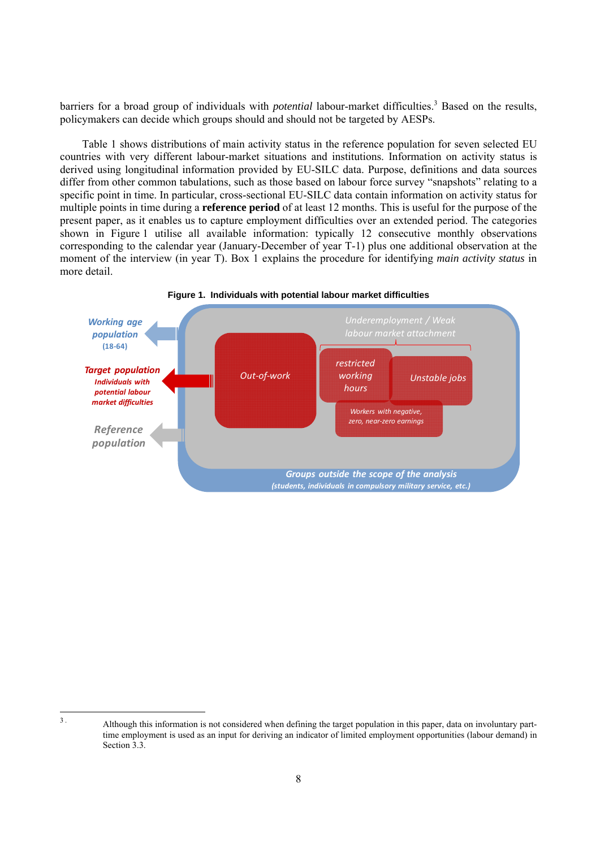barriers for a broad group of individuals with *potential* labour-market difficulties.<sup>3</sup> Based on the results, policymakers can decide which groups should and should not be targeted by AESPs.

Table 1 shows distributions of main activity status in the reference population for seven selected EU countries with very different labour-market situations and institutions. Information on activity status is derived using longitudinal information provided by EU-SILC data. Purpose, definitions and data sources differ from other common tabulations, such as those based on labour force survey "snapshots" relating to a specific point in time. In particular, cross-sectional EU-SILC data contain information on activity status for multiple points in time during a **reference period** of at least 12 months. This is useful for the purpose of the present paper, as it enables us to capture employment difficulties over an extended period. The categories shown in Figure 1 utilise all available information: typically 12 consecutive monthly observations corresponding to the calendar year (January-December of year T-1) plus one additional observation at the moment of the interview (in year T). Box 1 explains the procedure for identifying *main activity status* in more detail.



 $\overline{3}$ 

<sup>3 .</sup> Although this information is not considered when defining the target population in this paper, data on involuntary parttime employment is used as an input for deriving an indicator of limited employment opportunities (labour demand) in Section 3.3.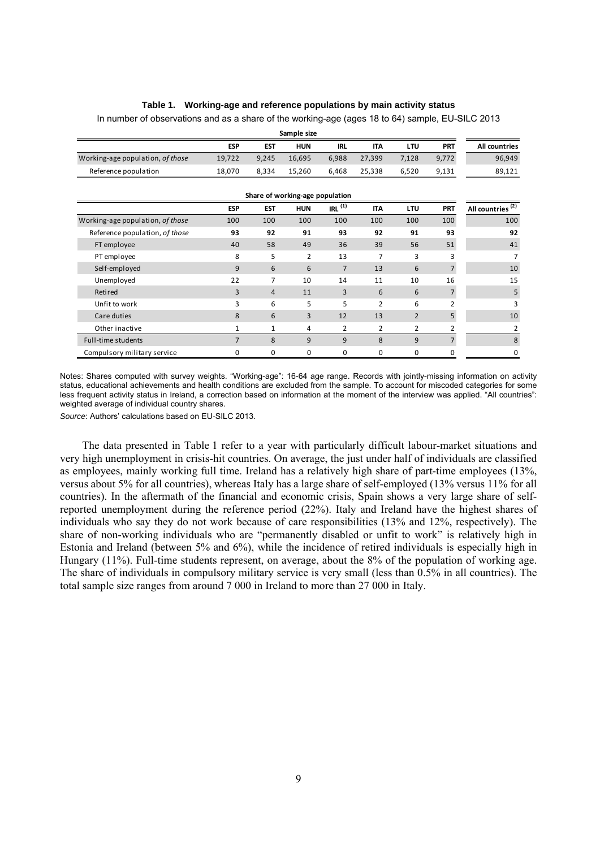# **Table 1. Working-age and reference populations by main activity status**

|                                  |                |              | Sample size                     |            |                |                |                |                              |
|----------------------------------|----------------|--------------|---------------------------------|------------|----------------|----------------|----------------|------------------------------|
|                                  | <b>ESP</b>     | <b>EST</b>   | <b>HUN</b>                      | <b>IRL</b> | <b>ITA</b>     | LTU            | <b>PRT</b>     | All countries                |
| Working-age population, of those | 19,722         | 9,245        | 16,695                          | 6,988      | 27,399         | 7,128          | 9,772          | 96,949                       |
| Reference population             | 18,070         | 8,334        | 15,260                          | 6,468      | 25,338         | 6,520          | 9,131          | 89,121                       |
|                                  |                |              | Share of working-age population |            |                |                |                |                              |
|                                  | <b>ESP</b>     | <b>EST</b>   | <b>HUN</b>                      | IRL $(1)$  | <b>ITA</b>     | <b>LTU</b>     | <b>PRT</b>     | All countries <sup>(2)</sup> |
| Working-age population, of those | 100            | 100          | 100                             | 100        | 100            | 100            | 100            | 100                          |
| Reference population, of those   | 93             | 92           | 91                              | 93         | 92             | 91             | 93             | 92                           |
| FT employee                      | 40             | 58           | 49                              | 36         | 39             | 56             | 51             | 41                           |
| PT employee                      | 8              | 5            | 2                               | 13         | 7              | 3              | 3              | 7                            |
| Self-employed                    | 9              | 6            | 6                               | 7          | 13             | 6              | $\overline{7}$ | 10                           |
| Unemployed                       | 22             | 7            | 10                              | 14         | 11             | 10             | 16             | 15                           |
| Retired                          | 3              | 4            | 11                              | 3          | 6              | 6              | $\overline{7}$ | 5                            |
| Unfit to work                    | 3              | 6            | 5                               | 5          | 2              | 6              | 2              | 3                            |
| Care duties                      | 8              | 6            | 3                               | 12         | 13             | $\overline{2}$ | 5              | 10                           |
| Other inactive                   | 1              | $\mathbf{1}$ | 4                               | 2          | $\overline{2}$ | $\overline{2}$ | 2              | 2                            |
| Full-time students               | $\overline{7}$ | 8            | 9                               | 9          | 8              | 9              | $\overline{7}$ | 8                            |
| Compulsory military service      | $\Omega$       | $\Omega$     | 0                               | 0          | 0              | $\Omega$       | 0              | 0                            |

In number of observations and as a share of the working-age (ages 18 to 64) sample, EU-SILC 2013

Notes: Shares computed with survey weights. "Working-age": 16-64 age range. Records with jointly-missing information on activity status, educational achievements and health conditions are excluded from the sample. To account for miscoded categories for some less frequent activity status in Ireland, a correction based on information at the moment of the interview was applied. "All countries": weighted average of individual country shares.

*Source*: Authors' calculations based on EU-SILC 2013.

The data presented in Table 1 refer to a year with particularly difficult labour-market situations and very high unemployment in crisis-hit countries. On average, the just under half of individuals are classified as employees, mainly working full time. Ireland has a relatively high share of part-time employees (13%, versus about 5% for all countries), whereas Italy has a large share of self-employed (13% versus 11% for all countries). In the aftermath of the financial and economic crisis, Spain shows a very large share of selfreported unemployment during the reference period (22%). Italy and Ireland have the highest shares of individuals who say they do not work because of care responsibilities (13% and 12%, respectively). The share of non-working individuals who are "permanently disabled or unfit to work" is relatively high in Estonia and Ireland (between 5% and 6%), while the incidence of retired individuals is especially high in Hungary (11%). Full-time students represent, on average, about the 8% of the population of working age. The share of individuals in compulsory military service is very small (less than 0.5% in all countries). The total sample size ranges from around 7 000 in Ireland to more than 27 000 in Italy.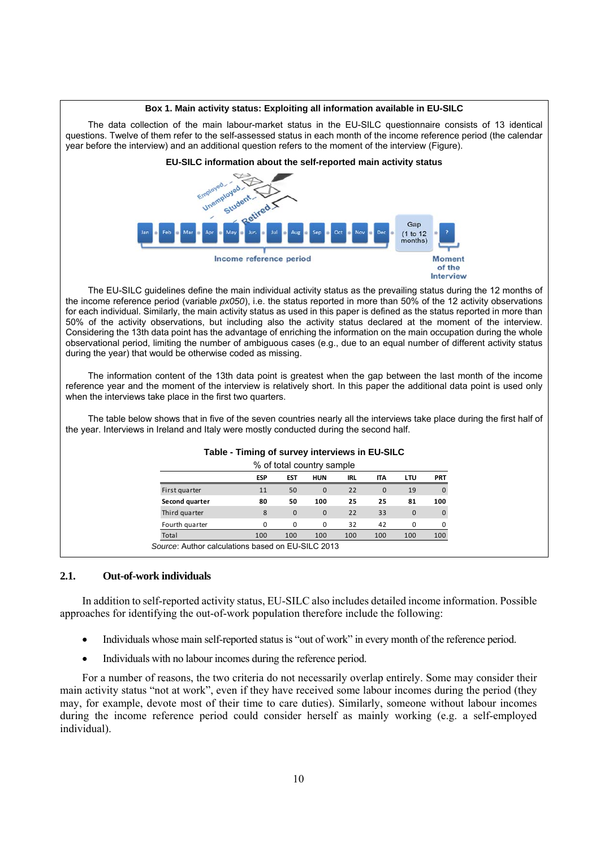

The EU-SILC guidelines define the main individual activity status as the prevailing status during the 12 months of the income reference period (variable *px050*), i.e. the status reported in more than 50% of the 12 activity observations for each individual. Similarly, the main activity status as used in this paper is defined as the status reported in more than 50% of the activity observations, but including also the activity status declared at the moment of the interview. Considering the 13th data point has the advantage of enriching the information on the main occupation during the whole observational period, limiting the number of ambiguous cases (e.g., due to an equal number of different activity status during the year) that would be otherwise coded as missing.

The information content of the 13th data point is greatest when the gap between the last month of the income reference year and the moment of the interview is relatively short. In this paper the additional data point is used only when the interviews take place in the first two quarters.

The table below shows that in five of the seven countries nearly all the interviews take place during the first half of the year. Interviews in Ireland and Italy were mostly conducted during the second half.

|                                                   | % of total country sample |              |            |     |            |             |            |
|---------------------------------------------------|---------------------------|--------------|------------|-----|------------|-------------|------------|
|                                                   | <b>ESP</b>                | <b>EST</b>   | <b>HUN</b> | IRL | <b>ITA</b> | LTU         | <b>PRT</b> |
| First quarter                                     | 11                        | 50           | $\Omega$   | 22  | $\Omega$   | 19          | 0          |
| Second quarter                                    | 80                        | 50           | 100        | 25  | 25         | 81          | 100        |
| Third quarter                                     | 8                         | $\mathbf{0}$ | $\Omega$   | 22  | 33         | $\mathbf 0$ | 0          |
| Fourth quarter                                    | $\Omega$                  | $\Omega$     | $\Omega$   | 32  | 42         | $\Omega$    |            |
| Total                                             | 100                       | 100          | 100        | 100 | 100        | 100         | 100        |
| Source: Author calculations based on EU-SILC 2013 |                           |              |            |     |            |             |            |

#### **Table - Timing of survey interviews in EU-SILC**

#### **2.1. Out-of-work individuals**

In addition to self-reported activity status, EU-SILC also includes detailed income information. Possible approaches for identifying the out-of-work population therefore include the following:

- Individuals whose main self-reported status is "out of work" in every month of the reference period.
- Individuals with no labour incomes during the reference period.

For a number of reasons, the two criteria do not necessarily overlap entirely. Some may consider their main activity status "not at work", even if they have received some labour incomes during the period (they may, for example, devote most of their time to care duties). Similarly, someone without labour incomes during the income reference period could consider herself as mainly working (e.g. a self-employed individual).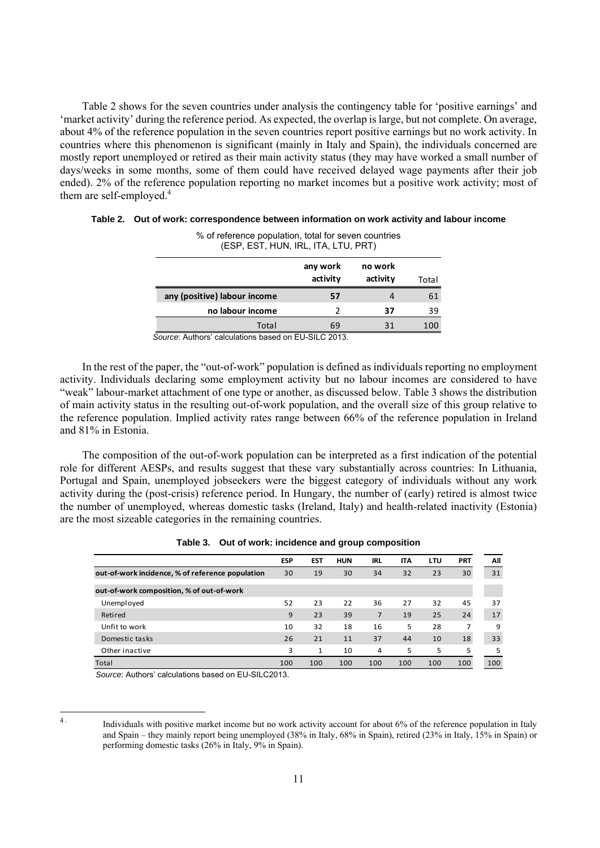Table 2 shows for the seven countries under analysis the contingency table for 'positive earnings' and 'market activity' during the reference period. As expected, the overlap is large, but not complete. On average, about 4% of the reference population in the seven countries report positive earnings but no work activity. In countries where this phenomenon is significant (mainly in Italy and Spain), the individuals concerned are mostly report unemployed or retired as their main activity status (they may have worked a small number of days/weeks in some months, some of them could have received delayed wage payments after their job ended). 2% of the reference population reporting no market incomes but a positive work activity; most of them are self-employed.<sup>4</sup>

| (ESP, EST, HUN, IRL, ITA, LTU, PRT) |                      |                     |       |
|-------------------------------------|----------------------|---------------------|-------|
|                                     | any work<br>activity | no work<br>activity | Total |
| any (positive) labour income        | 57                   | 4                   | 61    |
| no labour income                    |                      | 37                  | 39    |
| Total                               | 69                   | 31                  | 100   |

| Table 2. Out of work: correspondence between information on work activity and labour income |
|---------------------------------------------------------------------------------------------|
| % of reference population, total for seven countries                                        |

*Source*: Authors' calculations based on EU-SILC 2013.

In the rest of the paper, the "out-of-work" population is defined as individuals reporting no employment activity. Individuals declaring some employment activity but no labour incomes are considered to have "weak" labour-market attachment of one type or another, as discussed below. Table 3 shows the distribution of main activity status in the resulting out-of-work population, and the overall size of this group relative to the reference population. Implied activity rates range between 66% of the reference population in Ireland and 81% in Estonia.

The composition of the out-of-work population can be interpreted as a first indication of the potential role for different AESPs, and results suggest that these vary substantially across countries: In Lithuania, Portugal and Spain, unemployed jobseekers were the biggest category of individuals without any work activity during the (post-crisis) reference period. In Hungary, the number of (early) retired is almost twice the number of unemployed, whereas domestic tasks (Ireland, Italy) and health-related inactivity (Estonia) are the most sizeable categories in the remaining countries.

|                                                  | <b>ESP</b> | <b>EST</b>   | <b>HUN</b> | <b>IRL</b> | <b>ITA</b> | LTU | <b>PRT</b> | All |
|--------------------------------------------------|------------|--------------|------------|------------|------------|-----|------------|-----|
| out-of-work incidence, % of reference population | 30         | 19           | 30         | 34         | 32         | 23  | 30         | 31  |
| out-of-work composition, % of out-of-work        |            |              |            |            |            |     |            |     |
| Unemployed                                       | 52         | 23           | 22         | 36         | 27         | 32  | 45         | 37  |
| <b>Retired</b>                                   | 9          | 23           | 39         | 7          | 19         | 25  | 24         | 17  |
| Unfit to work                                    | 10         | 32           | 18         | 16         | 5          | 28  |            | 9   |
| Domestic tasks                                   | 26         | 21           | 11         | 37         | 44         | 10  | 18         | 33  |
| Other inactive                                   | 3          | $\mathbf{1}$ | 10         | 4          | 5          | 5   | 5          | 5   |
| Total                                            | 100        | 100          | 100        | 100        | 100        | 100 | 100        | 100 |

| Table 3. Out of work: incidence and group composition |  |
|-------------------------------------------------------|--|
|-------------------------------------------------------|--|

*Source*: Authors' calculations based on EU-SILC2013.

 $\overline{A}$ 

Individuals with positive market income but no work activity account for about 6% of the reference population in Italy and Spain – they mainly report being unemployed (38% in Italy, 68% in Spain), retired (23% in Italy, 15% in Spain) or performing domestic tasks (26% in Italy, 9% in Spain).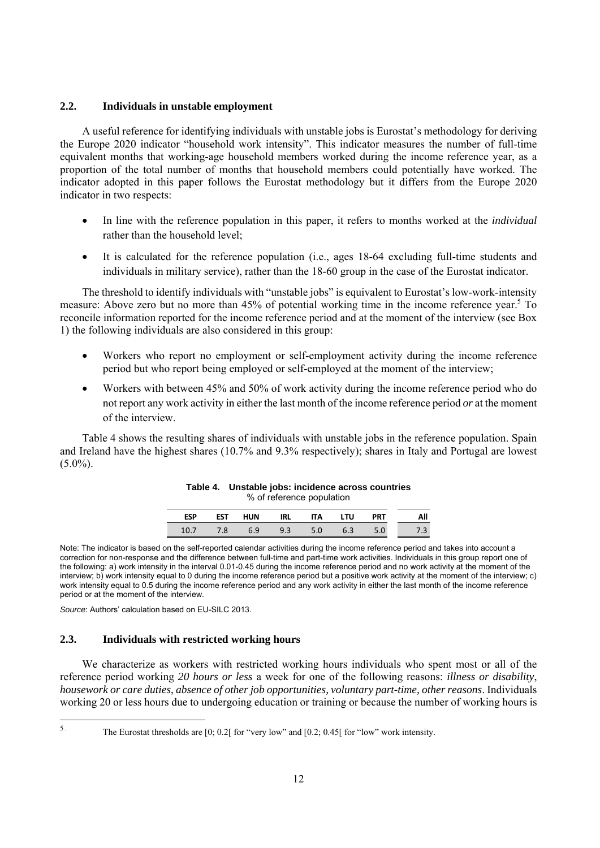# **2.2. Individuals in unstable employment**

A useful reference for identifying individuals with unstable jobs is Eurostat's methodology for deriving the Europe 2020 indicator "household work intensity". This indicator measures the number of full-time equivalent months that working-age household members worked during the income reference year, as a proportion of the total number of months that household members could potentially have worked. The indicator adopted in this paper follows the Eurostat methodology but it differs from the Europe 2020 indicator in two respects:

- In line with the reference population in this paper, it refers to months worked at the *individual* rather than the household level;
- It is calculated for the reference population (i.e., ages 18-64 excluding full-time students and individuals in military service), rather than the 18-60 group in the case of the Eurostat indicator.

The threshold to identify individuals with "unstable jobs" is equivalent to Eurostat's low-work-intensity measure: Above zero but no more than 45% of potential working time in the income reference year.<sup>5</sup> To reconcile information reported for the income reference period and at the moment of the interview (see Box 1) the following individuals are also considered in this group:

- Workers who report no employment or self-employment activity during the income reference period but who report being employed or self-employed at the moment of the interview;
- Workers with between 45% and 50% of work activity during the income reference period who do not report any work activity in either the last month of the income reference period *or* at the moment of the interview.

Table 4 shows the resulting shares of individuals with unstable jobs in the reference population. Spain and Ireland have the highest shares (10.7% and 9.3% respectively); shares in Italy and Portugal are lowest  $(5.0\%)$ .

**Table 4. Unstable jobs: incidence across countries** 

|            |            |     | % of reference population |     |     |            |     |
|------------|------------|-----|---------------------------|-----|-----|------------|-----|
| <b>ESP</b> | <b>EST</b> | HUN | IRL                       | IΤA | LTU | <b>PRT</b> | Αll |
| 10.7       | 7.8        | 6.9 | 9.3                       | 5.0 | 6.3 |            |     |

Note: The indicator is based on the self-reported calendar activities during the income reference period and takes into account a correction for non-response and the difference between full-time and part-time work activities. Individuals in this group report one of the following: a) work intensity in the interval 0.01-0.45 during the income reference period and no work activity at the moment of the interview; b) work intensity equal to 0 during the income reference period but a positive work activity at the moment of the interview; c) work intensity equal to 0.5 during the income reference period and any work activity in either the last month of the income reference period or at the moment of the interview.

*Source*: Authors' calculation based on EU-SILC 2013.

#### **2.3. Individuals with restricted working hours**

We characterize as workers with restricted working hours individuals who spent most or all of the reference period working *20 hours or less* a week for one of the following reasons: *illness or disability*, *housework or care duties*, *absence of other job opportunities, voluntary part-time, other reasons*. Individuals working 20 or less hours due to undergoing education or training or because the number of working hours is

 $5.$ 

The Eurostat thresholds are [0; 0.2] for "very low" and [0.2; 0.45] for "low" work intensity.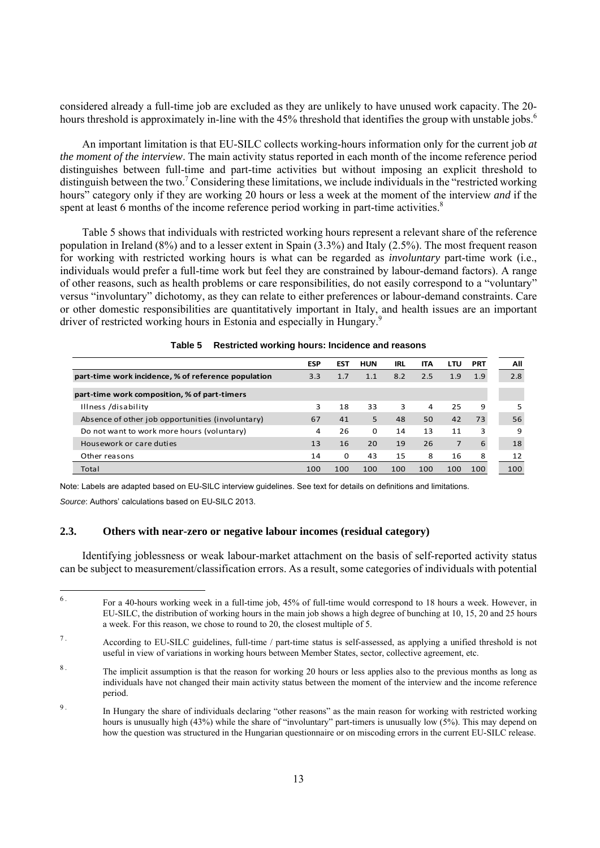considered already a full-time job are excluded as they are unlikely to have unused work capacity. The 20 hours threshold is approximately in-line with the 45% threshold that identifies the group with unstable jobs.<sup>6</sup>

An important limitation is that EU-SILC collects working-hours information only for the current job *at the moment of the interview*. The main activity status reported in each month of the income reference period distinguishes between full-time and part-time activities but without imposing an explicit threshold to distinguish between the two.<sup>7</sup> Considering these limitations, we include individuals in the "restricted working hours" category only if they are working 20 hours or less a week at the moment of the interview *and* if the spent at least 6 months of the income reference period working in part-time activities.<sup>8</sup>

Table 5 shows that individuals with restricted working hours represent a relevant share of the reference population in Ireland (8%) and to a lesser extent in Spain (3.3%) and Italy (2.5%). The most frequent reason for working with restricted working hours is what can be regarded as *involuntary* part-time work (i.e., individuals would prefer a full-time work but feel they are constrained by labour-demand factors). A range of other reasons, such as health problems or care responsibilities, do not easily correspond to a "voluntary" versus "involuntary" dichotomy, as they can relate to either preferences or labour-demand constraints. Care or other domestic responsibilities are quantitatively important in Italy, and health issues are an important driver of restricted working hours in Estonia and especially in Hungary.<sup>9</sup>

|                                                     | <b>ESP</b> | <b>EST</b> | <b>HUN</b> | <b>IRL</b> | IΤΑ | LTU | <b>PRT</b> |
|-----------------------------------------------------|------------|------------|------------|------------|-----|-----|------------|
| part-time work incidence, % of reference population | 3.3        | 1.7        | 1.1        | 8.2        | 2.5 | 1.9 | 1.9        |
| part-time work composition, % of part-timers        |            |            |            |            |     |     |            |
| Illness /disability                                 | 3          | 18         | 33         | 3          | 4   | 25  | 9          |
| Absence of other job opportunities (involuntary)    | 67         | 41         | 5          | 48         | 50  | 42  | 73         |
| Do not want to work more hours (voluntary)          | 4          | 26         | $\Omega$   | 14         | 13  | 11  | 3          |
| Housework or care duties                            | 13         | 16         | 20         | 19         | 26  | 7   | 6          |
| Other reasons                                       | 14         | $\Omega$   | 43         | 15         | 8   | 16  | 8          |
| Total                                               | 100        | 100        | 100        | 100        | 100 | 100 | 100        |

**Table 5 Restricted working hours: Incidence and reasons** 

Note: Labels are adapted based on EU-SILC interview guidelines. See text for details on definitions and limitations.

*Source*: Authors' calculations based on EU-SILC 2013.

### **2.3. Others with near-zero or negative labour incomes (residual category)**

Identifying joblessness or weak labour-market attachment on the basis of self-reported activity status can be subject to measurement/classification errors. As a result, some categories of individuals with potential

 $6.$ 6 . For a 40-hours working week in a full-time job, 45% of full-time would correspond to 18 hours a week. However, in EU-SILC, the distribution of working hours in the main job shows a high degree of bunching at 10, 15, 20 and 25 hours a week. For this reason, we chose to round to 20, the closest multiple of 5.

<sup>7 .</sup> According to EU-SILC guidelines, full-time / part-time status is self-assessed, as applying a unified threshold is not useful in view of variations in working hours between Member States, sector, collective agreement, etc.

<sup>&</sup>lt;sup>8</sup>. The implicit assumption is that the reason for working 20 hours or less applies also to the previous months as long as individuals have not changed their main activity status between the moment of the interview and the income reference period.

<sup>&</sup>lt;sup>9</sup>. In Hungary the share of individuals declaring "other reasons" as the main reason for working with restricted working hours is unusually high (43%) while the share of "involuntary" part-timers is unusually low (5%). This may depend on how the question was structured in the Hungarian questionnaire or on miscoding errors in the current EU-SILC release.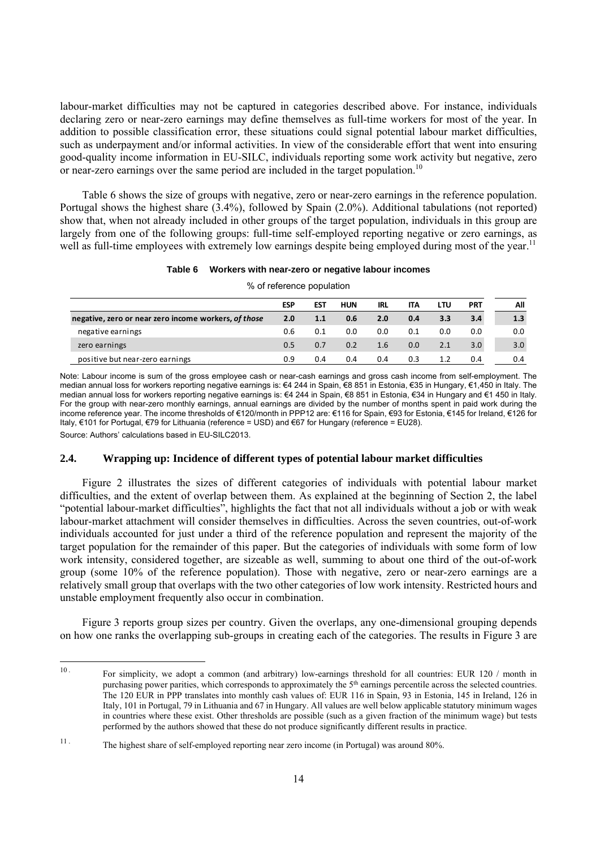labour-market difficulties may not be captured in categories described above. For instance, individuals declaring zero or near-zero earnings may define themselves as full-time workers for most of the year. In addition to possible classification error, these situations could signal potential labour market difficulties, such as underpayment and/or informal activities. In view of the considerable effort that went into ensuring good-quality income information in EU-SILC, individuals reporting some work activity but negative, zero or near-zero earnings over the same period are included in the target population.10

Table 6 shows the size of groups with negative, zero or near-zero earnings in the reference population. Portugal shows the highest share (3.4%), followed by Spain (2.0%). Additional tabulations (not reported) show that, when not already included in other groups of the target population, individuals in this group are largely from one of the following groups: full-time self-employed reporting negative or zero earnings, as well as full-time employees with extremely low earnings despite being employed during most of the year.<sup>11</sup>

#### **Table 6 Workers with near-zero or negative labour incomes**

% of reference population

|                                                      | <b>ESP</b> | <b>EST</b> | <b>HUN</b> | <b>IRL</b> | <b>ITA</b> | LTU | PRT | All |
|------------------------------------------------------|------------|------------|------------|------------|------------|-----|-----|-----|
| negative, zero or near zero income workers, of those | 2.0        | 1.1        | 0.6        | 2.0        | 0.4        | 3.3 | 3.4 | 1.3 |
| negative earnings                                    | 0.6        | 0.1        | 0.0        | 0.0        | 0.1        | 0.0 | 0.0 | 0.0 |
| zero earnings                                        | 0.5        | 0.7        | 0.2        | 1.6        | 0.0        | 2.1 | 3.0 | 3.0 |
| positive but near-zero earnings                      | 0.9        | 0.4        | 0.4        | 0.4        | 0.3        | 1.2 | 0.4 | 0.4 |

Note: Labour income is sum of the gross employee cash or near-cash earnings and gross cash income from self-employment. The median annual loss for workers reporting negative earnings is: €4 244 in Spain, €8 851 in Estonia, €35 in Hungary, €1,450 in Italy. The median annual loss for workers reporting negative earnings is: €4 244 in Spain, €8 851 in Estonia, €34 in Hungary and €1 450 in Italy. For the group with near-zero monthly earnings, annual earnings are divided by the number of months spent in paid work during the income reference year. The income thresholds of €120/month in PPP12 are: €116 for Spain, €93 for Estonia, €145 for Ireland, €126 for Italy, €101 for Portugal, €79 for Lithuania (reference = USD) and €67 for Hungary (reference = EU28).

Source: Authors' calculations based in EU-SILC2013.

#### **2.4. Wrapping up: Incidence of different types of potential labour market difficulties**

Figure 2 illustrates the sizes of different categories of individuals with potential labour market difficulties, and the extent of overlap between them. As explained at the beginning of Section 2, the label "potential labour-market difficulties", highlights the fact that not all individuals without a job or with weak labour-market attachment will consider themselves in difficulties. Across the seven countries, out-of-work individuals accounted for just under a third of the reference population and represent the majority of the target population for the remainder of this paper. But the categories of individuals with some form of low work intensity, considered together, are sizeable as well, summing to about one third of the out-of-work group (some 10% of the reference population). Those with negative, zero or near-zero earnings are a relatively small group that overlaps with the two other categories of low work intensity. Restricted hours and unstable employment frequently also occur in combination.

Figure 3 reports group sizes per country. Given the overlaps, any one-dimensional grouping depends on how one ranks the overlapping sub-groups in creating each of the categories. The results in Figure 3 are

 $10<sup>1</sup>$ 10 . For simplicity, we adopt a common (and arbitrary) low-earnings threshold for all countries: EUR 120 / month in purchasing power parities, which corresponds to approximately the 5<sup>th</sup> earnings percentile across the selected countries. The 120 EUR in PPP translates into monthly cash values of: EUR 116 in Spain, 93 in Estonia, 145 in Ireland, 126 in Italy, 101 in Portugal, 79 in Lithuania and 67 in Hungary. All values are well below applicable statutory minimum wages in countries where these exist. Other thresholds are possible (such as a given fraction of the minimum wage) but tests performed by the authors showed that these do not produce significantly different results in practice.

<sup>11 .</sup> The highest share of self-employed reporting near zero income (in Portugal) was around 80%.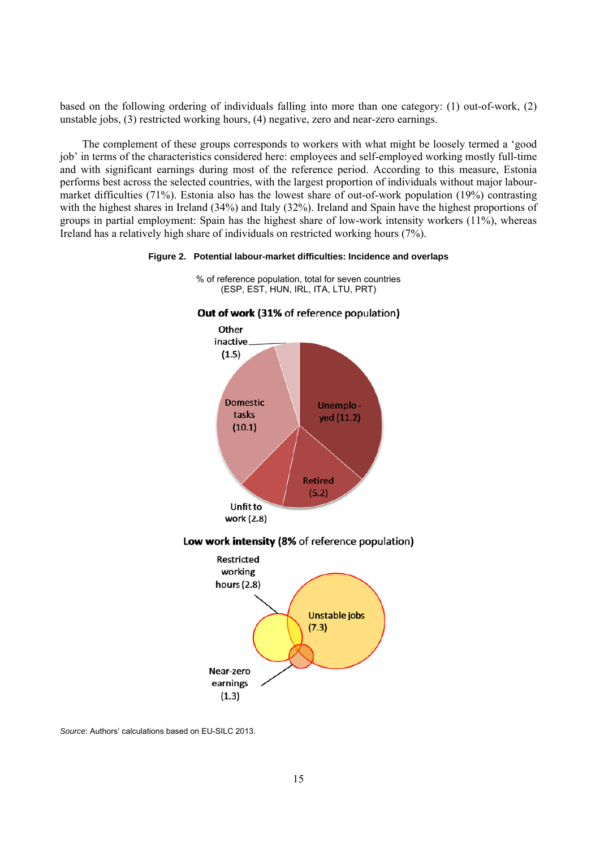based on the following ordering of individuals falling into more than one category: (1) out-of-work, (2) unstable jobs, (3) restricted working hours, (4) negative, zero and near-zero earnings.

The complement of these groups corresponds to workers with what might be loosely termed a 'good job' in terms of the characteristics considered here: employees and self-employed working mostly full-time and with significant earnings during most of the reference period. According to this measure, Estonia performs best across the selected countries, with the largest proportion of individuals without major labourmarket difficulties (71%). Estonia also has the lowest share of out-of-work population (19%) contrasting with the highest shares in Ireland (34%) and Italy (32%). Ireland and Spain have the highest proportions of groups in partial employment: Spain has the highest share of low-work intensity workers (11%), whereas Ireland has a relatively high share of individuals on restricted working hours (7%).

#### **Figure 2. Potential labour-market difficulties: Incidence and overlaps**



% of reference population, total for seven countries (ESP, EST, HUN, IRL, ITA, LTU, PRT)

*Source*: Authors' calculations based on EU-SILC 2013.

Near-zero earnings  $(1.3)$ 

 $(7.3)$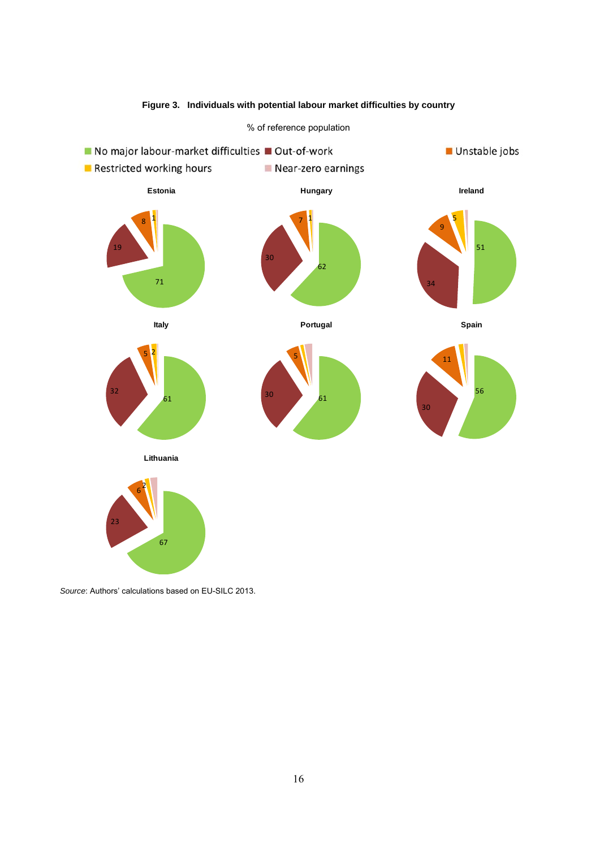

# **Figure 3. Individuals with potential labour market difficulties by country**

*Source*: Authors' calculations based on EU-SILC 2013.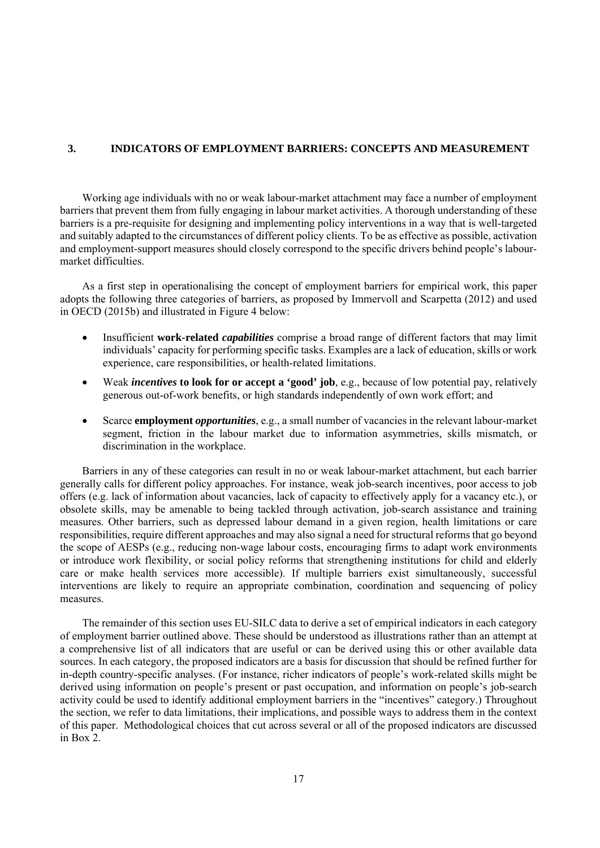#### **3. INDICATORS OF EMPLOYMENT BARRIERS: CONCEPTS AND MEASUREMENT**

Working age individuals with no or weak labour-market attachment may face a number of employment barriers that prevent them from fully engaging in labour market activities. A thorough understanding of these barriers is a pre-requisite for designing and implementing policy interventions in a way that is well-targeted and suitably adapted to the circumstances of different policy clients. To be as effective as possible, activation and employment-support measures should closely correspond to the specific drivers behind people's labourmarket difficulties.

As a first step in operationalising the concept of employment barriers for empirical work, this paper adopts the following three categories of barriers, as proposed by Immervoll and Scarpetta (2012) and used in OECD (2015b) and illustrated in Figure 4 below:

- Insufficient **work-related** *capabilities* comprise a broad range of different factors that may limit individuals' capacity for performing specific tasks. Examples are a lack of education, skills or work experience, care responsibilities, or health-related limitations.
- Weak *incentives* **to look for or accept a 'good' job**, e.g., because of low potential pay, relatively generous out-of-work benefits, or high standards independently of own work effort; and
- Scarce **employment** *opportunities*, e.g., a small number of vacancies in the relevant labour-market segment, friction in the labour market due to information asymmetries, skills mismatch, or discrimination in the workplace.

Barriers in any of these categories can result in no or weak labour-market attachment, but each barrier generally calls for different policy approaches. For instance, weak job-search incentives, poor access to job offers (e.g. lack of information about vacancies, lack of capacity to effectively apply for a vacancy etc.), or obsolete skills, may be amenable to being tackled through activation, job-search assistance and training measures. Other barriers, such as depressed labour demand in a given region, health limitations or care responsibilities, require different approaches and may also signal a need for structural reforms that go beyond the scope of AESPs (e.g., reducing non-wage labour costs, encouraging firms to adapt work environments or introduce work flexibility, or social policy reforms that strengthening institutions for child and elderly care or make health services more accessible). If multiple barriers exist simultaneously, successful interventions are likely to require an appropriate combination, coordination and sequencing of policy measures.

The remainder of this section uses EU-SILC data to derive a set of empirical indicators in each category of employment barrier outlined above. These should be understood as illustrations rather than an attempt at a comprehensive list of all indicators that are useful or can be derived using this or other available data sources. In each category, the proposed indicators are a basis for discussion that should be refined further for in-depth country-specific analyses. (For instance, richer indicators of people's work-related skills might be derived using information on people's present or past occupation, and information on people's job-search activity could be used to identify additional employment barriers in the "incentives" category.) Throughout the section, we refer to data limitations, their implications, and possible ways to address them in the context of this paper. Methodological choices that cut across several or all of the proposed indicators are discussed in Box 2.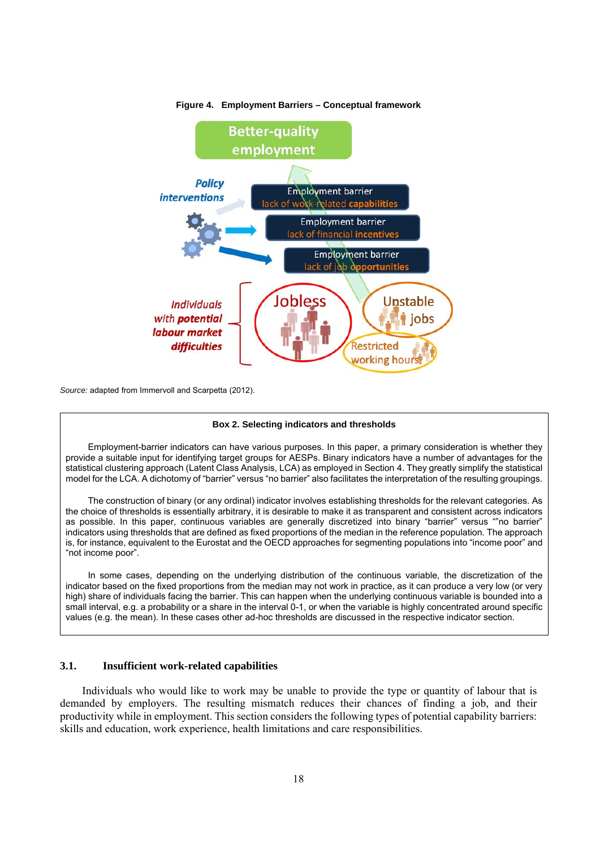

#### **Figure 4. Employment Barriers – Conceptual framework**

*Source:* adapted from Immervoll and Scarpetta (2012).

#### **Box 2. Selecting indicators and thresholds**

Employment-barrier indicators can have various purposes. In this paper, a primary consideration is whether they provide a suitable input for identifying target groups for AESPs. Binary indicators have a number of advantages for the statistical clustering approach (Latent Class Analysis, LCA) as employed in Section 4. They greatly simplify the statistical model for the LCA. A dichotomy of "barrier" versus "no barrier" also facilitates the interpretation of the resulting groupings.

The construction of binary (or any ordinal) indicator involves establishing thresholds for the relevant categories. As the choice of thresholds is essentially arbitrary, it is desirable to make it as transparent and consistent across indicators as possible. In this paper, continuous variables are generally discretized into binary "barrier" versus ""no barrier" indicators using thresholds that are defined as fixed proportions of the median in the reference population. The approach is, for instance, equivalent to the Eurostat and the OECD approaches for segmenting populations into "income poor" and "not income poor".

In some cases, depending on the underlying distribution of the continuous variable, the discretization of the indicator based on the fixed proportions from the median may not work in practice, as it can produce a very low (or very high) share of individuals facing the barrier. This can happen when the underlying continuous variable is bounded into a small interval, e.g. a probability or a share in the interval 0-1, or when the variable is highly concentrated around specific values (e.g. the mean). In these cases other ad-hoc thresholds are discussed in the respective indicator section.

# **3.1. Insufficient work-related capabilities**

Individuals who would like to work may be unable to provide the type or quantity of labour that is demanded by employers. The resulting mismatch reduces their chances of finding a job, and their productivity while in employment. This section considers the following types of potential capability barriers: skills and education, work experience, health limitations and care responsibilities.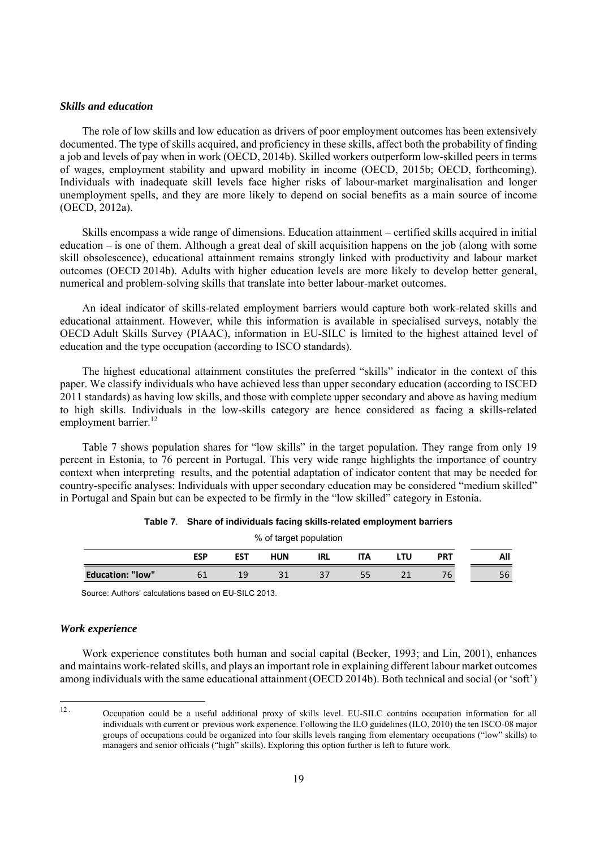#### *Skills and education*

The role of low skills and low education as drivers of poor employment outcomes has been extensively documented. The type of skills acquired, and proficiency in these skills, affect both the probability of finding a job and levels of pay when in work (OECD, 2014b). Skilled workers outperform low-skilled peers in terms of wages, employment stability and upward mobility in income (OECD, 2015b; OECD, forthcoming). Individuals with inadequate skill levels face higher risks of labour-market marginalisation and longer unemployment spells, and they are more likely to depend on social benefits as a main source of income (OECD, 2012a).

Skills encompass a wide range of dimensions. Education attainment – certified skills acquired in initial education – is one of them. Although a great deal of skill acquisition happens on the job (along with some skill obsolescence), educational attainment remains strongly linked with productivity and labour market outcomes (OECD 2014b). Adults with higher education levels are more likely to develop better general, numerical and problem-solving skills that translate into better labour-market outcomes.

An ideal indicator of skills-related employment barriers would capture both work-related skills and educational attainment. However, while this information is available in specialised surveys, notably the OECD Adult Skills Survey (PIAAC), information in EU-SILC is limited to the highest attained level of education and the type occupation (according to ISCO standards).

The highest educational attainment constitutes the preferred "skills" indicator in the context of this paper. We classify individuals who have achieved less than upper secondary education (according to ISCED 2011 standards) as having low skills, and those with complete upper secondary and above as having medium to high skills. Individuals in the low-skills category are hence considered as facing a skills-related employment barrier.<sup>12</sup>

Table 7 shows population shares for "low skills" in the target population. They range from only 19 percent in Estonia, to 76 percent in Portugal. This very wide range highlights the importance of country context when interpreting results, and the potential adaptation of indicator content that may be needed for country-specific analyses: Individuals with upper secondary education may be considered "medium skilled" in Portugal and Spain but can be expected to be firmly in the "low skilled" category in Estonia.

| % of target population                                                    |    |    |    |    |    |  |    |    |  |  |
|---------------------------------------------------------------------------|----|----|----|----|----|--|----|----|--|--|
| <b>ESP</b><br><b>EST</b><br><b>HUN</b><br><b>PRT</b><br>LTU<br>IRL<br>ITA |    |    |    |    |    |  |    |    |  |  |
| <b>Education: "low"</b>                                                   | 61 | 19 | 31 | 37 | 55 |  | 76 | 56 |  |  |
|                                                                           |    |    |    |    |    |  |    |    |  |  |

Source: Authors' calculations based on EU-SILC 2013.

#### *Work experience*

Work experience constitutes both human and social capital (Becker, 1993; and Lin, 2001), enhances and maintains work-related skills, and plays an important role in explaining different labour market outcomes among individuals with the same educational attainment (OECD 2014b). Both technical and social (or 'soft')

 $12.$ 12 . Occupation could be a useful additional proxy of skills level. EU-SILC contains occupation information for all individuals with current or previous work experience. Following the ILO guidelines (ILO, 2010) the ten ISCO-08 major groups of occupations could be organized into four skills levels ranging from elementary occupations ("low" skills) to managers and senior officials ("high" skills). Exploring this option further is left to future work.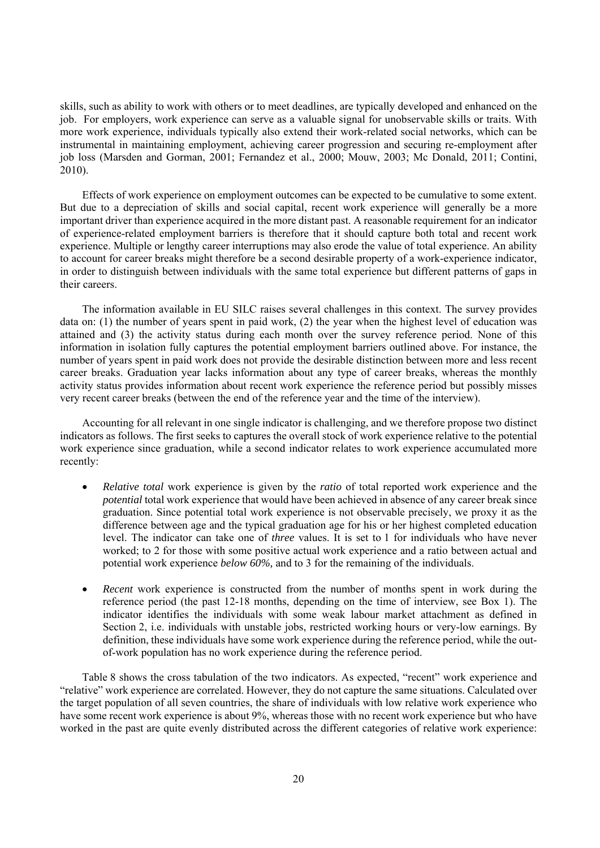skills, such as ability to work with others or to meet deadlines, are typically developed and enhanced on the job. For employers, work experience can serve as a valuable signal for unobservable skills or traits. With more work experience, individuals typically also extend their work-related social networks, which can be instrumental in maintaining employment, achieving career progression and securing re-employment after job loss (Marsden and Gorman, 2001; Fernandez et al., 2000; Mouw, 2003; Mc Donald, 2011; Contini, 2010).

Effects of work experience on employment outcomes can be expected to be cumulative to some extent. But due to a depreciation of skills and social capital, recent work experience will generally be a more important driver than experience acquired in the more distant past. A reasonable requirement for an indicator of experience-related employment barriers is therefore that it should capture both total and recent work experience. Multiple or lengthy career interruptions may also erode the value of total experience. An ability to account for career breaks might therefore be a second desirable property of a work-experience indicator, in order to distinguish between individuals with the same total experience but different patterns of gaps in their careers.

The information available in EU SILC raises several challenges in this context. The survey provides data on: (1) the number of years spent in paid work, (2) the year when the highest level of education was attained and (3) the activity status during each month over the survey reference period. None of this information in isolation fully captures the potential employment barriers outlined above. For instance, the number of years spent in paid work does not provide the desirable distinction between more and less recent career breaks. Graduation year lacks information about any type of career breaks, whereas the monthly activity status provides information about recent work experience the reference period but possibly misses very recent career breaks (between the end of the reference year and the time of the interview).

Accounting for all relevant in one single indicator is challenging, and we therefore propose two distinct indicators as follows. The first seeks to captures the overall stock of work experience relative to the potential work experience since graduation, while a second indicator relates to work experience accumulated more recently:

- *Relative total* work experience is given by the *ratio* of total reported work experience and the *potential* total work experience that would have been achieved in absence of any career break since graduation. Since potential total work experience is not observable precisely, we proxy it as the difference between age and the typical graduation age for his or her highest completed education level. The indicator can take one of *three* values. It is set to 1 for individuals who have never worked; to 2 for those with some positive actual work experience and a ratio between actual and potential work experience *below 60%,* and to 3 for the remaining of the individuals.
- *Recent* work experience is constructed from the number of months spent in work during the reference period (the past 12-18 months, depending on the time of interview, see Box 1). The indicator identifies the individuals with some weak labour market attachment as defined in Section 2, i.e. individuals with unstable jobs, restricted working hours or very-low earnings. By definition, these individuals have some work experience during the reference period, while the outof-work population has no work experience during the reference period.

Table 8 shows the cross tabulation of the two indicators. As expected, "recent" work experience and "relative" work experience are correlated. However, they do not capture the same situations. Calculated over the target population of all seven countries, the share of individuals with low relative work experience who have some recent work experience is about 9%, whereas those with no recent work experience but who have worked in the past are quite evenly distributed across the different categories of relative work experience: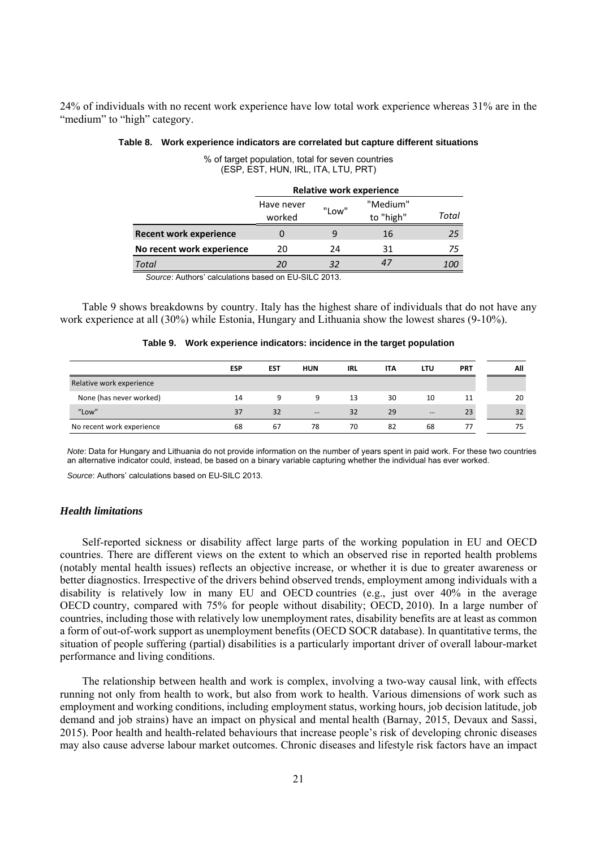24% of individuals with no recent work experience have low total work experience whereas 31% are in the "medium" to "high" category.

|                               | <b>Relative work experience</b> |       |                       |       |  |  |  |  |  |  |
|-------------------------------|---------------------------------|-------|-----------------------|-------|--|--|--|--|--|--|
|                               | Have never<br>worked            | "Low" | "Medium"<br>to "high" | Total |  |  |  |  |  |  |
| <b>Recent work experience</b> |                                 | 9     | 16                    | 25    |  |  |  |  |  |  |
| No recent work experience     | 20                              | 24    | 31                    | 75    |  |  |  |  |  |  |
| <b>Total</b>                  | 20                              | 32    |                       | 100   |  |  |  |  |  |  |

### **Table 8. Work experience indicators are correlated but capture different situations**

% of target population, total for seven countries (ESP, EST, HUN, IRL, ITA, LTU, PRT)

*Source*: Authors' calculations based on EU-SILC 2013.

Table 9 shows breakdowns by country. Italy has the highest share of individuals that do not have any work experience at all (30%) while Estonia, Hungary and Lithuania show the lowest shares (9-10%).

|  | Table 9. Work experience indicators: incidence in the target population |
|--|-------------------------------------------------------------------------|
|--|-------------------------------------------------------------------------|

|                           | <b>ESP</b> | <b>EST</b> | <b>HUN</b> | <b>IRL</b> | <b>ITA</b> | LTU      | <b>PRT</b> | All |
|---------------------------|------------|------------|------------|------------|------------|----------|------------|-----|
| Relative work experience  |            |            |            |            |            |          |            |     |
| None (has never worked)   | 14         | 9          | 9          | 13         | 30         | 10       | 11         | 20  |
| "Low"                     | 37         | 32         | $\cdots$   | 32         | 29         | $\cdots$ | 23         | 32  |
| No recent work experience | 68         | 67         | 78         | 70         | 82         | 68       | 77         | 75  |
|                           |            |            |            |            |            |          |            |     |

*Note*: Data for Hungary and Lithuania do not provide information on the number of years spent in paid work. For these two countries an alternative indicator could, instead, be based on a binary variable capturing whether the individual has ever worked.

*Source*: Authors' calculations based on EU-SILC 2013.

#### *Health limitations*

Self-reported sickness or disability affect large parts of the working population in EU and OECD countries. There are different views on the extent to which an observed rise in reported health problems (notably mental health issues) reflects an objective increase, or whether it is due to greater awareness or better diagnostics. Irrespective of the drivers behind observed trends, employment among individuals with a disability is relatively low in many EU and OECD countries (e.g., just over 40% in the average OECD country, compared with 75% for people without disability; OECD, 2010). In a large number of countries, including those with relatively low unemployment rates, disability benefits are at least as common a form of out-of-work support as unemployment benefits (OECD SOCR database). In quantitative terms, the situation of people suffering (partial) disabilities is a particularly important driver of overall labour-market performance and living conditions.

The relationship between health and work is complex, involving a two-way causal link, with effects running not only from health to work, but also from work to health. Various dimensions of work such as employment and working conditions, including employment status, working hours, job decision latitude, job demand and job strains) have an impact on physical and mental health (Barnay, 2015, Devaux and Sassi, 2015). Poor health and health-related behaviours that increase people's risk of developing chronic diseases may also cause adverse labour market outcomes. Chronic diseases and lifestyle risk factors have an impact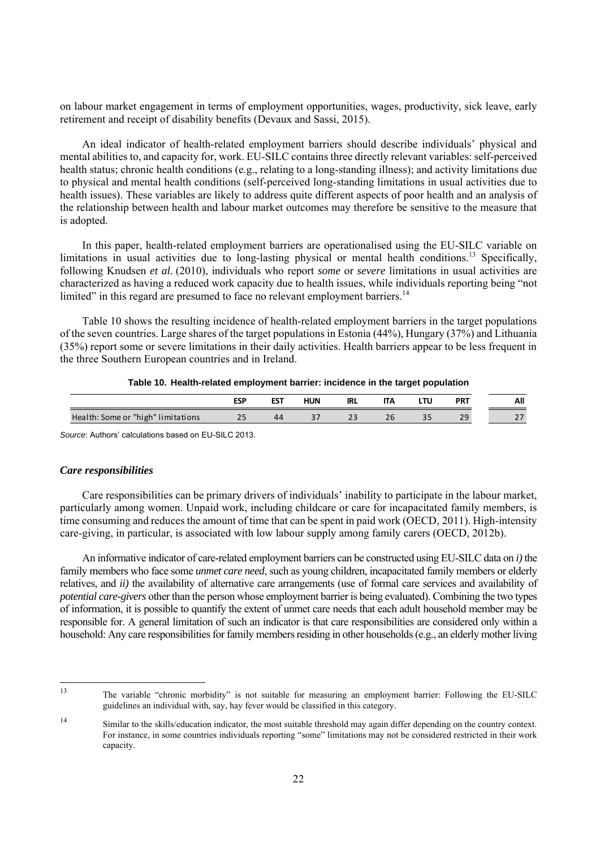on labour market engagement in terms of employment opportunities, wages, productivity, sick leave, early retirement and receipt of disability benefits (Devaux and Sassi, 2015).

An ideal indicator of health-related employment barriers should describe individuals' physical and mental abilities to, and capacity for, work. EU-SILC contains three directly relevant variables: self-perceived health status; chronic health conditions (e.g., relating to a long-standing illness); and activity limitations due to physical and mental health conditions (self-perceived long-standing limitations in usual activities due to health issues). These variables are likely to address quite different aspects of poor health and an analysis of the relationship between health and labour market outcomes may therefore be sensitive to the measure that is adopted.

In this paper, health-related employment barriers are operationalised using the EU-SILC variable on limitations in usual activities due to long-lasting physical or mental health conditions.<sup>13</sup> Specifically, following Knudsen *et al.* (2010), individuals who report *some* or *severe* limitations in usual activities are characterized as having a reduced work capacity due to health issues, while individuals reporting being "not limited" in this regard are presumed to face no relevant employment barriers.<sup>14</sup>

Table 10 shows the resulting incidence of health-related employment barriers in the target populations of the seven countries. Large shares of the target populations in Estonia (44%), Hungary (37%) and Lithuania (35%) report some or severe limitations in their daily activities. Health barriers appear to be less frequent in the three Southern European countries and in Ireland.

#### **Table 10. Health-related employment barrier: incidence in the target population**

|                                    | ESP       | EST | HUN | irl        | ''' |    | <b>PRT</b>                    | All                                  |
|------------------------------------|-----------|-----|-----|------------|-----|----|-------------------------------|--------------------------------------|
| Health: Some or "high" limitations | n r<br>25 | 44  | ، ب | <u>_ _</u> |     | -- | $\overline{\phantom{a}}$<br>ت | $\overline{\phantom{0}}$<br><u>.</u> |

*Source*: Authors' calculations based on EU-SILC 2013.

#### *Care responsibilities*

Care responsibilities can be primary drivers of individuals' inability to participate in the labour market, particularly among women. Unpaid work, including childcare or care for incapacitated family members, is time consuming and reduces the amount of time that can be spent in paid work (OECD, 2011). High-intensity care-giving, in particular, is associated with low labour supply among family carers (OECD, 2012b).

An informative indicator of care-related employment barriers can be constructed using EU-SILC data on *i)* the family members who face some *unmet care need*, such as young children, incapacitated family members or elderly relatives, and *ii)* the availability of alternative care arrangements (use of formal care services and availability of *potential care-givers* other than the person whose employment barrier is being evaluated). Combining the two types of information, it is possible to quantify the extent of unmet care needs that each adult household member may be responsible for. A general limitation of such an indicator is that care responsibilities are considered only within a household: Any care responsibilities for family members residing in other households (e.g., an elderly mother living

<sup>13</sup> The variable "chronic morbidity" is not suitable for measuring an employment barrier: Following the EU-SILC guidelines an individual with, say, hay fever would be classified in this category.

<sup>14</sup> Similar to the skills/education indicator, the most suitable threshold may again differ depending on the country context. For instance, in some countries individuals reporting "some" limitations may not be considered restricted in their work capacity.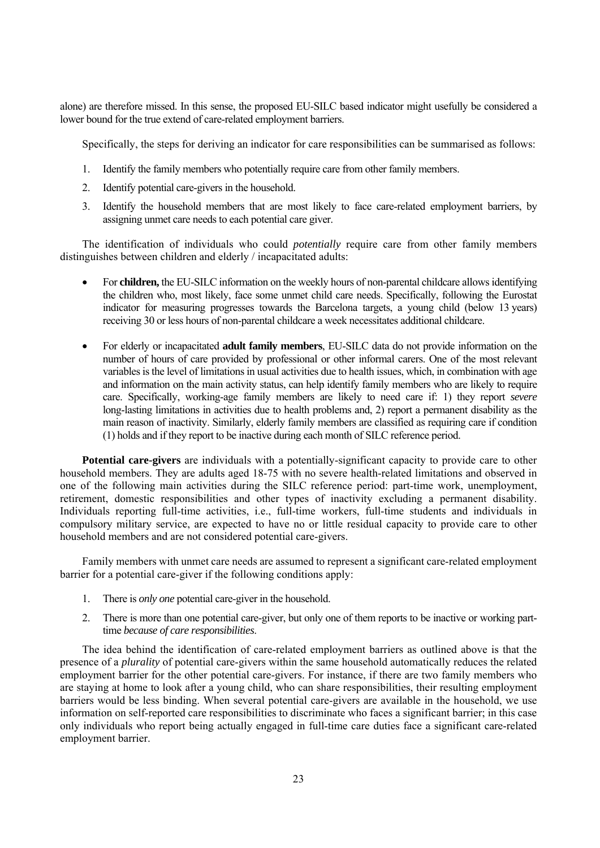alone) are therefore missed. In this sense, the proposed EU-SILC based indicator might usefully be considered a lower bound for the true extend of care-related employment barriers.

Specifically, the steps for deriving an indicator for care responsibilities can be summarised as follows:

- 1. Identify the family members who potentially require care from other family members.
- 2. Identify potential care-givers in the household.
- 3. Identify the household members that are most likely to face care-related employment barriers, by assigning unmet care needs to each potential care giver.

The identification of individuals who could *potentially* require care from other family members distinguishes between children and elderly / incapacitated adults:

- For **children,** the EU-SILC information on the weekly hours of non-parental childcare allows identifying the children who, most likely, face some unmet child care needs. Specifically, following the Eurostat indicator for measuring progresses towards the Barcelona targets, a young child (below 13 years) receiving 30 or less hours of non-parental childcare a week necessitates additional childcare.
- For elderly or incapacitated **adult family members**, EU-SILC data do not provide information on the number of hours of care provided by professional or other informal carers. One of the most relevant variables is the level of limitations in usual activities due to health issues, which, in combination with age and information on the main activity status, can help identify family members who are likely to require care. Specifically, working-age family members are likely to need care if: 1) they report *severe*  long-lasting limitations in activities due to health problems and, 2) report a permanent disability as the main reason of inactivity. Similarly, elderly family members are classified as requiring care if condition (1) holds and if they report to be inactive during each month of SILC reference period.

**Potential care-givers** are individuals with a potentially-significant capacity to provide care to other household members. They are adults aged 18-75 with no severe health-related limitations and observed in one of the following main activities during the SILC reference period: part-time work, unemployment, retirement, domestic responsibilities and other types of inactivity excluding a permanent disability. Individuals reporting full-time activities, i.e., full-time workers, full-time students and individuals in compulsory military service, are expected to have no or little residual capacity to provide care to other household members and are not considered potential care-givers.

Family members with unmet care needs are assumed to represent a significant care-related employment barrier for a potential care-giver if the following conditions apply:

- 1. There is *only one* potential care-giver in the household.
- 2. There is more than one potential care-giver, but only one of them reports to be inactive or working parttime *because of care responsibilities*.

The idea behind the identification of care-related employment barriers as outlined above is that the presence of a *plurality* of potential care-givers within the same household automatically reduces the related employment barrier for the other potential care-givers. For instance, if there are two family members who are staying at home to look after a young child, who can share responsibilities, their resulting employment barriers would be less binding. When several potential care-givers are available in the household, we use information on self-reported care responsibilities to discriminate who faces a significant barrier; in this case only individuals who report being actually engaged in full-time care duties face a significant care-related employment barrier.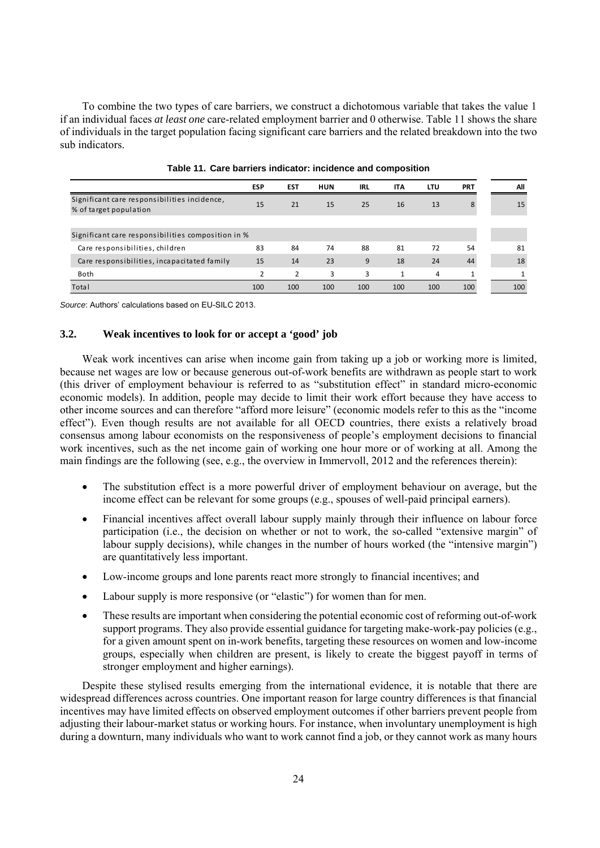To combine the two types of care barriers, we construct a dichotomous variable that takes the value 1 if an individual faces *at least one* care-related employment barrier and 0 otherwise. Table 11 shows the share of individuals in the target population facing significant care barriers and the related breakdown into the two sub indicators.

|                                                                        | <b>ESP</b> | <b>EST</b> | <b>HUN</b> | IRL | <b>ITA</b> | LTU | <b>PRT</b> |
|------------------------------------------------------------------------|------------|------------|------------|-----|------------|-----|------------|
| Significant care responsibilities incidence,<br>% of target population | 15         | 21         | 15         | 25  | 16         | 13  | 8          |
| Significant care responsibilities composition in %                     |            |            |            |     |            |     |            |
| Care responsibilities, children                                        | 83         | 84         | 74         | 88  | 81         | 72  | 54         |
| Care responsibilities, incapacitated family                            | 15         | 14         | 23         | 9   | 18         | 24  | 44         |
| Both                                                                   | C          | 2          | 3          | 3   |            | 4   |            |
| Total                                                                  | 100        | 100        | 100        | 100 | 100        | 100 | 100        |

*Source*: Authors' calculations based on EU-SILC 2013.

#### **3.2. Weak incentives to look for or accept a 'good' job**

Weak work incentives can arise when income gain from taking up a job or working more is limited. because net wages are low or because generous out-of-work benefits are withdrawn as people start to work (this driver of employment behaviour is referred to as "substitution effect" in standard micro-economic economic models). In addition, people may decide to limit their work effort because they have access to other income sources and can therefore "afford more leisure" (economic models refer to this as the "income effect"). Even though results are not available for all OECD countries, there exists a relatively broad consensus among labour economists on the responsiveness of people's employment decisions to financial work incentives, such as the net income gain of working one hour more or of working at all. Among the main findings are the following (see, e.g., the overview in Immervoll, 2012 and the references therein):

- The substitution effect is a more powerful driver of employment behaviour on average, but the income effect can be relevant for some groups (e.g., spouses of well-paid principal earners).
- Financial incentives affect overall labour supply mainly through their influence on labour force participation (i.e., the decision on whether or not to work, the so-called "extensive margin" of labour supply decisions), while changes in the number of hours worked (the "intensive margin") are quantitatively less important.
- Low-income groups and lone parents react more strongly to financial incentives; and
- Labour supply is more responsive (or "elastic") for women than for men.
- These results are important when considering the potential economic cost of reforming out-of-work support programs. They also provide essential guidance for targeting make-work-pay policies (e.g., for a given amount spent on in-work benefits, targeting these resources on women and low-income groups, especially when children are present, is likely to create the biggest payoff in terms of stronger employment and higher earnings).

Despite these stylised results emerging from the international evidence, it is notable that there are widespread differences across countries. One important reason for large country differences is that financial incentives may have limited effects on observed employment outcomes if other barriers prevent people from adjusting their labour-market status or working hours. For instance, when involuntary unemployment is high during a downturn, many individuals who want to work cannot find a job, or they cannot work as many hours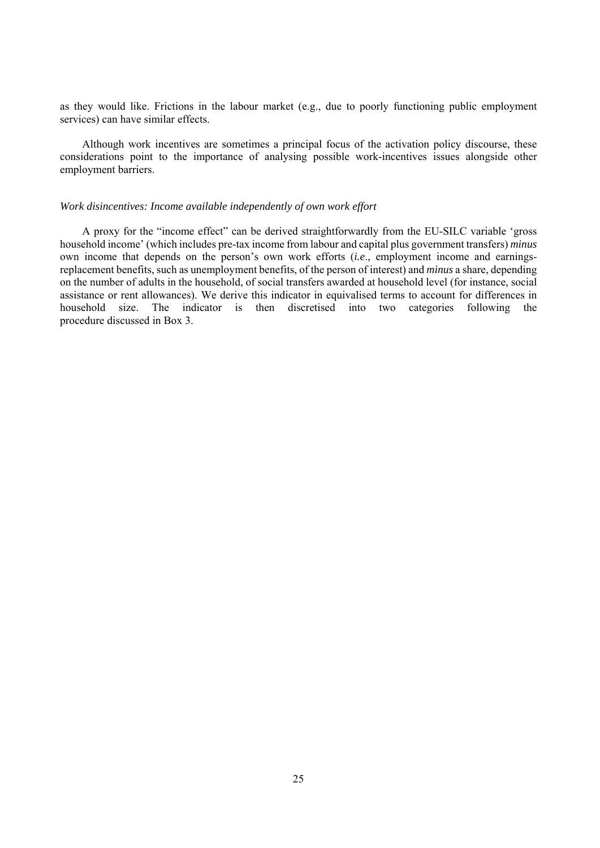as they would like. Frictions in the labour market (e.g., due to poorly functioning public employment services) can have similar effects.

Although work incentives are sometimes a principal focus of the activation policy discourse, these considerations point to the importance of analysing possible work-incentives issues alongside other employment barriers.

#### *Work disincentives: Income available independently of own work effort*

A proxy for the "income effect" can be derived straightforwardly from the EU-SILC variable 'gross household income' (which includes pre-tax income from labour and capital plus government transfers) *minus* own income that depends on the person's own work efforts (*i.e*., employment income and earningsreplacement benefits, such as unemployment benefits, of the person of interest) and *minus* a share, depending on the number of adults in the household, of social transfers awarded at household level (for instance, social assistance or rent allowances). We derive this indicator in equivalised terms to account for differences in household size. The indicator is then discretised into two categories following the procedure discussed in Box 3.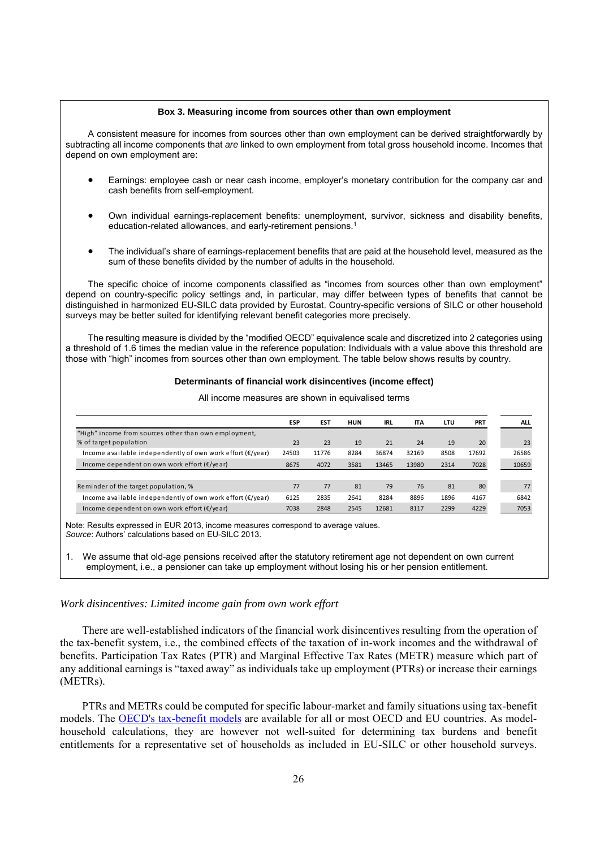#### **Box 3. Measuring income from sources other than own employment**

A consistent measure for incomes from sources other than own employment can be derived straightforwardly by subtracting all income components that *are* linked to own employment from total gross household income. Incomes that depend on own employment are:

- Earnings: employee cash or near cash income, employer's monetary contribution for the company car and cash benefits from self-employment.
- Own individual earnings-replacement benefits: unemployment, survivor, sickness and disability benefits, education-related allowances, and early-retirement pensions.1
- The individual's share of earnings-replacement benefits that are paid at the household level, measured as the sum of these benefits divided by the number of adults in the household.

The specific choice of income components classified as "incomes from sources other than own employment" depend on country-specific policy settings and, in particular, may differ between types of benefits that cannot be distinguished in harmonized EU-SILC data provided by Eurostat. Country-specific versions of SILC or other household surveys may be better suited for identifying relevant benefit categories more precisely.

The resulting measure is divided by the "modified OECD" equivalence scale and discretized into 2 categories using a threshold of 1.6 times the median value in the reference population: Individuals with a value above this threshold are those with "high" incomes from sources other than own employment. The table below shows results by country.

#### **Determinants of financial work disincentives (income effect)**

|                                                                             | <b>ESP</b> | <b>EST</b> | HUN  | IRL   | <b>ITA</b> | LTU  | <b>PRT</b> | <b>ALL</b> |
|-----------------------------------------------------------------------------|------------|------------|------|-------|------------|------|------------|------------|
| "High" income from sources other than own employment,                       |            |            |      |       |            |      |            |            |
| % of target population                                                      | 23         | 23         | 19   | 21    | 24         | 19   | 20         | 23         |
| Income available independently of own work effort $(\epsilon/\gamma e a r)$ | 24503      | 11776      | 8284 | 36874 | 32169      | 8508 | 17692      | 26586      |
| Income dependent on own work effort $(\epsilon/\gamma e a r)$               | 8675       | 4072       | 3581 | 13465 | 13980      | 2314 | 7028       | 10659      |
|                                                                             |            |            |      |       |            |      |            |            |
| Reminder of the target population, %                                        | 77         | 77         | 81   | 79    | 76         | 81   | 80         | 77         |
| Income available independently of own work effort $(E/\text{year})$         | 6125       | 2835       | 2641 | 8284  | 8896       | 1896 | 4167       | 6842       |
| Income dependent on own work effort ( $\epsilon$ /year)                     | 7038       | 2848       | 2545 | 12681 | 8117       | 2299 | 4229       | 7053       |

All income measures are shown in equivalised terms

Note: Results expressed in EUR 2013, income measures correspond to average values. *Source*: Authors' calculations based on EU-SILC 2013.

1. We assume that old-age pensions received after the statutory retirement age not dependent on own current employment, i.e., a pensioner can take up employment without losing his or her pension entitlement.

#### *Work disincentives: Limited income gain from own work effort*

There are well-established indicators of the financial work disincentives resulting from the operation of the tax-benefit system, i.e., the combined effects of the taxation of in-work incomes and the withdrawal of benefits. Participation Tax Rates (PTR) and Marginal Effective Tax Rates (METR) measure which part of any additional earnings is "taxed away" as individuals take up employment (PTRs) or increase their earnings (METRs).

PTRs and METRs could be computed for specific labour-market and family situations using tax-benefit models. The OECD's tax-benefit models are available for all or most OECD and EU countries. As modelhousehold calculations, they are however not well-suited for determining tax burdens and benefit entitlements for a representative set of households as included in EU-SILC or other household surveys.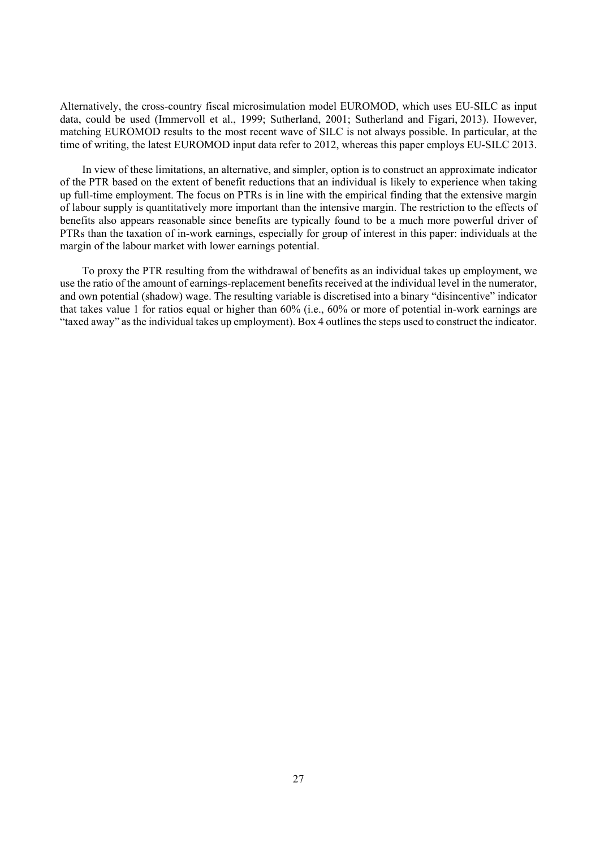Alternatively, the cross-country fiscal microsimulation model EUROMOD, which uses EU-SILC as input data, could be used (Immervoll et al., 1999; Sutherland, 2001; Sutherland and Figari, 2013). However, matching EUROMOD results to the most recent wave of SILC is not always possible. In particular, at the time of writing, the latest EUROMOD input data refer to 2012, whereas this paper employs EU-SILC 2013.

In view of these limitations, an alternative, and simpler, option is to construct an approximate indicator of the PTR based on the extent of benefit reductions that an individual is likely to experience when taking up full-time employment. The focus on PTRs is in line with the empirical finding that the extensive margin of labour supply is quantitatively more important than the intensive margin. The restriction to the effects of benefits also appears reasonable since benefits are typically found to be a much more powerful driver of PTRs than the taxation of in-work earnings, especially for group of interest in this paper: individuals at the margin of the labour market with lower earnings potential.

To proxy the PTR resulting from the withdrawal of benefits as an individual takes up employment, we use the ratio of the amount of earnings-replacement benefits received at the individual level in the numerator, and own potential (shadow) wage. The resulting variable is discretised into a binary "disincentive" indicator that takes value 1 for ratios equal or higher than 60% (i.e., 60% or more of potential in-work earnings are "taxed away" as the individual takes up employment). Box 4 outlines the steps used to construct the indicator.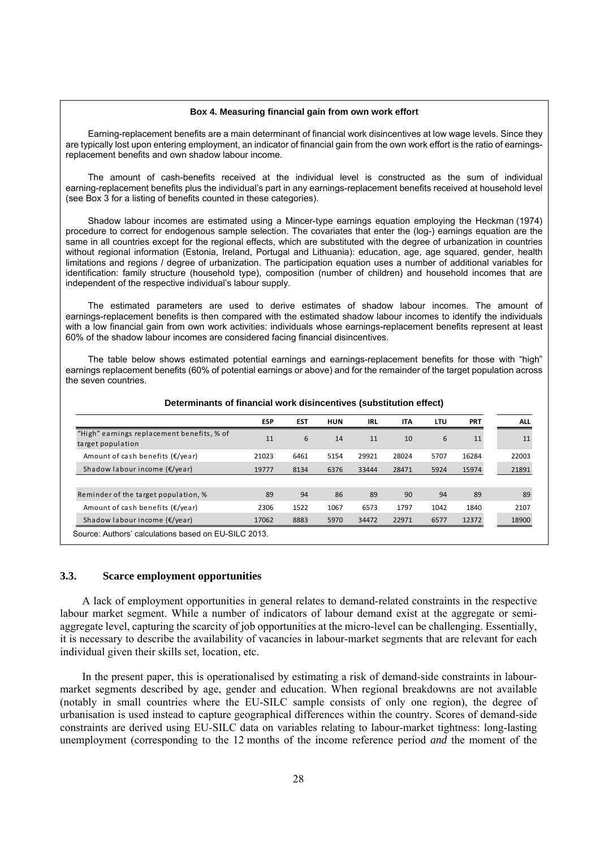#### **Box 4. Measuring financial gain from own work effort**

Earning-replacement benefits are a main determinant of financial work disincentives at low wage levels. Since they are typically lost upon entering employment, an indicator of financial gain from the own work effort is the ratio of earningsreplacement benefits and own shadow labour income.

The amount of cash-benefits received at the individual level is constructed as the sum of individual earning-replacement benefits plus the individual's part in any earnings-replacement benefits received at household level (see Box 3 for a listing of benefits counted in these categories).

Shadow labour incomes are estimated using a Mincer-type earnings equation employing the Heckman (1974) procedure to correct for endogenous sample selection. The covariates that enter the (log-) earnings equation are the same in all countries except for the regional effects, which are substituted with the degree of urbanization in countries without regional information (Estonia, Ireland, Portugal and Lithuania): education, age, age squared, gender, health limitations and regions / degree of urbanization. The participation equation uses a number of additional variables for identification: family structure (household type), composition (number of children) and household incomes that are independent of the respective individual's labour supply.

The estimated parameters are used to derive estimates of shadow labour incomes. The amount of earnings-replacement benefits is then compared with the estimated shadow labour incomes to identify the individuals with a low financial gain from own work activities: individuals whose earnings-replacement benefits represent at least 60% of the shadow labour incomes are considered facing financial disincentives.

The table below shows estimated potential earnings and earnings-replacement benefits for those with "high" earnings replacement benefits (60% of potential earnings or above) and for the remainder of the target population across the seven countries.

|                                                                 | <b>ESP</b> | <b>EST</b> | <b>HUN</b> | <b>IRL</b> | <b>ITA</b> | LTU  | <b>PRT</b> | <b>ALL</b> |
|-----------------------------------------------------------------|------------|------------|------------|------------|------------|------|------------|------------|
| "High" earnings replacement benefits, % of<br>target population | 11         | 6          | 14         | 11         | 10         | 6    | 11         | 11         |
| Amount of cash benefits $(E/$ year)                             | 21023      | 6461       | 5154       | 29921      | 28024      | 5707 | 16284      | 22003      |
| Shadow labour income $(E/$ year)                                | 19777      | 8134       | 6376       | 33444      | 28471      | 5924 | 15974      | 21891      |
|                                                                 |            |            |            |            |            |      |            |            |
| Reminder of the target population, %                            | 89         | 94         | 86         | 89         | 90         | 94   | 89         | 89         |
| Amount of cash benefits $(E/$ year)                             | 2306       | 1522       | 1067       | 6573       | 1797       | 1042 | 1840       | 2107       |
| Shadow labour income $(E/year)$                                 | 17062      | 8883       | 5970       | 34472      | 22971      | 6577 | 12372      | 18900      |
| Source: Authors' calculations based on EU-SILC 2013.            |            |            |            |            |            |      |            |            |

#### **Determinants of financial work disincentives (substitution effect)**

#### **3.3. Scarce employment opportunities**

A lack of employment opportunities in general relates to demand-related constraints in the respective labour market segment. While a number of indicators of labour demand exist at the aggregate or semiaggregate level, capturing the scarcity of job opportunities at the micro-level can be challenging. Essentially, it is necessary to describe the availability of vacancies in labour-market segments that are relevant for each individual given their skills set, location, etc.

In the present paper, this is operationalised by estimating a risk of demand-side constraints in labourmarket segments described by age, gender and education. When regional breakdowns are not available (notably in small countries where the EU-SILC sample consists of only one region), the degree of urbanisation is used instead to capture geographical differences within the country. Scores of demand-side constraints are derived using EU-SILC data on variables relating to labour-market tightness: long-lasting unemployment (corresponding to the 12 months of the income reference period *and* the moment of the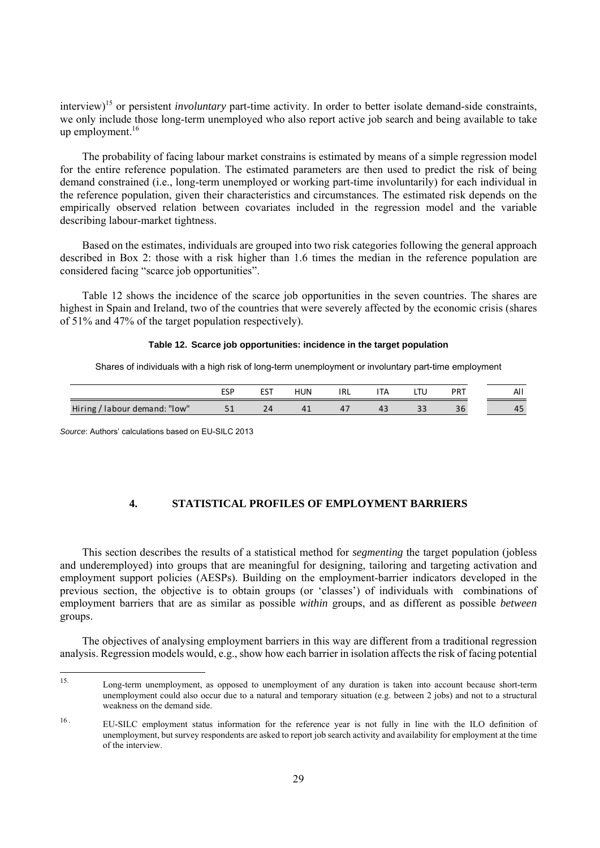interview)<sup>15</sup> or persistent *involuntary* part-time activity. In order to better isolate demand-side constraints, we only include those long-term unemployed who also report active job search and being available to take up employment. $16$ 

The probability of facing labour market constrains is estimated by means of a simple regression model for the entire reference population. The estimated parameters are then used to predict the risk of being demand constrained (i.e., long-term unemployed or working part-time involuntarily) for each individual in the reference population, given their characteristics and circumstances. The estimated risk depends on the empirically observed relation between covariates included in the regression model and the variable describing labour-market tightness.

Based on the estimates, individuals are grouped into two risk categories following the general approach described in Box 2: those with a risk higher than 1.6 times the median in the reference population are considered facing "scarce job opportunities".

Table 12 shows the incidence of the scarce job opportunities in the seven countries. The shares are highest in Spain and Ireland, two of the countries that were severely affected by the economic crisis (shares of 51% and 47% of the target population respectively).

#### **Table 12. Scarce job opportunities: incidence in the target population**

Shares of individuals with a high risk of long-term unemployment or involuntary part-time employment

|                                 | ECD<br>ᇅ    | <b>CCT</b><br>ᇋ | <b>HUN</b> | IRL | $\overline{1}$ | - 1 | PRT | All                 |
|---------------------------------|-------------|-----------------|------------|-----|----------------|-----|-----|---------------------|
| 'labour demand: "low"<br>Hiring | <u>- - </u> |                 |            | т.  | 73             | --  | JU  | $\sim$ $\sim$<br>45 |

*Source*: Authors' calculations based on EU-SILC 2013

# **4. STATISTICAL PROFILES OF EMPLOYMENT BARRIERS**

This section describes the results of a statistical method for *segmenting* the target population (jobless and underemployed) into groups that are meaningful for designing, tailoring and targeting activation and employment support policies (AESPs). Building on the employment-barrier indicators developed in the previous section, the objective is to obtain groups (or 'classes') of individuals with combinations of employment barriers that are as similar as possible *within* groups, and as different as possible *between*  groups.

The objectives of analysing employment barriers in this way are different from a traditional regression analysis. Regression models would, e.g., show how each barrier in isolation affects the risk of facing potential

 $15$ 15. Long-term unemployment, as opposed to unemployment of any duration is taken into account because short-term unemployment could also occur due to a natural and temporary situation (e.g. between 2 jobs) and not to a structural weakness on the demand side.

<sup>16 .</sup> EU-SILC employment status information for the reference year is not fully in line with the ILO definition of unemployment, but survey respondents are asked to report job search activity and availability for employment at the time of the interview.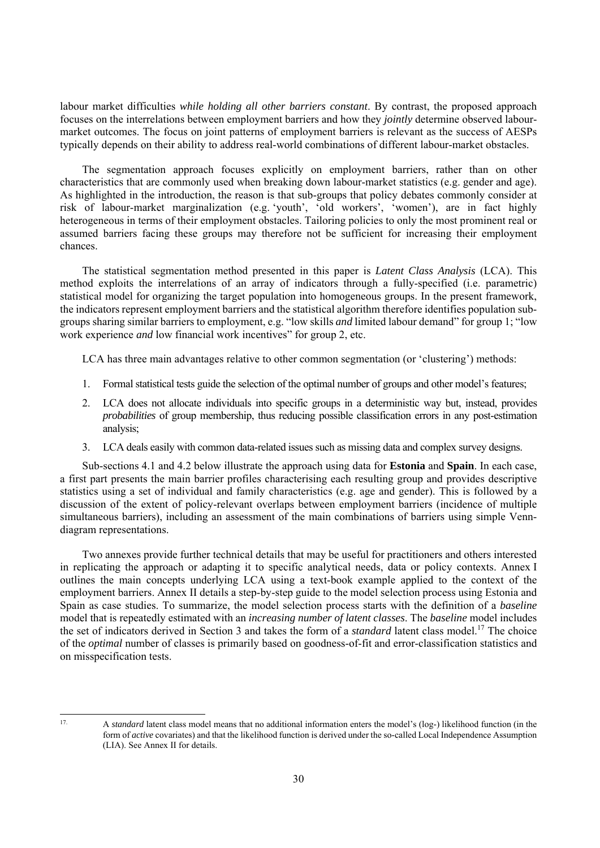labour market difficulties *while holding all other barriers constant*. By contrast, the proposed approach focuses on the interrelations between employment barriers and how they *jointly* determine observed labourmarket outcomes. The focus on joint patterns of employment barriers is relevant as the success of AESPs typically depends on their ability to address real-world combinations of different labour-market obstacles.

The segmentation approach focuses explicitly on employment barriers, rather than on other characteristics that are commonly used when breaking down labour-market statistics (e.g. gender and age). As highlighted in the introduction, the reason is that sub-groups that policy debates commonly consider at risk of labour-market marginalization (e.g. 'youth', 'old workers', 'women'), are in fact highly heterogeneous in terms of their employment obstacles. Tailoring policies to only the most prominent real or assumed barriers facing these groups may therefore not be sufficient for increasing their employment chances.

The statistical segmentation method presented in this paper is *Latent Class Analysis* (LCA). This method exploits the interrelations of an array of indicators through a fully-specified (i.e. parametric) statistical model for organizing the target population into homogeneous groups. In the present framework, the indicators represent employment barriers and the statistical algorithm therefore identifies population subgroups sharing similar barriers to employment, e.g. "low skills *and* limited labour demand" for group 1; "low work experience *and* low financial work incentives" for group 2, etc.

LCA has three main advantages relative to other common segmentation (or 'clustering') methods:

- 1. Formal statistical tests guide the selection of the optimal number of groups and other model's features;
- 2. LCA does not allocate individuals into specific groups in a deterministic way but, instead, provides *probabilities* of group membership, thus reducing possible classification errors in any post-estimation analysis;
- 3. LCA deals easily with common data-related issues such as missing data and complex survey designs.

Sub-sections 4.1 and 4.2 below illustrate the approach using data for **Estonia** and **Spain**. In each case, a first part presents the main barrier profiles characterising each resulting group and provides descriptive statistics using a set of individual and family characteristics (e.g. age and gender). This is followed by a discussion of the extent of policy-relevant overlaps between employment barriers (incidence of multiple simultaneous barriers), including an assessment of the main combinations of barriers using simple Venndiagram representations.

Two annexes provide further technical details that may be useful for practitioners and others interested in replicating the approach or adapting it to specific analytical needs, data or policy contexts. Annex I outlines the main concepts underlying LCA using a text-book example applied to the context of the employment barriers. Annex II details a step-by-step guide to the model selection process using Estonia and Spain as case studies. To summarize, the model selection process starts with the definition of a *baseline*  model that is repeatedly estimated with an *increasing number of latent classes*. The *baseline* model includes the set of indicators derived in Section 3 and takes the form of a *standard* latent class model.<sup>17</sup> The choice of the *optimal* number of classes is primarily based on goodness-of-fit and error-classification statistics and on misspecification tests.

<sup>17.</sup> A *standard* latent class model means that no additional information enters the model's (log-) likelihood function (in the form of *active* covariates) and that the likelihood function is derived under the so-called Local Independence Assumption (LIA). See Annex II for details.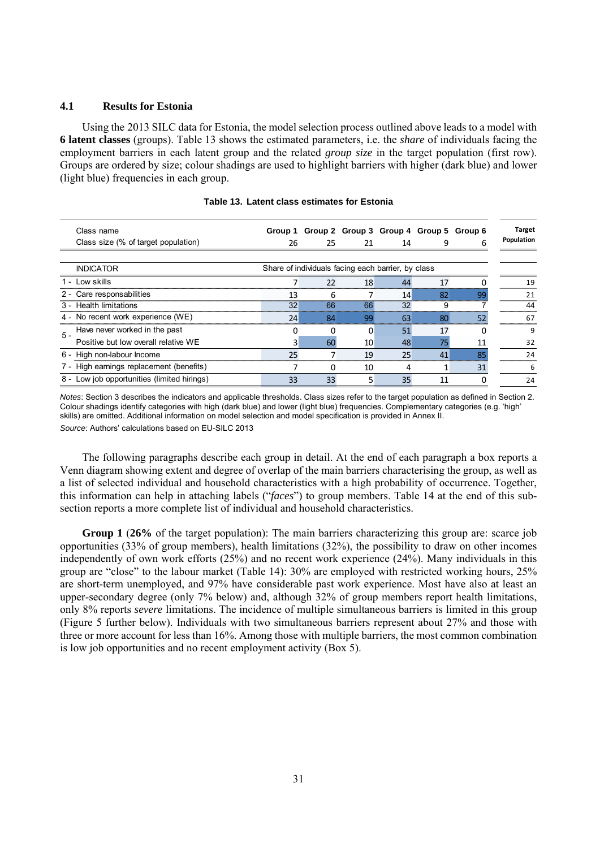#### **4.1 Results for Estonia**

Using the 2013 SILC data for Estonia, the model selection process outlined above leads to a model with **6 latent classes** (groups). Table 13 shows the estimated parameters, i.e. the *share* of individuals facing the employment barriers in each latent group and the related *group size* in the target population (first row). Groups are ordered by size; colour shadings are used to highlight barriers with higher (dark blue) and lower (light blue) frequencies in each group.

| Class name                                        |    | Group 1 Group 2 Group 3 Group 4 Group 5 Group 6    |          |    |    |    | <b>Target</b> |
|---------------------------------------------------|----|----------------------------------------------------|----------|----|----|----|---------------|
| Class size (% of target population)               | 26 | 25                                                 | 21       | 14 |    | 6  | Population    |
|                                                   |    |                                                    |          |    |    |    |               |
| <b>INDICATOR</b>                                  |    | Share of individuals facing each barrier, by class |          |    |    |    |               |
| 1 - Low skills                                    |    | 22                                                 | 18       | 44 | 17 |    | 19            |
| Care responsabilities<br>$2 -$                    | 13 | 6                                                  |          | 14 | 82 | 99 | 21            |
| 3 - Health limitations                            | 32 | 66                                                 | 66       | 32 |    |    | 44            |
| 4 - No recent work experience (WE)                | 24 | 84                                                 | 99       | 63 | 80 | 52 | 67            |
| Have never worked in the past<br>$\overline{5}$ - |    |                                                    | $\Omega$ | 51 | 17 | O  | 9             |
| Positive but low overall relative WE              |    | 60                                                 | 10       | 48 | 75 | 11 | 32            |
| 6 - High non-labour Income                        | 25 |                                                    | 19       | 25 | 41 | 85 | 24            |
| High earnings replacement (benefits)              |    | <sup>0</sup>                                       | 10       | 4  |    | 31 | 6             |
| 8 - Low job opportunities (limited hirings)       | 33 | 33                                                 |          | 35 | 11 |    | 24            |

|  |  |  | Table 13. Latent class estimates for Estonia |
|--|--|--|----------------------------------------------|
|--|--|--|----------------------------------------------|

*Notes*: Section 3 describes the indicators and applicable thresholds. Class sizes refer to the target population as defined in Section 2. Colour shadings identify categories with high (dark blue) and lower (light blue) frequencies. Complementary categories (e.g. 'high' skills) are omitted. Additional information on model selection and model specification is provided in Annex II. *Source*: Authors' calculations based on EU-SILC 2013

The following paragraphs describe each group in detail. At the end of each paragraph a box reports a Venn diagram showing extent and degree of overlap of the main barriers characterising the group, as well as a list of selected individual and household characteristics with a high probability of occurrence. Together, this information can help in attaching labels ("*faces*") to group members. Table 14 at the end of this subsection reports a more complete list of individual and household characteristics.

**Group 1** (**26%** of the target population): The main barriers characterizing this group are: scarce job opportunities (33% of group members), health limitations (32%), the possibility to draw on other incomes independently of own work efforts (25%) and no recent work experience (24%). Many individuals in this group are "close" to the labour market (Table 14): 30% are employed with restricted working hours, 25% are short-term unemployed, and 97% have considerable past work experience. Most have also at least an upper-secondary degree (only 7% below) and, although 32% of group members report health limitations, only 8% reports *severe* limitations. The incidence of multiple simultaneous barriers is limited in this group (Figure 5 further below). Individuals with two simultaneous barriers represent about 27% and those with three or more account for less than 16%. Among those with multiple barriers, the most common combination is low job opportunities and no recent employment activity (Box 5).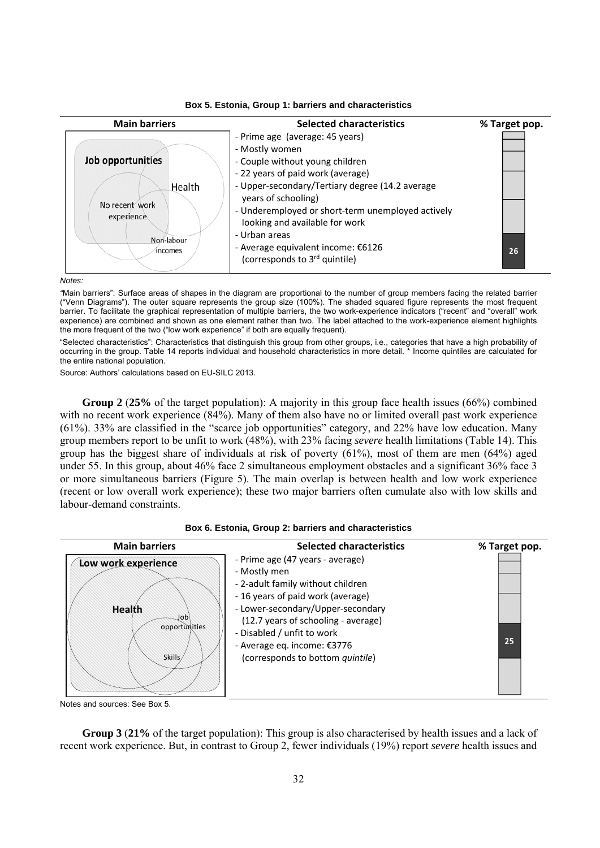



*Notes:* 

*"*Main barriers": Surface areas of shapes in the diagram are proportional to the number of group members facing the related barrier ("Venn Diagrams"). The outer square represents the group size (100%). The shaded squared figure represents the most frequent barrier. To facilitate the graphical representation of multiple barriers, the two work-experience indicators ("recent" and "overall" work experience) are combined and shown as one element rather than two. The label attached to the work-experience element highlights the more frequent of the two ("low work experience" if both are equally frequent).

"Selected characteristics": Characteristics that distinguish this group from other groups, i.e., categories that have a high probability of occurring in the group. Table 14 reports individual and household characteristics in more detail. \* Income quintiles are calculated for the entire national population.

Source: Authors' calculations based on EU-SILC 2013.

**Group 2** (**25%** of the target population): A majority in this group face health issues (66%) combined with no recent work experience (84%). Many of them also have no or limited overall past work experience (61%). 33% are classified in the "scarce job opportunities" category, and 22% have low education. Many group members report to be unfit to work (48%), with 23% facing *severe* health limitations (Table 14). This group has the biggest share of individuals at risk of poverty (61%), most of them are men (64%) aged under 55. In this group, about 46% face 2 simultaneous employment obstacles and a significant 36% face 3 or more simultaneous barriers (Figure 5). The main overlap is between health and low work experience (recent or low overall work experience); these two major barriers often cumulate also with low skills and labour-demand constraints.





Notes and sources: See Box 5.

**Group 3** (**21%** of the target population): This group is also characterised by health issues and a lack of recent work experience. But, in contrast to Group 2, fewer individuals (19%) report *severe* health issues and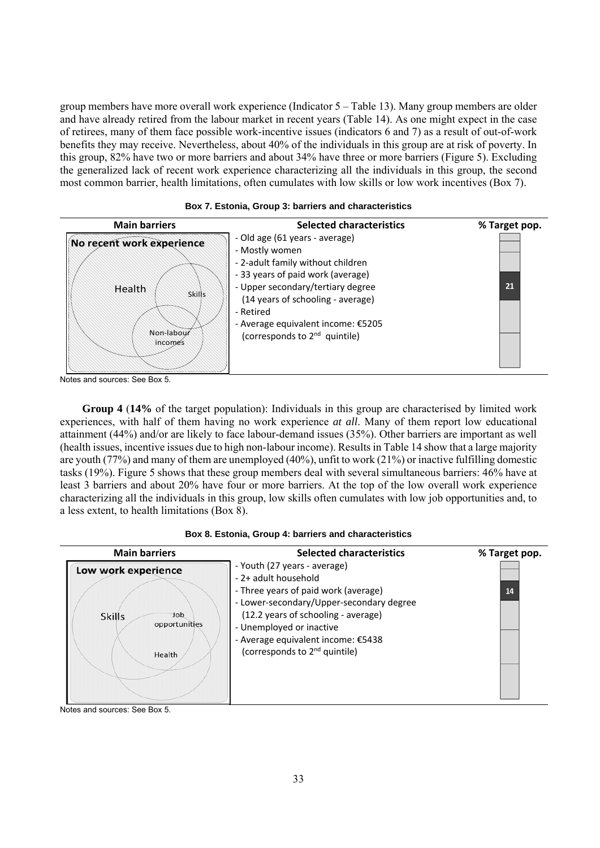group members have more overall work experience (Indicator 5 – Table 13). Many group members are older and have already retired from the labour market in recent years (Table 14). As one might expect in the case of retirees, many of them face possible work-incentive issues (indicators 6 and 7) as a result of out-of-work benefits they may receive. Nevertheless, about 40% of the individuals in this group are at risk of poverty. In this group, 82% have two or more barriers and about 34% have three or more barriers (Figure 5). Excluding the generalized lack of recent work experience characterizing all the individuals in this group, the second most common barrier, health limitations, often cumulates with low skills or low work incentives (Box 7).



#### **Box 7. Estonia, Group 3: barriers and characteristics**

Notes and sources: See Box 5.

**Group 4** (**14%** of the target population): Individuals in this group are characterised by limited work experiences, with half of them having no work experience *at all*. Many of them report low educational attainment (44%) and/or are likely to face labour-demand issues (35%). Other barriers are important as well (health issues, incentive issues due to high non-labour income). Results in Table 14 show that a large majority are youth (77%) and many of them are unemployed (40%), unfit to work (21%) or inactive fulfilling domestic tasks (19%). Figure 5 shows that these group members deal with several simultaneous barriers: 46% have at least 3 barriers and about 20% have four or more barriers. At the top of the low overall work experience characterizing all the individuals in this group, low skills often cumulates with low job opportunities and, to a less extent, to health limitations (Box 8).

|  |  |  |  |  | Box 8. Estonia, Group 4: barriers and characteristics |
|--|--|--|--|--|-------------------------------------------------------|
|--|--|--|--|--|-------------------------------------------------------|

| <b>Main barriers</b>                                                   | <b>Selected characteristics</b>                                                                                                                                                                                                                                                                | % Target pop. |
|------------------------------------------------------------------------|------------------------------------------------------------------------------------------------------------------------------------------------------------------------------------------------------------------------------------------------------------------------------------------------|---------------|
| Low work experience<br>dot<br><b>Skills</b><br>opportunities<br>Health | - Youth (27 years - average)<br>- 2+ adult household<br>- Three years of paid work (average)<br>- Lower-secondary/Upper-secondary degree<br>(12.2 years of schooling - average)<br>- Unemployed or inactive<br>- Average equivalent income: €5438<br>(corresponds to 2 <sup>nd</sup> quintile) | 14            |

Notes and sources: See Box 5.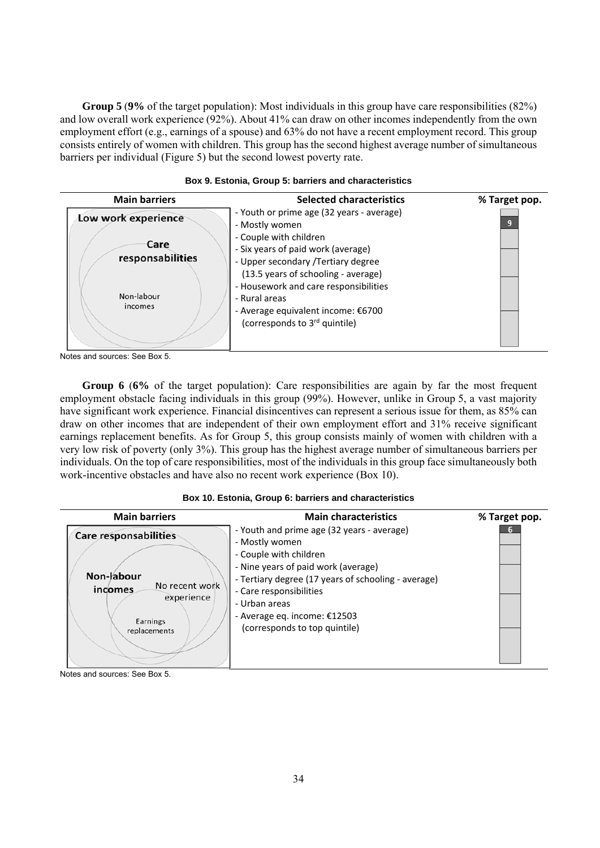**Group 5** (**9%** of the target population): Most individuals in this group have care responsibilities (82%) and low overall work experience (92%). About 41% can draw on other incomes independently from the own employment effort (e.g., earnings of a spouse) and 63% do not have a recent employment record. This group consists entirely of women with children. This group has the second highest average number of simultaneous barriers per individual (Figure 5) but the second lowest poverty rate.

| <b>Main barriers</b>                                                     | <b>Selected characteristics</b>                                                                                                                                                                                                                                                                                                                        | % Target pop. |
|--------------------------------------------------------------------------|--------------------------------------------------------------------------------------------------------------------------------------------------------------------------------------------------------------------------------------------------------------------------------------------------------------------------------------------------------|---------------|
| Low work experience<br>Care<br>responsabilities<br>Non-labour<br>incomes | - Youth or prime age (32 years - average)<br>- Mostly women<br>- Couple with children<br>- Six years of paid work (average)<br>- Upper secondary / Tertiary degree<br>(13.5 years of schooling - average)<br>- Housework and care responsibilities<br>- Rural areas<br>- Average equivalent income: €6700<br>(corresponds to 3 <sup>rd</sup> quintile) |               |

#### **Box 9. Estonia, Group 5: barriers and characteristics**

Notes and sources: See Box 5.

**Group 6** (**6%** of the target population): Care responsibilities are again by far the most frequent employment obstacle facing individuals in this group (99%). However, unlike in Group 5, a vast majority have significant work experience. Financial disincentives can represent a serious issue for them, as 85% can draw on other incomes that are independent of their own employment effort and 31% receive significant earnings replacement benefits. As for Group 5, this group consists mainly of women with children with a very low risk of poverty (only 3%). This group has the highest average number of simultaneous barriers per individuals. On the top of care responsibilities, most of the individuals in this group face simultaneously both work-incentive obstacles and have also no recent work experience (Box 10).

#### **Box 10. Estonia, Group 6: barriers and characteristics**

| <b>Main barriers</b>                                                                                              | <b>Main characteristics</b>                                                                                                                                                                                                                                                                         | % Target pop. |
|-------------------------------------------------------------------------------------------------------------------|-----------------------------------------------------------------------------------------------------------------------------------------------------------------------------------------------------------------------------------------------------------------------------------------------------|---------------|
| <b>Care responsabilities</b><br>Non-labour<br>No recent work<br>incomes<br>experience<br>Earnings<br>replacements | - Youth and prime age (32 years - average)<br>- Mostly women<br>- Couple with children<br>- Nine years of paid work (average)<br>- Tertiary degree (17 years of schooling - average)<br>- Care responsibilities<br>- Urban areas<br>- Average eq. income: $£12503$<br>(corresponds to top quintile) |               |

Notes and sources: See Box 5.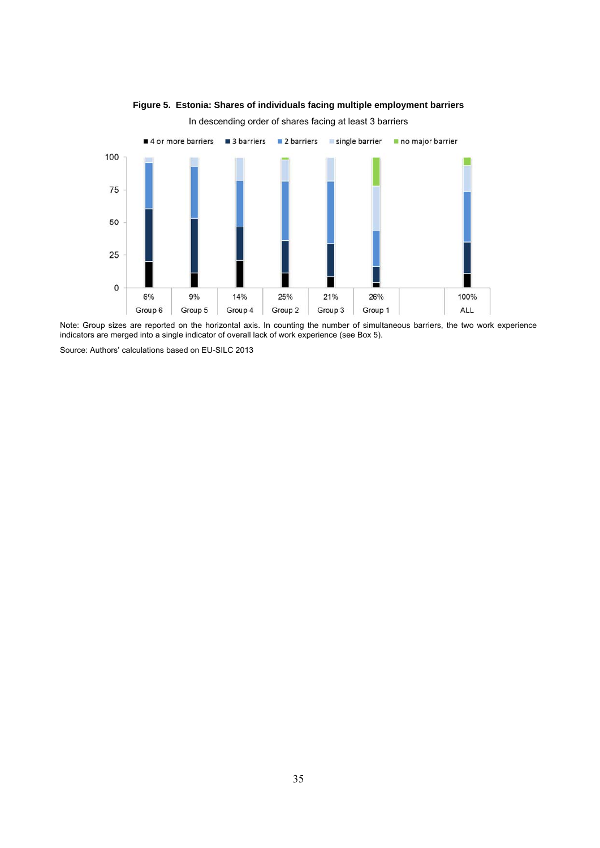

# **Figure 5. Estonia: Shares of individuals facing multiple employment barriers**

In descending order of shares facing at least 3 barriers

Note: Group sizes are reported on the horizontal axis. In counting the number of simultaneous barriers, the two work experience indicators are merged into a single indicator of overall lack of work experience (see Box 5).

Source: Authors' calculations based on EU-SILC 2013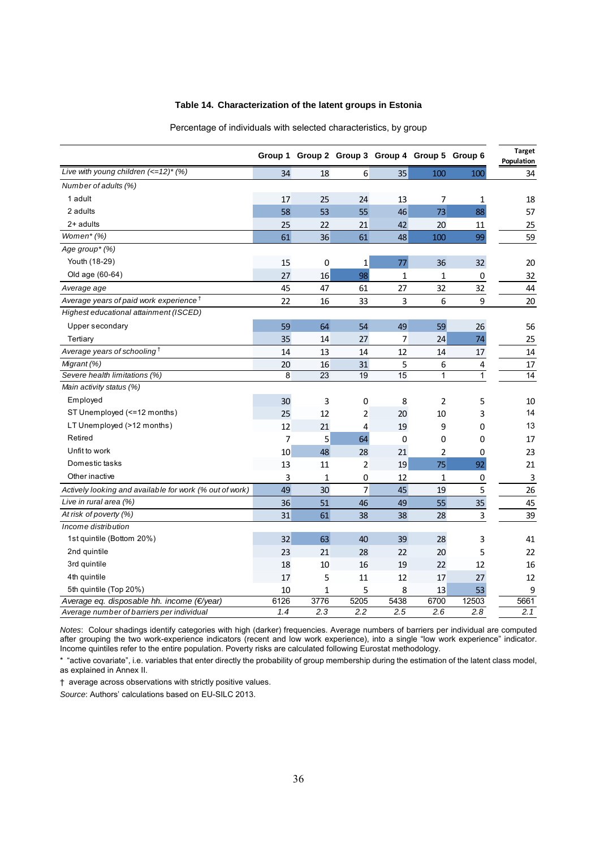#### **Table 14. Characterization of the latent groups in Estonia**

|                                                             |                |                |                 | Group 1 Group 2 Group 3 Group 4 Group 5 Group 6 |      |                | <b>Target</b><br>Population |
|-------------------------------------------------------------|----------------|----------------|-----------------|-------------------------------------------------|------|----------------|-----------------------------|
| Live with young children $\left(\leftarrow 12\right)$ * (%) | 34             | 18             | $6 \overline{}$ | 35                                              | 100  | 100            | 34                          |
| Number of adults (%)                                        |                |                |                 |                                                 |      |                |                             |
| 1 adult                                                     | 17             | 25             | 24              | 13                                              | 7    | 1              | 18                          |
| 2 adults                                                    | 58             | 53             | 55              | 46                                              | 73   | 88             | 57                          |
| 2+ adults                                                   | 25             | 22             | 21              | 42                                              | 20   | 11             | 25                          |
| Women* (%)                                                  | 61             | 36             | 61              | 48                                              | 100  | 99             | 59                          |
| Age group* (%)                                              |                |                |                 |                                                 |      |                |                             |
| Youth (18-29)                                               | 15             | 0              | 1               | 77                                              | 36   | 32             | 20                          |
| Old age (60-64)                                             | 27             | 16             | 98              | $\mathbf{1}$                                    | 1    | 0              | 32                          |
| Average age                                                 | 45             | 47             | 61              | 27                                              | 32   | 32             | 44                          |
| Average years of paid work experience <sup>†</sup>          | 22             | 16             | 33              | 3                                               | 6    | 9              | 20                          |
| Highest educational attainment (ISCED)                      |                |                |                 |                                                 |      |                |                             |
| Upper secondary                                             | 59             | 64             | 54              | 49                                              | 59   | 26             | 56                          |
| Tertiary                                                    | 35             | 14             | 27              | 7                                               | 24   | 74             | 25                          |
| Average years of schooling <sup>T</sup>                     | 14             | 13             | 14              | 12                                              | 14   | 17             | 14                          |
| Migrant (%)                                                 | 20             | 16             | 31              | 5                                               | 6    | 4              | 17                          |
| Severe health limitations (%)                               | $\overline{8}$ | 23             | 19              | 15                                              | 1    | $\overline{1}$ | 14                          |
| Main activity status (%)                                    |                |                |                 |                                                 |      |                |                             |
| Employed                                                    | 30             | 3              | 0               | 8                                               | 2    | 5              | 10                          |
| ST Unemployed (<=12 months)                                 | 25             | 12             | 2               | 20                                              | 10   | 3              | 14                          |
| LT Unemployed (>12 months)                                  | 12             | 21             | 4               | 19                                              | 9    | 0              | 13                          |
| Retired                                                     | $\overline{7}$ | 5 <sup>1</sup> | 64              | 0                                               | 0    | 0              | 17                          |
| Unfit to work                                               | 10             | 48             | 28              | 21                                              | 2    | 0              | 23                          |
| Domestic tasks                                              | 13             | 11             | 2               | 19                                              | 75   | 92             | 21                          |
| Other inactive                                              | 3              | 1              | 0               | 12                                              | 1    | 0              | 3                           |
| Actively looking and available for work (% out of work)     | 49             | 30             | 7               | 45                                              | 19   | 5              | 26                          |
| Live in rural area (%)                                      | 36             | 51             | 46              | 49                                              | 55   | 35             | 45                          |
| At risk of poverty (%)                                      | 31             | 61             | 38              | 38                                              | 28   | 3              | 39                          |
| Income distribution                                         |                |                |                 |                                                 |      |                |                             |
| 1st quintile (Bottom 20%)                                   | 32             | 63             | 40              | 39                                              | 28   | 3              | 41                          |
| 2nd quintile                                                | 23             | 21             | 28              | 22                                              | 20   | 5              | 22                          |
| 3rd quintile                                                | 18             | 10             | 16              | 19                                              | 22   | 12             | 16                          |
| 4th quintile                                                | 17             | 5              | 11              | 12                                              | 17   | 27             | 12                          |
| 5th quintile (Top 20%)                                      | 10             | 1              | 5               | 8                                               | 13   | 53             | 9                           |
| Average eq. disposable hh. income (€/year)                  | 6126           | 3776           | 5205            | 5438                                            | 6700 | 12503          | 5661                        |
| Average number of barriers per individual                   | 1.4            | 2.3            | 2.2             | 2.5                                             | 2.6  | 2.8            | 2.1                         |

Percentage of individuals with selected characteristics, by group

*Notes*: Colour shadings identify categories with high (darker) frequencies. Average numbers of barriers per individual are computed after grouping the two work-experience indicators (recent and low work experience), into a single "low work experience" indicator. Income quintiles refer to the entire population. Poverty risks are calculated following Eurostat methodology.

\* "active covariate", i.e. variables that enter directly the probability of group membership during the estimation of the latent class model, as explained in Annex II.

† average across observations with strictly positive values.

*Source*: Authors' calculations based on EU-SILC 2013.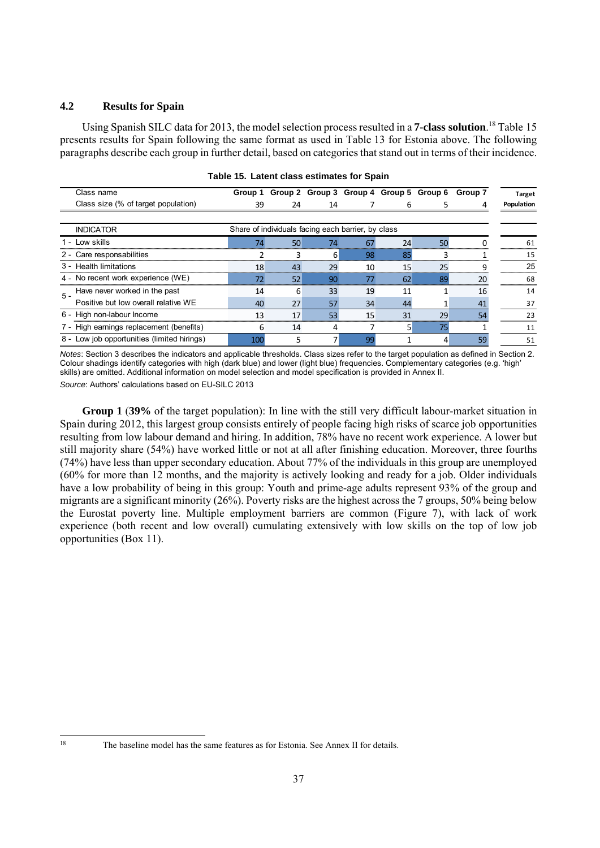#### **4.2 Results for Spain**

Using Spanish SILC data for 2013, the model selection process resulted in a **7-class solution**. 18 Table 15 presents results for Spain following the same format as used in Table 13 for Estonia above. The following paragraphs describe each group in further detail, based on categories that stand out in terms of their incidence.

|       | Class name                                  | Group 1 |    |    | Group 2 Group 3 Group 4 Group 5 Group 6            |    |    | Group 7 | <b>Target</b> |
|-------|---------------------------------------------|---------|----|----|----------------------------------------------------|----|----|---------|---------------|
|       | Class size (% of target population)         | 39      | 24 | 14 |                                                    | 6  |    | 4       | Population    |
|       | <b>INDICATOR</b>                            |         |    |    | Share of individuals facing each barrier, by class |    |    |         |               |
|       | - Low skills                                | 74      | 50 | 74 | 67                                                 | 24 | 50 |         | 61            |
|       | 2 - Care responsabilities                   |         | 3  | 6  | 98                                                 | 85 |    |         | 15            |
|       | 3 - Health limitations                      | 18      | 43 | 29 | 10                                                 | 15 | 25 | q       | 25            |
|       | 4 - No recent work experience (WE)          | 72      | 52 | 90 | 77                                                 | 62 | 89 | 20      | 68            |
| $5 -$ | Have never worked in the past               | 14      | 6  | 33 | 19                                                 | 11 |    | 16      | 14            |
|       | Positive but low overall relative WE        | 40      | 27 | 57 | 34                                                 | 44 |    | 41      | 37            |
|       | 6 - High non-labour Income                  | 13      | 17 | 53 | 15                                                 | 31 | 29 | 54      | 23            |
|       | High earnings replacement (benefits)        | 6       | 14 | 4  |                                                    | 5  | 75 |         | 11            |
|       | 8 - Low job opportunities (limited hirings) | 100     | 5  |    | 99                                                 |    | 4  | 59      | 51            |

#### **Table 15. Latent class estimates for Spain**

*Notes*: Section 3 describes the indicators and applicable thresholds. Class sizes refer to the target population as defined in Section 2. Colour shadings identify categories with high (dark blue) and lower (light blue) frequencies. Complementary categories (e.g. 'high' skills) are omitted. Additional information on model selection and model specification is provided in Annex II. *Source*: Authors' calculations based on EU-SILC 2013

**Group 1** (**39%** of the target population): In line with the still very difficult labour-market situation in Spain during 2012, this largest group consists entirely of people facing high risks of scarce job opportunities resulting from low labour demand and hiring. In addition, 78% have no recent work experience. A lower but still majority share (54%) have worked little or not at all after finishing education. Moreover, three fourths (74%) have less than upper secondary education. About 77% of the individuals in this group are unemployed (60% for more than 12 months, and the majority is actively looking and ready for a job. Older individuals have a low probability of being in this group: Youth and prime-age adults represent 93% of the group and migrants are a significant minority (26%). Poverty risks are the highest across the 7 groups, 50% being below the Eurostat poverty line. Multiple employment barriers are common (Figure 7), with lack of work experience (both recent and low overall) cumulating extensively with low skills on the top of low job opportunities (Box 11).

 $\overline{18}$ 

The baseline model has the same features as for Estonia. See Annex II for details.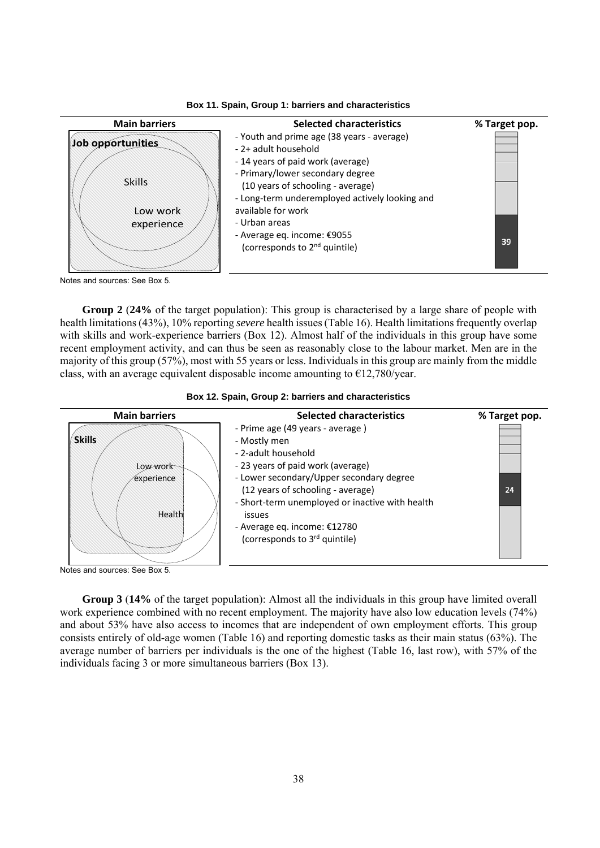



Notes and sources: See Box 5.

**Group 2** (**24%** of the target population): This group is characterised by a large share of people with health limitations (43%), 10% reporting *severe* health issues (Table 16). Health limitations frequently overlap with skills and work-experience barriers (Box 12). Almost half of the individuals in this group have some recent employment activity, and can thus be seen as reasonably close to the labour market. Men are in the majority of this group (57%), most with 55 years or less. Individuals in this group are mainly from the middle class, with an average equivalent disposable income amounting to  $E12,780$ /year.



| <b>Main barriers</b>                              | <b>Selected characteristics</b>                                                                                                                                                                                                                                                                                             | % Target pop. |
|---------------------------------------------------|-----------------------------------------------------------------------------------------------------------------------------------------------------------------------------------------------------------------------------------------------------------------------------------------------------------------------------|---------------|
| <b>Skills</b><br>Low work<br>experience<br>Health | - Prime age (49 years - average)<br>- Mostly men<br>- 2-adult household<br>- 23 years of paid work (average)<br>- Lower secondary/Upper secondary degree<br>(12 years of schooling - average)<br>- Short-term unemployed or inactive with health<br>issues<br>- Average eq. income: €12780<br>(corresponds to 3rd quintile) | 24            |

Notes and sources: See Box 5.

**Group 3** (**14%** of the target population): Almost all the individuals in this group have limited overall work experience combined with no recent employment. The majority have also low education levels (74%) and about 53% have also access to incomes that are independent of own employment efforts. This group consists entirely of old-age women (Table 16) and reporting domestic tasks as their main status (63%). The average number of barriers per individuals is the one of the highest (Table 16, last row), with 57% of the individuals facing 3 or more simultaneous barriers (Box 13).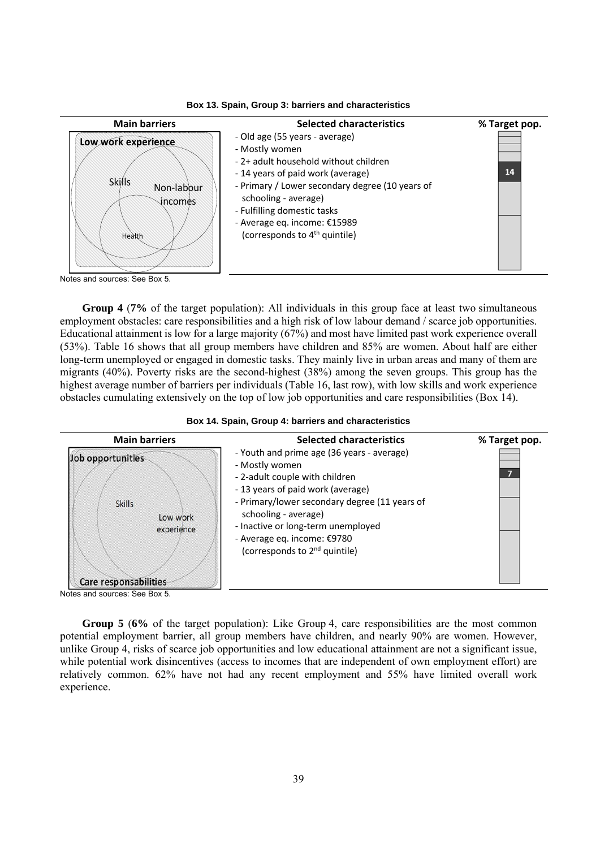

**Box 13. Spain, Group 3: barriers and characteristics**

**Group 4** (**7%** of the target population): All individuals in this group face at least two simultaneous employment obstacles: care responsibilities and a high risk of low labour demand / scarce job opportunities. Educational attainment is low for a large majority (67%) and most have limited past work experience overall (53%). Table 16 shows that all group members have children and 85% are women. About half are either long-term unemployed or engaged in domestic tasks. They mainly live in urban areas and many of them are migrants (40%). Poverty risks are the second-highest (38%) among the seven groups. This group has the highest average number of barriers per individuals (Table 16, last row), with low skills and work experience obstacles cumulating extensively on the top of low job opportunities and care responsibilities (Box 14).



**Box 14. Spain, Group 4: barriers and characteristics**

**Group 5** (**6%** of the target population): Like Group 4, care responsibilities are the most common potential employment barrier, all group members have children, and nearly 90% are women. However, unlike Group 4, risks of scarce job opportunities and low educational attainment are not a significant issue, while potential work disincentives (access to incomes that are independent of own employment effort) are relatively common. 62% have not had any recent employment and 55% have limited overall work experience.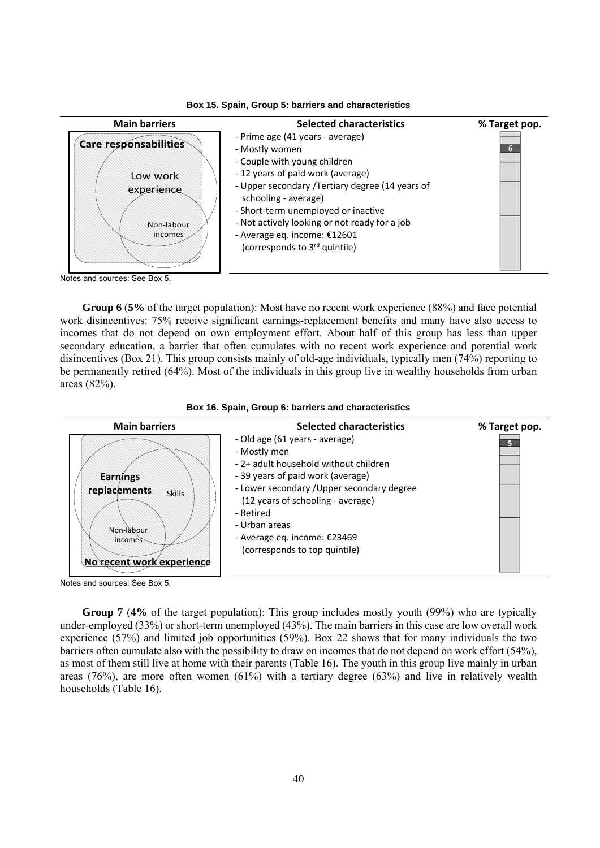

**Box 15. Spain, Group 5: barriers and characteristics**

Notes and sources: See Box 5.

**Group 6** (**5%** of the target population): Most have no recent work experience (88%) and face potential work disincentives: 75% receive significant earnings-replacement benefits and many have also access to incomes that do not depend on own employment effort. About half of this group has less than upper secondary education, a barrier that often cumulates with no recent work experience and potential work disincentives (Box 21). This group consists mainly of old-age individuals, typically men (74%) reporting to be permanently retired (64%). Most of the individuals in this group live in wealthy households from urban areas (82%).





Notes and sources: See Box 5.

**Group 7** (**4%** of the target population): This group includes mostly youth (99%) who are typically under-employed (33%) or short-term unemployed (43%). The main barriers in this case are low overall work experience (57%) and limited job opportunities (59%). Box 22 shows that for many individuals the two barriers often cumulate also with the possibility to draw on incomes that do not depend on work effort (54%), as most of them still live at home with their parents (Table 16). The youth in this group live mainly in urban areas (76%), are more often women (61%) with a tertiary degree (63%) and live in relatively wealth households (Table 16).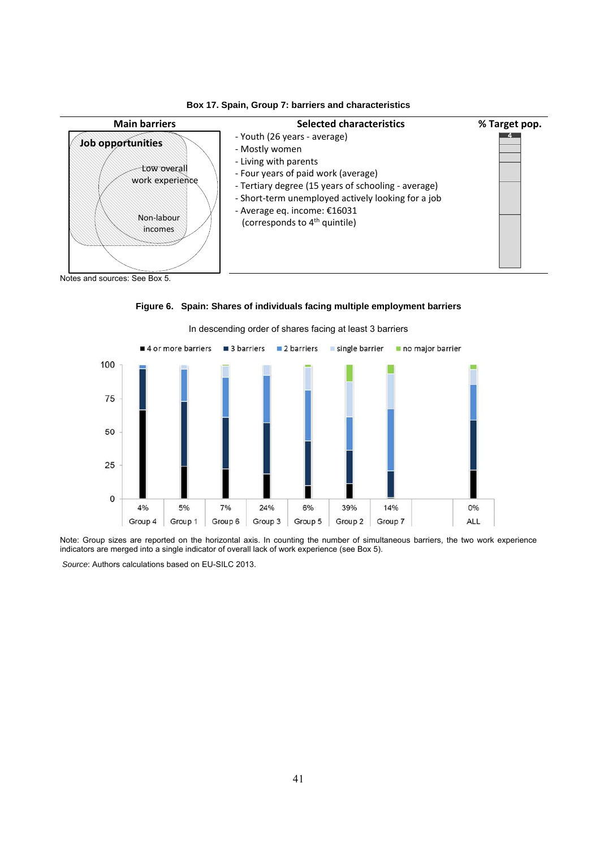



**Figure 6. Spain: Shares of individuals facing multiple employment barriers**  In descending order of shares facing at least 3 barriers

Note: Group sizes are reported on the horizontal axis. In counting the number of simultaneous barriers, the two work experience indicators are merged into a single indicator of overall lack of work experience (see Box 5).

 *Source*: Authors calculations based on EU-SILC 2013.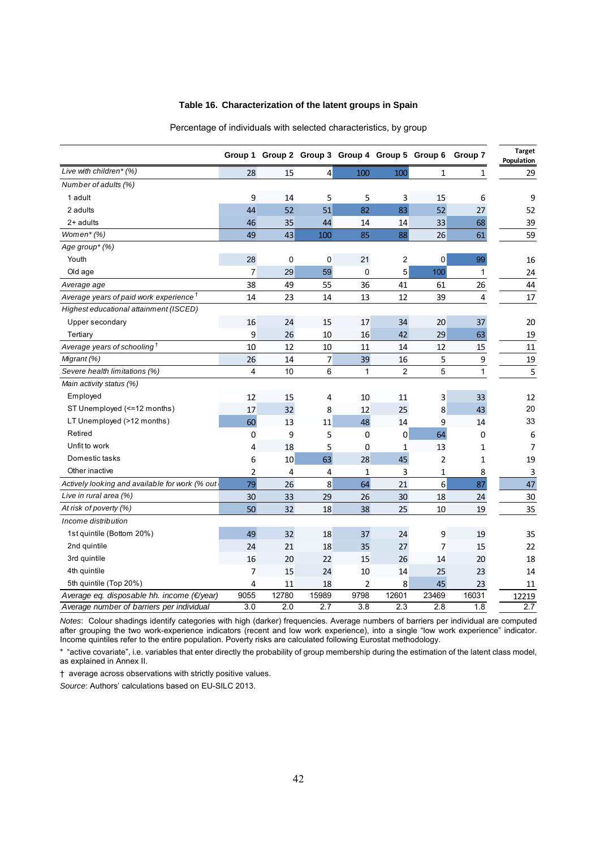#### **Table 16. Characterization of the latent groups in Spain**

|                                                    |                |             |                |                |                | Group 1 Group 2 Group 3 Group 4 Group 5 Group 6 Group 7 |              | <b>Target</b><br>Population |
|----------------------------------------------------|----------------|-------------|----------------|----------------|----------------|---------------------------------------------------------|--------------|-----------------------------|
| Live with children* (%)                            | 28             | 15          | $\vert$        | 100            | 100            | 1                                                       | 1            | 29                          |
| Number of adults (%)                               |                |             |                |                |                |                                                         |              |                             |
| 1 adult                                            | 9              | 14          | 5              | 5              | 3              | 15                                                      | 6            | 9                           |
| 2 adults                                           | 44             | 52          | 51             | 82             | 83             | 52                                                      | 27           | 52                          |
| 2+ adults                                          | 46             | 35          | 44             | 14             | 14             | 33                                                      | 68           | 39                          |
| Women*(%)                                          | 49             | 43          | 100            | 85             | 88             | 26                                                      | 61           | 59                          |
| Age group* (%)                                     |                |             |                |                |                |                                                         |              |                             |
| Youth                                              | 28             | $\mathbf 0$ | 0              | 21             | 2              | 0                                                       | 99           | 16                          |
| Old age                                            | 7              | 29          | 59             | 0              | 5              | 100                                                     | 1            | 24                          |
| Average age                                        | 38             | 49          | 55             | 36             | 41             | 61                                                      | 26           | 44                          |
| Average years of paid work experience <sup>†</sup> | 14             | 23          | 14             | 13             | 12             | 39                                                      | 4            | 17                          |
| Highest educational attainment (ISCED)             |                |             |                |                |                |                                                         |              |                             |
| Upper secondary                                    | 16             | 24          | 15             | 17             | 34             | 20                                                      | 37           | 20                          |
| Tertiary                                           | 9              | 26          | 10             | 16             | 42             | 29                                                      | 63           | 19                          |
| Average years of schooling <sup>T</sup>            | 10             | 12          | 10             | 11             | 14             | 12                                                      | 15           | $11\,$                      |
| Migrant (%)                                        | 26             | 14          | $\overline{7}$ | 39             | 16             | 5                                                       | 9            | 19                          |
| Severe health limitations (%)                      | $\overline{4}$ | 10          | 6              | $\mathbf{1}$   | $\overline{c}$ | 5                                                       | $\mathbf{1}$ | 5                           |
| Main activity status (%)                           |                |             |                |                |                |                                                         |              |                             |
| Employed                                           | 12             | 15          | 4              | 10             | 11             | 3                                                       | 33           | 12                          |
| ST Unemployed (<=12 months)                        | 17             | 32          | 8              | 12             | 25             | 8                                                       | 43           | 20                          |
| LT Unemployed (>12 months)                         | 60             | 13          | 11             | 48             | 14             | 9                                                       | 14           | 33                          |
| Retired                                            | 0              | 9           | 5              | 0              | 0              | 64                                                      | 0            | 6                           |
| Unfit to work                                      | 4              | 18          | 5              | 0              | 1              | 13                                                      | $\mathbf{1}$ | 7                           |
| Domestic tasks                                     | 6              | 10          | 63             | 28             | 45             | 2                                                       | 1            | 19                          |
| Other inactive                                     | 2              | 4           | 4              | $\mathbf{1}$   | 3              | 1                                                       | 8            | 3                           |
| Actively looking and available for work (% out     | 79             | 26          | 8 <sup>1</sup> | 64             | 21             | $6\overline{6}$                                         | 87           | 47                          |
| Live in rural area (%)                             | 30             | 33          | 29             | 26             | 30             | 18                                                      | 24           | 30                          |
| At risk of poverty (%)                             | 50             | 32          | 18             | 38             | 25             | 10                                                      | 19           | 35                          |
| Income distribution                                |                |             |                |                |                |                                                         |              |                             |
| 1st quintile (Bottom 20%)                          | 49             | 32          | 18             | 37             | 24             | 9                                                       | 19           | 35                          |
| 2nd quintile                                       | 24             | 21          | 18             | 35             | 27             | 7                                                       | 15           | 22                          |
| 3rd quintile                                       | 16             | 20          | 22             | 15             | 26             | 14                                                      | 20           | 18                          |
| 4th quintile                                       | 7              | 15          | 24             | 10             | 14             | 25                                                      | 23           | 14                          |
| 5th quintile (Top 20%)                             | 4              | 11          | 18             | $\overline{2}$ | 8              | 45                                                      | 23           | 11                          |
| Average eq. disposable hh. income (€/year)         | 9055           | 12780       | 15989          | 9798           | 12601          | 23469                                                   | 16031        | 12219                       |
| Average number of barriers per individual          | 3.0            | 2.0         | 2.7            | 3.8            | 2.3            | 2.8                                                     | 1.8          | 2.7                         |

Percentage of individuals with selected characteristics, by group

*Notes*: Colour shadings identify categories with high (darker) frequencies. Average numbers of barriers per individual are computed after grouping the two work-experience indicators (recent and low work experience), into a single "low work experience" indicator. Income quintiles refer to the entire population. Poverty risks are calculated following Eurostat methodology.

\* "active covariate", i.e. variables that enter directly the probability of group membership during the estimation of the latent class model, as explained in Annex II.

† average across observations with strictly positive values.

*Source*: Authors' calculations based on EU-SILC 2013.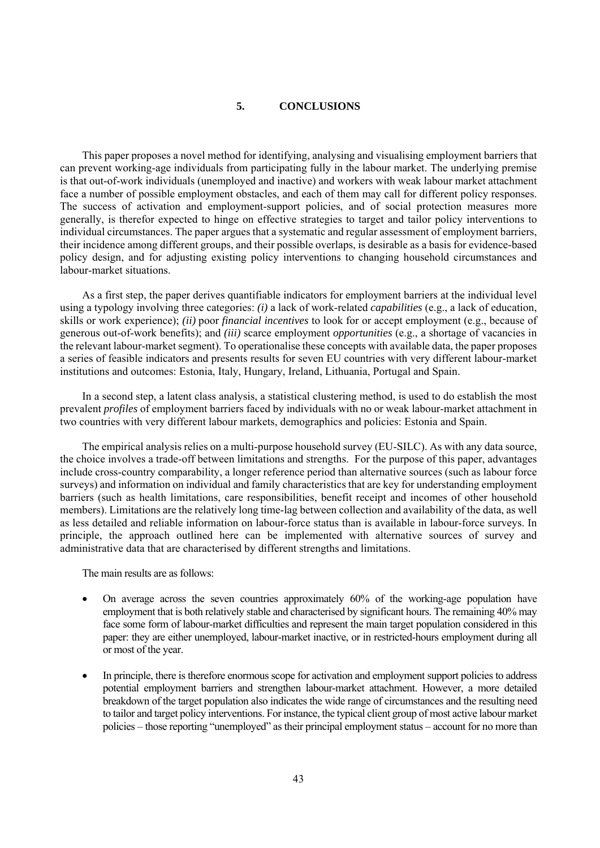#### **5. CONCLUSIONS**

This paper proposes a novel method for identifying, analysing and visualising employment barriers that can prevent working-age individuals from participating fully in the labour market. The underlying premise is that out-of-work individuals (unemployed and inactive) and workers with weak labour market attachment face a number of possible employment obstacles, and each of them may call for different policy responses. The success of activation and employment-support policies, and of social protection measures more generally, is therefor expected to hinge on effective strategies to target and tailor policy interventions to individual circumstances. The paper argues that a systematic and regular assessment of employment barriers, their incidence among different groups, and their possible overlaps, is desirable as a basis for evidence-based policy design, and for adjusting existing policy interventions to changing household circumstances and labour-market situations.

As a first step, the paper derives quantifiable indicators for employment barriers at the individual level using a typology involving three categories: *(i)* a lack of work-related *capabilities* (e.g., a lack of education, skills or work experience); *(ii)* poor *financial incentives* to look for or accept employment (e.g., because of generous out-of-work benefits); and *(iii)* scarce employment *opportunities* (e.g., a shortage of vacancies in the relevant labour-market segment). To operationalise these concepts with available data, the paper proposes a series of feasible indicators and presents results for seven EU countries with very different labour-market institutions and outcomes: Estonia, Italy, Hungary, Ireland, Lithuania, Portugal and Spain.

In a second step, a latent class analysis, a statistical clustering method, is used to do establish the most prevalent *profiles* of employment barriers faced by individuals with no or weak labour-market attachment in two countries with very different labour markets, demographics and policies: Estonia and Spain.

The empirical analysis relies on a multi-purpose household survey (EU-SILC). As with any data source, the choice involves a trade-off between limitations and strengths. For the purpose of this paper, advantages include cross-country comparability, a longer reference period than alternative sources (such as labour force surveys) and information on individual and family characteristics that are key for understanding employment barriers (such as health limitations, care responsibilities, benefit receipt and incomes of other household members). Limitations are the relatively long time-lag between collection and availability of the data, as well as less detailed and reliable information on labour-force status than is available in labour-force surveys. In principle, the approach outlined here can be implemented with alternative sources of survey and administrative data that are characterised by different strengths and limitations.

The main results are as follows:

- On average across the seven countries approximately 60% of the working-age population have employment that is both relatively stable and characterised by significant hours. The remaining 40% may face some form of labour-market difficulties and represent the main target population considered in this paper: they are either unemployed, labour-market inactive, or in restricted-hours employment during all or most of the year.
- In principle, there is therefore enormous scope for activation and employment support policies to address potential employment barriers and strengthen labour-market attachment. However, a more detailed breakdown of the target population also indicates the wide range of circumstances and the resulting need to tailor and target policy interventions. For instance, the typical client group of most active labour market policies – those reporting "unemployed" as their principal employment status – account for no more than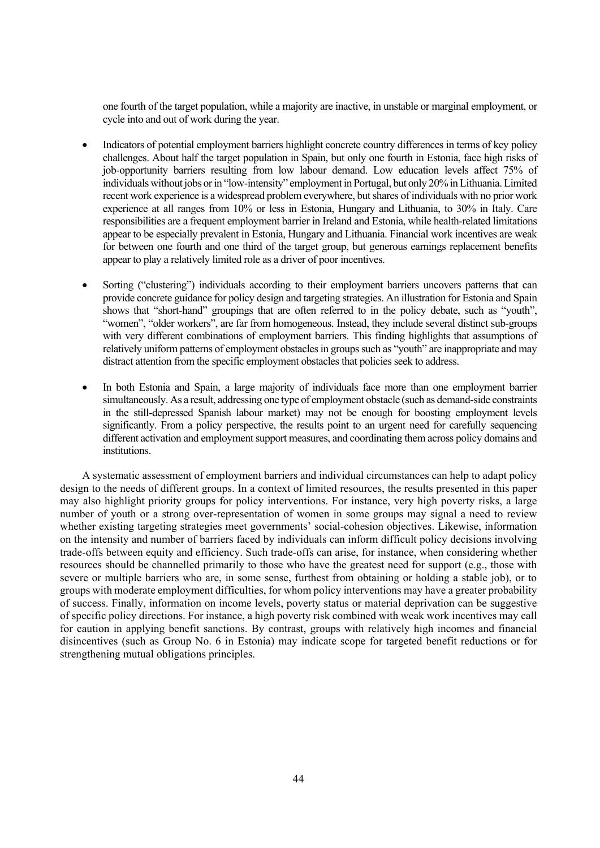one fourth of the target population, while a majority are inactive, in unstable or marginal employment, or cycle into and out of work during the year.

- Indicators of potential employment barriers highlight concrete country differences in terms of key policy challenges. About half the target population in Spain, but only one fourth in Estonia, face high risks of job-opportunity barriers resulting from low labour demand. Low education levels affect 75% of individuals without jobs or in "low-intensity" employment in Portugal, but only 20% in Lithuania. Limited recent work experience is a widespread problem everywhere, but shares of individuals with no prior work experience at all ranges from 10% or less in Estonia, Hungary and Lithuania, to 30% in Italy. Care responsibilities are a frequent employment barrier in Ireland and Estonia, while health-related limitations appear to be especially prevalent in Estonia, Hungary and Lithuania. Financial work incentives are weak for between one fourth and one third of the target group, but generous earnings replacement benefits appear to play a relatively limited role as a driver of poor incentives.
- Sorting ("clustering") individuals according to their employment barriers uncovers patterns that can provide concrete guidance for policy design and targeting strategies. An illustration for Estonia and Spain shows that "short-hand" groupings that are often referred to in the policy debate, such as "youth", "women", "older workers", are far from homogeneous. Instead, they include several distinct sub-groups with very different combinations of employment barriers. This finding highlights that assumptions of relatively uniform patterns of employment obstacles in groups such as "youth" are inappropriate and may distract attention from the specific employment obstacles that policies seek to address.
- In both Estonia and Spain, a large majority of individuals face more than one employment barrier simultaneously. As a result, addressing one type of employment obstacle (such as demand-side constraints in the still-depressed Spanish labour market) may not be enough for boosting employment levels significantly. From a policy perspective, the results point to an urgent need for carefully sequencing different activation and employment support measures, and coordinating them across policy domains and institutions.

A systematic assessment of employment barriers and individual circumstances can help to adapt policy design to the needs of different groups. In a context of limited resources, the results presented in this paper may also highlight priority groups for policy interventions. For instance, very high poverty risks, a large number of youth or a strong over-representation of women in some groups may signal a need to review whether existing targeting strategies meet governments' social-cohesion objectives. Likewise, information on the intensity and number of barriers faced by individuals can inform difficult policy decisions involving trade-offs between equity and efficiency. Such trade-offs can arise, for instance, when considering whether resources should be channelled primarily to those who have the greatest need for support (e.g., those with severe or multiple barriers who are, in some sense, furthest from obtaining or holding a stable job), or to groups with moderate employment difficulties, for whom policy interventions may have a greater probability of success. Finally, information on income levels, poverty status or material deprivation can be suggestive of specific policy directions. For instance, a high poverty risk combined with weak work incentives may call for caution in applying benefit sanctions. By contrast, groups with relatively high incomes and financial disincentives (such as Group No. 6 in Estonia) may indicate scope for targeted benefit reductions or for strengthening mutual obligations principles.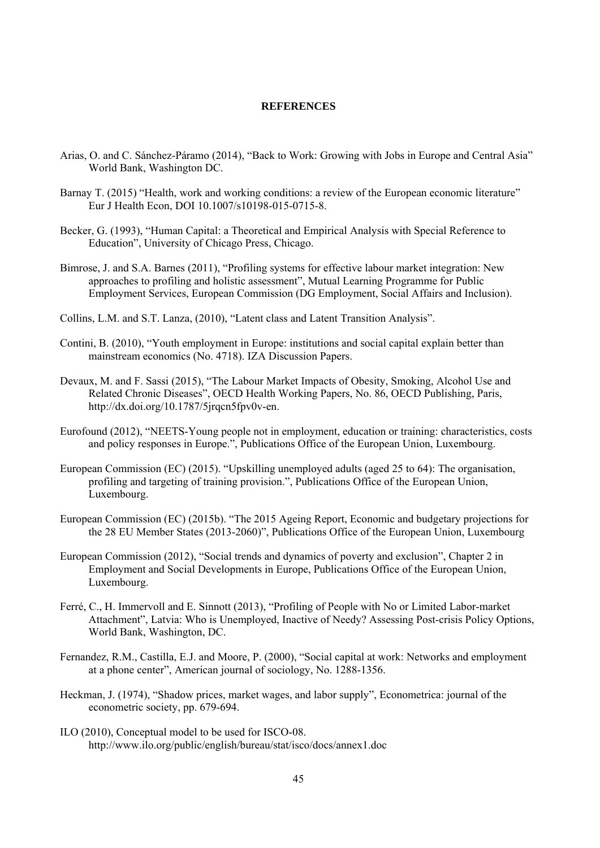#### **REFERENCES**

- Arias, O. and C. Sánchez-Páramo (2014), "Back to Work: Growing with Jobs in Europe and Central Asia" World Bank, Washington DC.
- Barnay T. (2015) "Health, work and working conditions: a review of the European economic literature" Eur J Health Econ, DOI 10.1007/s10198-015-0715-8.
- Becker, G. (1993), "Human Capital: a Theoretical and Empirical Analysis with Special Reference to Education", University of Chicago Press, Chicago.
- Bimrose, J. and S.A. Barnes (2011), "Profiling systems for effective labour market integration: New approaches to profiling and holistic assessment", Mutual Learning Programme for Public Employment Services, European Commission (DG Employment, Social Affairs and Inclusion).
- Collins, L.M. and S.T. Lanza, (2010), "Latent class and Latent Transition Analysis".
- Contini, B. (2010), "Youth employment in Europe: institutions and social capital explain better than mainstream economics (No. 4718). IZA Discussion Papers.
- Devaux, M. and F. Sassi (2015), "The Labour Market Impacts of Obesity, Smoking, Alcohol Use and Related Chronic Diseases", OECD Health Working Papers, No. 86, OECD Publishing, Paris, http://dx.doi.org/10.1787/5jrqcn5fpv0v-en.
- Eurofound (2012), "NEETS-Young people not in employment, education or training: characteristics, costs and policy responses in Europe.", Publications Office of the European Union, Luxembourg.
- European Commission (EC) (2015). "Upskilling unemployed adults (aged 25 to 64): The organisation, profiling and targeting of training provision.", Publications Office of the European Union, Luxembourg.
- European Commission (EC) (2015b). "The 2015 Ageing Report, Economic and budgetary projections for the 28 EU Member States (2013-2060)", Publications Office of the European Union, Luxembourg
- European Commission (2012), "Social trends and dynamics of poverty and exclusion", Chapter 2 in Employment and Social Developments in Europe, Publications Office of the European Union, Luxembourg.
- Ferré, C., H. Immervoll and E. Sinnott (2013), "Profiling of People with No or Limited Labor-market Attachment", Latvia: Who is Unemployed, Inactive of Needy? Assessing Post-crisis Policy Options, World Bank, Washington, DC.
- Fernandez, R.M., Castilla, E.J. and Moore, P. (2000), "Social capital at work: Networks and employment at a phone center", American journal of sociology, No. 1288-1356.
- Heckman, J. (1974), "Shadow prices, market wages, and labor supply", Econometrica: journal of the econometric society, pp. 679-694.
- ILO (2010), Conceptual model to be used for ISCO-08. http://www.ilo.org/public/english/bureau/stat/isco/docs/annex1.doc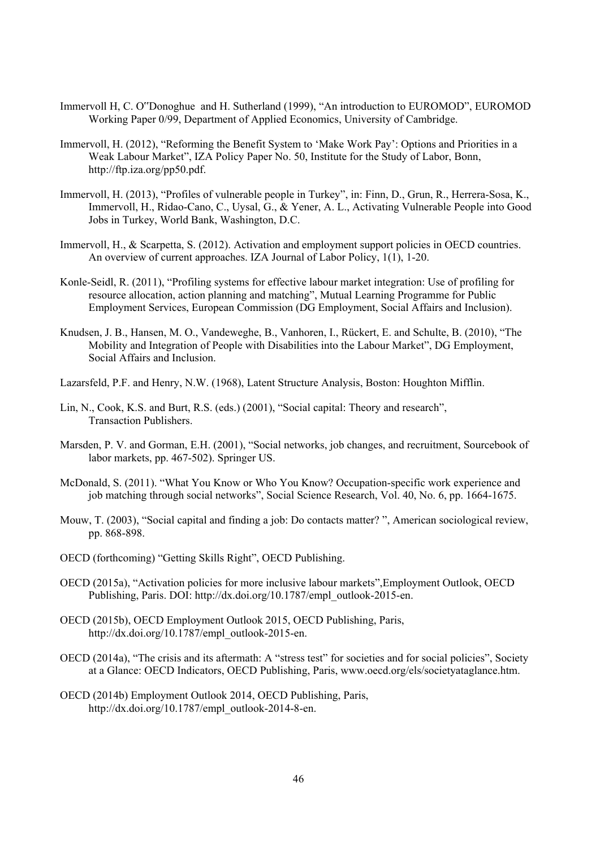- Immervoll H, C. O"Donoghue and H. Sutherland (1999), "An introduction to EUROMOD", EUROMOD Working Paper 0/99, Department of Applied Economics, University of Cambridge.
- Immervoll, H. (2012), "Reforming the Benefit System to 'Make Work Pay': Options and Priorities in a Weak Labour Market", IZA Policy Paper No. 50, Institute for the Study of Labor, Bonn, http://ftp.iza.org/pp50.pdf.
- Immervoll, H. (2013), "Profiles of vulnerable people in Turkey", in: Finn, D., Grun, R., Herrera-Sosa, K., Immervoll, H., Ridao-Cano, C., Uysal, G., & Yener, A. L., Activating Vulnerable People into Good Jobs in Turkey, World Bank, Washington, D.C.
- Immervoll, H., & Scarpetta, S. (2012). Activation and employment support policies in OECD countries. An overview of current approaches. IZA Journal of Labor Policy, 1(1), 1-20.
- Konle-Seidl, R. (2011), "Profiling systems for effective labour market integration: Use of profiling for resource allocation, action planning and matching", Mutual Learning Programme for Public Employment Services, European Commission (DG Employment, Social Affairs and Inclusion).
- Knudsen, J. B., Hansen, M. O., Vandeweghe, B., Vanhoren, I., Rückert, E. and Schulte, B. (2010), "The Mobility and Integration of People with Disabilities into the Labour Market", DG Employment, Social Affairs and Inclusion.
- Lazarsfeld, P.F. and Henry, N.W. (1968), Latent Structure Analysis, Boston: Houghton Mifflin.
- Lin, N., Cook, K.S. and Burt, R.S. (eds.) (2001), "Social capital: Theory and research", Transaction Publishers.
- Marsden, P. V. and Gorman, E.H. (2001), "Social networks, job changes, and recruitment, Sourcebook of labor markets, pp. 467-502). Springer US.
- McDonald, S. (2011). "What You Know or Who You Know? Occupation-specific work experience and job matching through social networks", Social Science Research, Vol. 40, No. 6, pp. 1664-1675.
- Mouw, T. (2003), "Social capital and finding a job: Do contacts matter? ", American sociological review, pp. 868-898.
- OECD (forthcoming) "Getting Skills Right", OECD Publishing.
- OECD (2015a), "Activation policies for more inclusive labour markets",Employment Outlook, OECD Publishing, Paris. DOI: http://dx.doi.org/10.1787/empl\_outlook-2015-en.
- OECD (2015b), OECD Employment Outlook 2015, OECD Publishing, Paris, http://dx.doi.org/10.1787/empl\_outlook-2015-en.
- OECD (2014a), "The crisis and its aftermath: A "stress test" for societies and for social policies", Society at a Glance: OECD Indicators, OECD Publishing, Paris, www.oecd.org/els/societyataglance.htm.
- OECD (2014b) Employment Outlook 2014, OECD Publishing, Paris, http://dx.doi.org/10.1787/empl\_outlook-2014-8-en.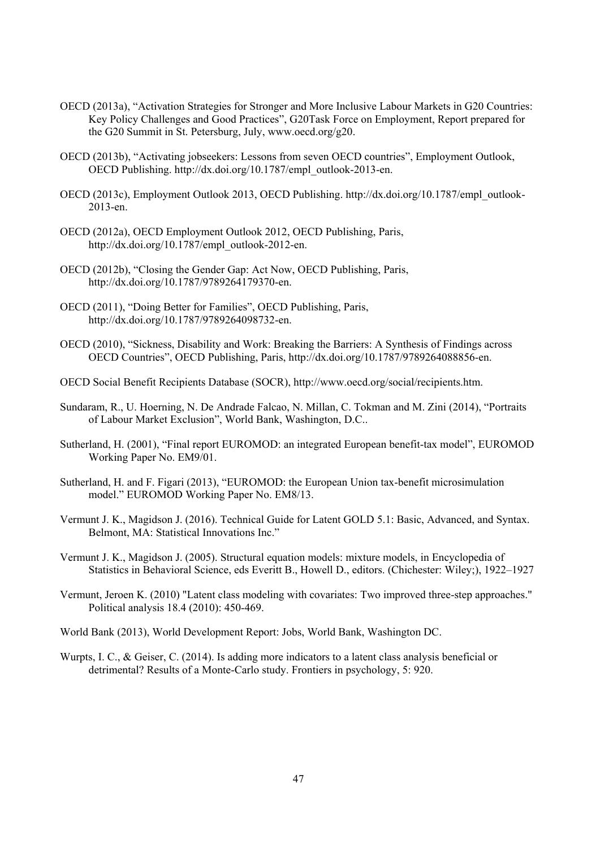- OECD (2013a), "Activation Strategies for Stronger and More Inclusive Labour Markets in G20 Countries: Key Policy Challenges and Good Practices", G20Task Force on Employment, Report prepared for the G20 Summit in St. Petersburg, July, www.oecd.org/g20.
- OECD (2013b), "Activating jobseekers: Lessons from seven OECD countries", Employment Outlook, OECD Publishing. http://dx.doi.org/10.1787/empl\_outlook-2013-en.
- OECD (2013c), Employment Outlook 2013, OECD Publishing. http://dx.doi.org/10.1787/empl\_outlook-2013-en.
- OECD (2012a), OECD Employment Outlook 2012, OECD Publishing, Paris, http://dx.doi.org/10.1787/empl\_outlook-2012-en.
- OECD (2012b), "Closing the Gender Gap: Act Now, OECD Publishing, Paris, http://dx.doi.org/10.1787/9789264179370-en.
- OECD (2011), "Doing Better for Families", OECD Publishing, Paris, http://dx.doi.org/10.1787/9789264098732-en.
- OECD (2010), "Sickness, Disability and Work: Breaking the Barriers: A Synthesis of Findings across OECD Countries", OECD Publishing, Paris, http://dx.doi.org/10.1787/9789264088856-en.
- OECD Social Benefit Recipients Database (SOCR), http://www.oecd.org/social/recipients.htm.
- Sundaram, R., U. Hoerning, N. De Andrade Falcao, N. Millan, C. Tokman and M. Zini (2014), "Portraits of Labour Market Exclusion", World Bank, Washington, D.C..
- Sutherland, H. (2001), "Final report EUROMOD: an integrated European benefit-tax model", EUROMOD Working Paper No. EM9/01.
- Sutherland, H. and F. Figari (2013), "EUROMOD: the European Union tax-benefit microsimulation model." EUROMOD Working Paper No. EM8/13.
- Vermunt J. K., Magidson J. (2016). Technical Guide for Latent GOLD 5.1: Basic, Advanced, and Syntax. Belmont, MA: Statistical Innovations Inc."
- Vermunt J. K., Magidson J. (2005). Structural equation models: mixture models, in Encyclopedia of Statistics in Behavioral Science, eds Everitt B., Howell D., editors. (Chichester: Wiley;), 1922–1927
- Vermunt, Jeroen K. (2010) "Latent class modeling with covariates: Two improved three-step approaches." Political analysis 18.4 (2010): 450-469.
- World Bank (2013), World Development Report: Jobs, World Bank, Washington DC.
- Wurpts, I. C., & Geiser, C. (2014). Is adding more indicators to a latent class analysis beneficial or detrimental? Results of a Monte-Carlo study. Frontiers in psychology, 5: 920.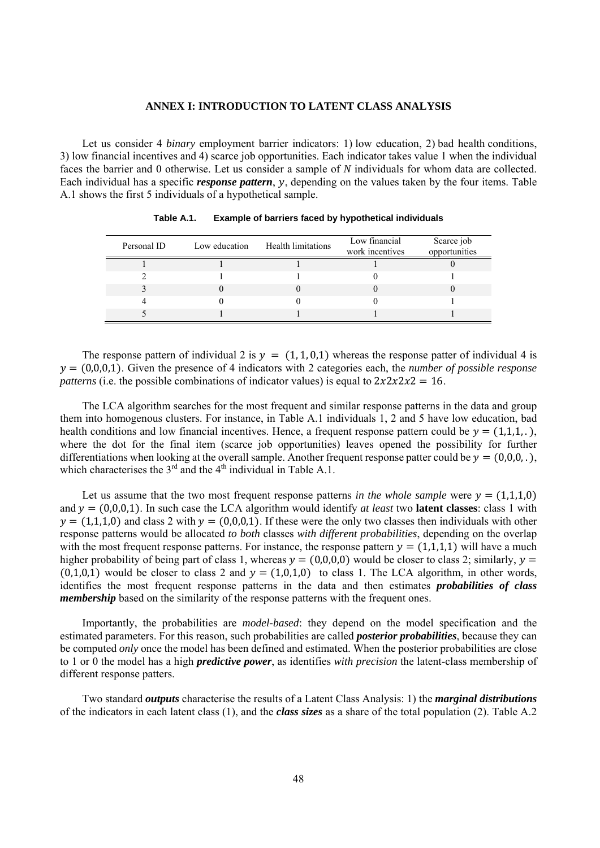#### **ANNEX I: INTRODUCTION TO LATENT CLASS ANALYSIS**

Let us consider 4 *binary* employment barrier indicators: 1) low education, 2) bad health conditions, 3) low financial incentives and 4) scarce job opportunities. Each indicator takes value 1 when the individual faces the barrier and 0 otherwise. Let us consider a sample of *N* individuals for whom data are collected. Each individual has a specific *response pattern*, y, depending on the values taken by the four items. Table A.1 shows the first 5 individuals of a hypothetical sample.

| Personal ID | Low education | Health limitations | Low financial<br>work incentives | Scarce job<br>opportunities |
|-------------|---------------|--------------------|----------------------------------|-----------------------------|
|             |               |                    |                                  |                             |
|             |               |                    |                                  |                             |
|             |               |                    |                                  |                             |
|             |               |                    |                                  |                             |
|             |               |                    |                                  |                             |

**Table A.1. Example of barriers faced by hypothetical individuals** 

The response pattern of individual 2 is  $y = (1, 1, 0, 1)$  whereas the response patter of individual 4 is  $y = (0,0,0,1)$ . Given the presence of 4 indicators with 2 categories each, the *number of possible response patterns* (i.e. the possible combinations of indicator values) is equal to  $2x2x2x2 = 16$ .

The LCA algorithm searches for the most frequent and similar response patterns in the data and group them into homogenous clusters. For instance, in Table A.1 individuals 1, 2 and 5 have low education, bad health conditions and low financial incentives. Hence, a frequent response pattern could be  $y = (1,1,1, ...)$ , where the dot for the final item (scarce job opportunities) leaves opened the possibility for further differentiations when looking at the overall sample. Another frequent response patter could be  $y = (0,0,0, \cdot)$ , which characterises the  $3<sup>rd</sup>$  and the 4<sup>th</sup> individual in Table A.1.

Let us assume that the two most frequent response patterns *in the whole sample* were  $y = (1,1,1,0)$ and  $y = (0,0,0,1)$ . In such case the LCA algorithm would identify *at least* two **latent classes**: class 1 with  $y = (1,1,1,0)$  and class 2 with  $y = (0,0,0,1)$ . If these were the only two classes then individuals with other response patterns would be allocated *to both* classes *with different probabilities*, depending on the overlap with the most frequent response patterns. For instance, the response pattern  $y = (1,1,1,1)$  will have a much higher probability of being part of class 1, whereas  $y = (0,0,0,0)$  would be closer to class 2; similarly,  $y =$  $(0,1,0,1)$  would be closer to class 2 and  $y = (1,0,1,0)$  to class 1. The LCA algorithm, in other words, identifies the most frequent response patterns in the data and then estimates *probabilities of class membership* based on the similarity of the response patterns with the frequent ones.

Importantly, the probabilities are *model-based*: they depend on the model specification and the estimated parameters. For this reason, such probabilities are called *posterior probabilities*, because they can be computed *only* once the model has been defined and estimated. When the posterior probabilities are close to 1 or 0 the model has a high *predictive power*, as identifies *with precision* the latent-class membership of different response patters.

Two standard *outputs* characterise the results of a Latent Class Analysis: 1) the *marginal distributions* of the indicators in each latent class (1), and the *class sizes* as a share of the total population (2). Table A.2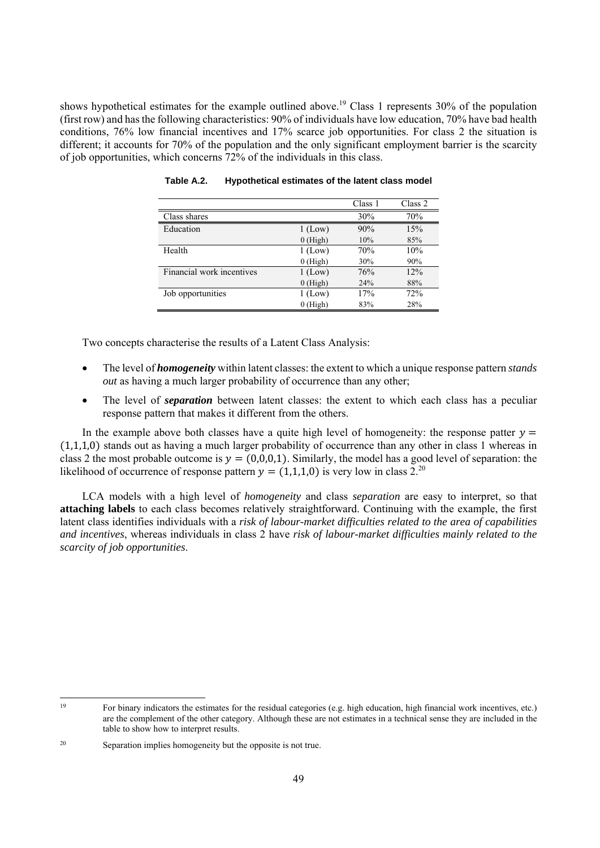shows hypothetical estimates for the example outlined above.<sup>19</sup> Class 1 represents  $30\%$  of the population (first row) and has the following characteristics: 90% of individuals have low education, 70% have bad health conditions, 76% low financial incentives and 17% scarce job opportunities. For class 2 the situation is different; it accounts for 70% of the population and the only significant employment barrier is the scarcity of job opportunities, which concerns 72% of the individuals in this class.

|                           |            | Class 1 | Class 2 |
|---------------------------|------------|---------|---------|
| Class shares              |            | 30%     | 70%     |
| Education                 | $1$ (Low)  | 90%     | 15%     |
|                           | $0$ (High) | 10%     | 85%     |
| Health                    | $1$ (Low)  | 70%     | 10%     |
|                           | $0$ (High) | 30%     | 90%     |
| Financial work incentives | $1$ (Low)  | 76%     | 12%     |
|                           | $0$ (High) | 24%     | 88%     |
| Job opportunities         | $1$ (Low)  | 17%     | 72%     |
|                           | $0$ (High) | 83%     | 28%     |

**Table A.2. Hypothetical estimates of the latent class model** 

Two concepts characterise the results of a Latent Class Analysis:

- The level of *homogeneity* within latent classes: the extent to which a unique response pattern *stands out* as having a much larger probability of occurrence than any other;
- The level of *separation* between latent classes: the extent to which each class has a peculiar response pattern that makes it different from the others.

In the example above both classes have a quite high level of homogeneity: the response patter  $y =$  $(1,1,1,0)$  stands out as having a much larger probability of occurrence than any other in class 1 whereas in class 2 the most probable outcome is  $y = (0,0,0,1)$ . Similarly, the model has a good level of separation: the likelihood of occurrence of response pattern  $y = (1,1,1,0)$  is very low in class 2.<sup>20</sup>

LCA models with a high level of *homogeneity* and class *separation* are easy to interpret, so that **attaching labels** to each class becomes relatively straightforward. Continuing with the example, the first latent class identifies individuals with a *risk of labour-market difficulties related to the area of capabilities and incentives*, whereas individuals in class 2 have *risk of labour-market difficulties mainly related to the scarcity of job opportunities*.

<sup>19</sup> For binary indicators the estimates for the residual categories (e.g. high education, high financial work incentives, etc.) are the complement of the other category. Although these are not estimates in a technical sense they are included in the table to show how to interpret results.

<sup>20</sup> Separation implies homogeneity but the opposite is not true.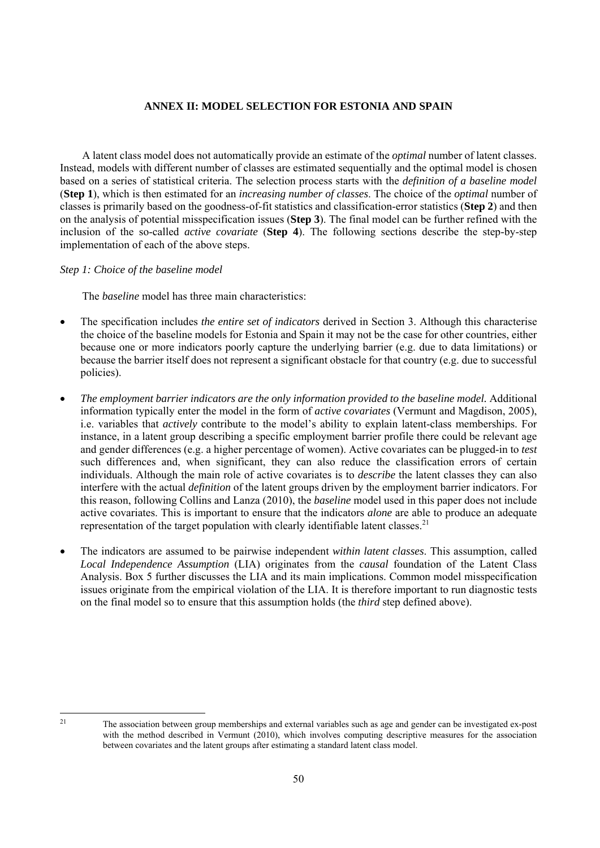#### **ANNEX II: MODEL SELECTION FOR ESTONIA AND SPAIN**

A latent class model does not automatically provide an estimate of the *optimal* number of latent classes. Instead, models with different number of classes are estimated sequentially and the optimal model is chosen based on a series of statistical criteria. The selection process starts with the *definition of a baseline model* (**Step 1**), which is then estimated for an *increasing number of classes*. The choice of the *optimal* number of classes is primarily based on the goodness-of-fit statistics and classification-error statistics (**Step 2**) and then on the analysis of potential misspecification issues (**Step 3**). The final model can be further refined with the inclusion of the so-called *active covariate* (**Step 4**). The following sections describe the step-by-step implementation of each of the above steps.

#### *Step 1: Choice of the baseline model*

The *baseline* model has three main characteristics:

- The specification includes *the entire set of indicators* derived in Section 3. Although this characterise the choice of the baseline models for Estonia and Spain it may not be the case for other countries, either because one or more indicators poorly capture the underlying barrier (e.g. due to data limitations) or because the barrier itself does not represent a significant obstacle for that country (e.g. due to successful policies).
- *The employment barrier indicators are the only information provided to the baseline model.* Additional information typically enter the model in the form of *active covariates* (Vermunt and Magdison, 2005), i.e. variables that *actively* contribute to the model's ability to explain latent-class memberships. For instance, in a latent group describing a specific employment barrier profile there could be relevant age and gender differences (e.g. a higher percentage of women). Active covariates can be plugged-in to *test* such differences and, when significant, they can also reduce the classification errors of certain individuals. Although the main role of active covariates is to *describe* the latent classes they can also interfere with the actual *definition* of the latent groups driven by the employment barrier indicators. For this reason, following Collins and Lanza (2010), the *baseline* model used in this paper does not include active covariates. This is important to ensure that the indicators *alone* are able to produce an adequate representation of the target population with clearly identifiable latent classes.<sup>21</sup>
- The indicators are assumed to be pairwise independent *within latent classes*. This assumption, called *Local Independence Assumption* (LIA) originates from the *causal* foundation of the Latent Class Analysis. Box 5 further discusses the LIA and its main implications. Common model misspecification issues originate from the empirical violation of the LIA. It is therefore important to run diagnostic tests on the final model so to ensure that this assumption holds (the *third* step defined above).

<sup>21</sup> The association between group memberships and external variables such as age and gender can be investigated ex-post with the method described in Vermunt (2010), which involves computing descriptive measures for the association between covariates and the latent groups after estimating a standard latent class model.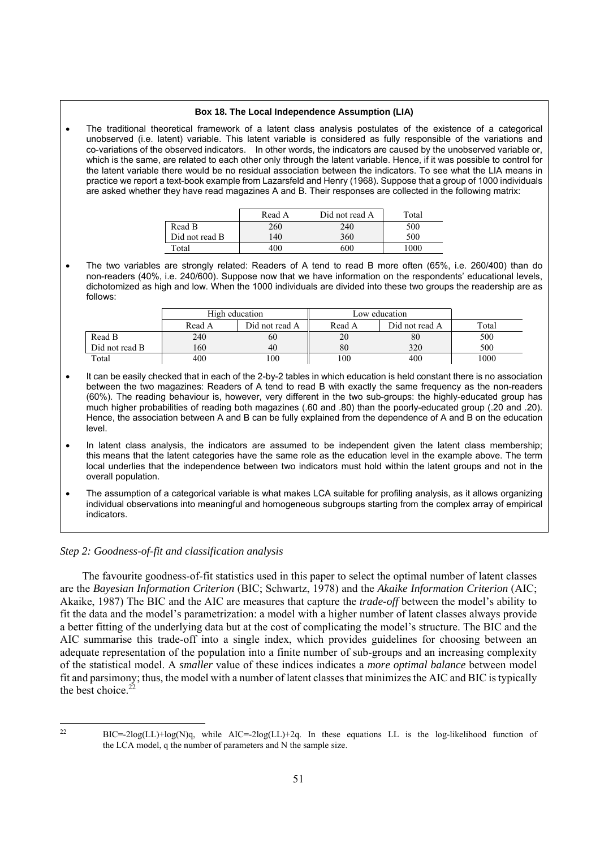#### **Box 18. The Local Independence Assumption (LIA)**

 The traditional theoretical framework of a latent class analysis postulates of the existence of a categorical unobserved (i.e. latent) variable. This latent variable is considered as fully responsible of the variations and co-variations of the observed indicators. In other words, the indicators are caused by the unobserved variable or, which is the same, are related to each other only through the latent variable. Hence, if it was possible to control for the latent variable there would be no residual association between the indicators. To see what the LIA means in practice we report a text-book example from Lazarsfeld and Henry (1968). Suppose that a group of 1000 individuals are asked whether they have read magazines A and B. Their responses are collected in the following matrix:

|                | Read A | Did not read A | Total    |
|----------------|--------|----------------|----------|
| Read B         | 260    | 240            | 500      |
| Did not read B | 140    | 360            | 500      |
| Total          | 400    | 600            | $1000^+$ |

 The two variables are strongly related: Readers of A tend to read B more often (65%, i.e. 260/400) than do non-readers (40%, i.e. 240/600). Suppose now that we have information on the respondents' educational levels, dichotomized as high and low. When the 1000 individuals are divided into these two groups the readership are as follows:

|                | High education |                | Low education |                |       |
|----------------|----------------|----------------|---------------|----------------|-------|
|                | Read A         | Did not read A | Read A        | Did not read A | Total |
| Read B         | 240            | 60             | 20            | 80             | 500   |
| Did not read B | 160            | 40             | 80            | 320            | 500   |
| Total          | 400            | 100            | 100           | 400            | 1000  |

- It can be easily checked that in each of the 2-by-2 tables in which education is held constant there is no association between the two magazines: Readers of A tend to read B with exactly the same frequency as the non-readers (60%). The reading behaviour is, however, very different in the two sub-groups: the highly-educated group has much higher probabilities of reading both magazines (.60 and .80) than the poorly-educated group (.20 and .20). Hence, the association between A and B can be fully explained from the dependence of A and B on the education level.
- In latent class analysis, the indicators are assumed to be independent given the latent class membership; this means that the latent categories have the same role as the education level in the example above. The term local underlies that the independence between two indicators must hold within the latent groups and not in the overall population.
- The assumption of a categorical variable is what makes LCA suitable for profiling analysis, as it allows organizing individual observations into meaningful and homogeneous subgroups starting from the complex array of empirical indicators.

#### *Step 2: Goodness-of-fit and classification analysis*

The favourite goodness-of-fit statistics used in this paper to select the optimal number of latent classes are the *Bayesian Information Criterion* (BIC; Schwartz, 1978) and the *Akaike Information Criterion* (AIC; Akaike, 1987) The BIC and the AIC are measures that capture the *trade-off* between the model's ability to fit the data and the model's parametrization: a model with a higher number of latent classes always provide a better fitting of the underlying data but at the cost of complicating the model's structure. The BIC and the AIC summarise this trade-off into a single index, which provides guidelines for choosing between an adequate representation of the population into a finite number of sub-groups and an increasing complexity of the statistical model. A *smaller* value of these indices indicates a *more optimal balance* between model fit and parsimony; thus, the model with a number of latent classes that minimizes the AIC and BIC is typically the best choice  $^{22}$ 

 $BIC = -2log(L) + log(N)q$ , while  $AIC = -2log(L) + 2q$ . In these equations LL is the log-likelihood function of the LCA model, q the number of parameters and N the sample size.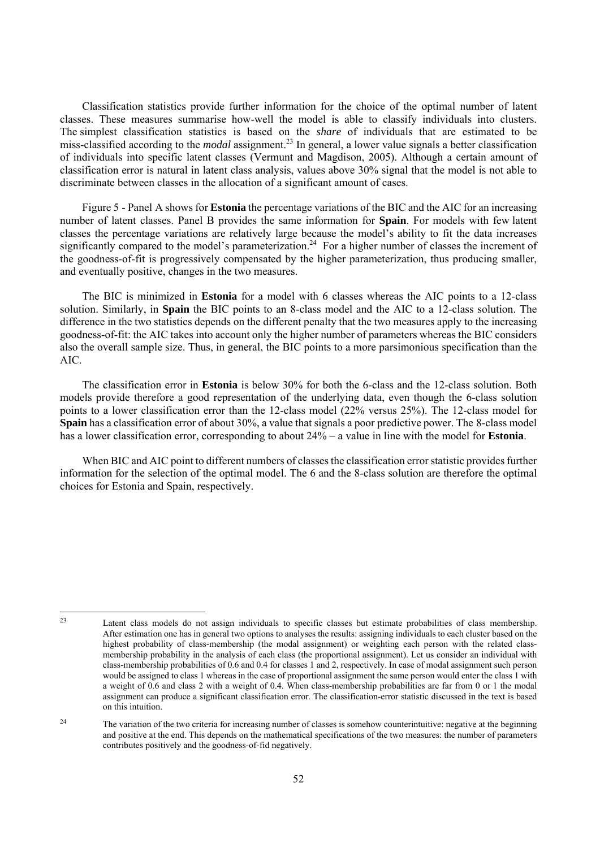Classification statistics provide further information for the choice of the optimal number of latent classes. These measures summarise how-well the model is able to classify individuals into clusters. The simplest classification statistics is based on the *share* of individuals that are estimated to be miss-classified according to the *modal* assignment.23 In general, a lower value signals a better classification of individuals into specific latent classes (Vermunt and Magdison, 2005). Although a certain amount of classification error is natural in latent class analysis, values above 30% signal that the model is not able to discriminate between classes in the allocation of a significant amount of cases.

Figure 5 - Panel A shows for **Estonia** the percentage variations of the BIC and the AIC for an increasing number of latent classes. Panel B provides the same information for **Spain**. For models with few latent classes the percentage variations are relatively large because the model's ability to fit the data increases significantly compared to the model's parameterization.<sup>24</sup> For a higher number of classes the increment of the goodness-of-fit is progressively compensated by the higher parameterization, thus producing smaller, and eventually positive, changes in the two measures.

The BIC is minimized in **Estonia** for a model with 6 classes whereas the AIC points to a 12-class solution. Similarly, in **Spain** the BIC points to an 8-class model and the AIC to a 12-class solution. The difference in the two statistics depends on the different penalty that the two measures apply to the increasing goodness-of-fit: the AIC takes into account only the higher number of parameters whereas the BIC considers also the overall sample size. Thus, in general, the BIC points to a more parsimonious specification than the AIC.

The classification error in **Estonia** is below 30% for both the 6-class and the 12-class solution. Both models provide therefore a good representation of the underlying data, even though the 6-class solution points to a lower classification error than the 12-class model (22% versus 25%). The 12-class model for **Spain** has a classification error of about 30%, a value that signals a poor predictive power. The 8-class model has a lower classification error, corresponding to about 24% – a value in line with the model for **Estonia**.

When BIC and AIC point to different numbers of classes the classification error statistic provides further information for the selection of the optimal model. The 6 and the 8-class solution are therefore the optimal choices for Estonia and Spain, respectively.

<sup>1</sup> 23 Latent class models do not assign individuals to specific classes but estimate probabilities of class membership. After estimation one has in general two options to analyses the results: assigning individuals to each cluster based on the highest probability of class-membership (the modal assignment) or weighting each person with the related classmembership probability in the analysis of each class (the proportional assignment). Let us consider an individual with class-membership probabilities of 0.6 and 0.4 for classes 1 and 2, respectively. In case of modal assignment such person would be assigned to class 1 whereas in the case of proportional assignment the same person would enter the class 1 with a weight of 0.6 and class 2 with a weight of 0.4. When class-membership probabilities are far from 0 or 1 the modal assignment can produce a significant classification error. The classification-error statistic discussed in the text is based on this intuition.

<sup>&</sup>lt;sup>24</sup> The variation of the two criteria for increasing number of classes is somehow counterintuitive: negative at the beginning and positive at the end. This depends on the mathematical specifications of the two measures: the number of parameters contributes positively and the goodness-of-fid negatively.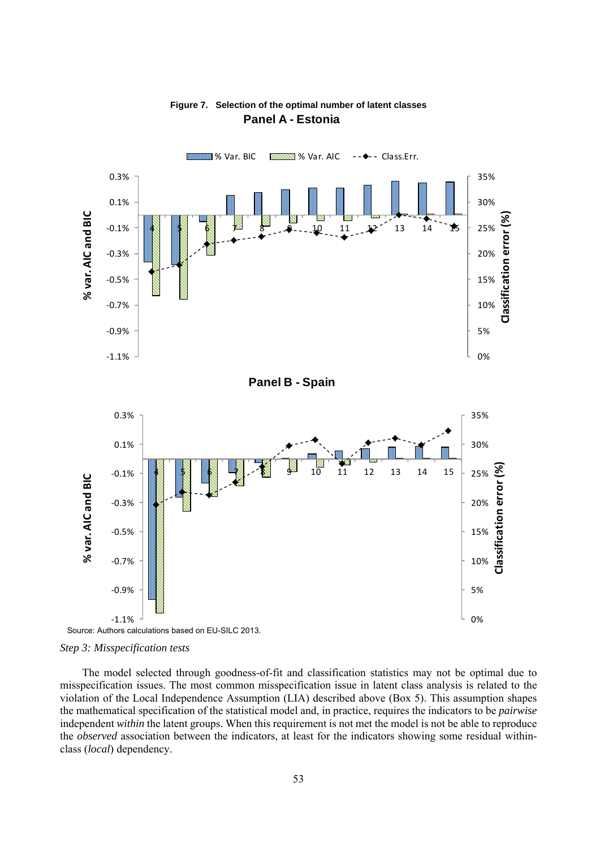

# **Figure 7. Selection of the optimal number of latent classes Panel A - Estonia**



The model selected through goodness-of-fit and classification statistics may not be optimal due to misspecification issues. The most common misspecification issue in latent class analysis is related to the violation of the Local Independence Assumption (LIA) described above (Box 5). This assumption shapes the mathematical specification of the statistical model and, in practice, requires the indicators to be *pairwise* independent *within* the latent groups. When this requirement is not met the model is not be able to reproduce the *observed* association between the indicators, at least for the indicators showing some residual withinclass (*local*) dependency.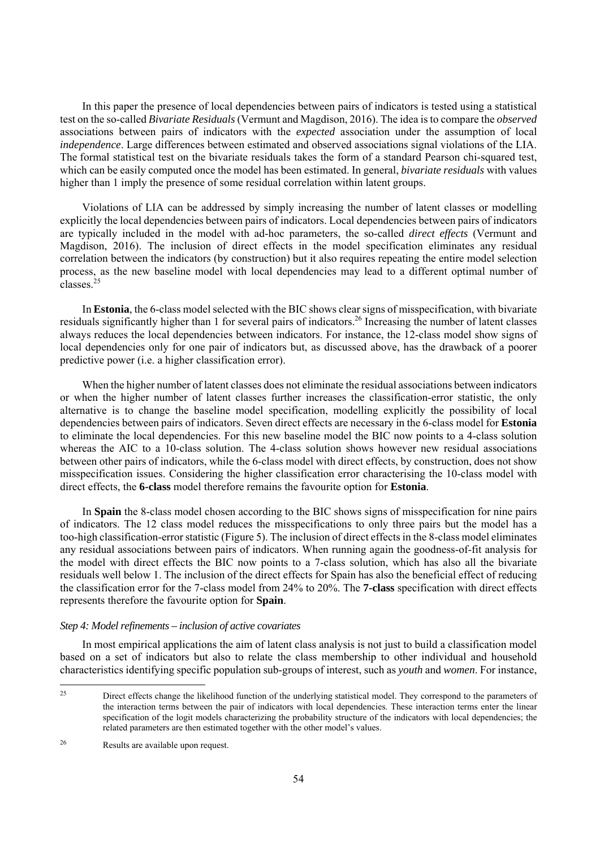In this paper the presence of local dependencies between pairs of indicators is tested using a statistical test on the so-called *Bivariate Residuals* (Vermunt and Magdison, 2016). The idea is to compare the *observed* associations between pairs of indicators with the *expected* association under the assumption of local *independence*. Large differences between estimated and observed associations signal violations of the LIA. The formal statistical test on the bivariate residuals takes the form of a standard Pearson chi-squared test, which can be easily computed once the model has been estimated. In general, *bivariate residuals* with values higher than 1 imply the presence of some residual correlation within latent groups.

Violations of LIA can be addressed by simply increasing the number of latent classes or modelling explicitly the local dependencies between pairs of indicators. Local dependencies between pairs of indicators are typically included in the model with ad-hoc parameters, the so-called *direct effects* (Vermunt and Magdison, 2016). The inclusion of direct effects in the model specification eliminates any residual correlation between the indicators (by construction) but it also requires repeating the entire model selection process, as the new baseline model with local dependencies may lead to a different optimal number of classes<sup>25</sup>

In **Estonia**, the 6-class model selected with the BIC shows clear signs of misspecification, with bivariate residuals significantly higher than 1 for several pairs of indicators.<sup>26</sup> Increasing the number of latent classes always reduces the local dependencies between indicators. For instance, the 12-class model show signs of local dependencies only for one pair of indicators but, as discussed above, has the drawback of a poorer predictive power (i.e. a higher classification error).

When the higher number of latent classes does not eliminate the residual associations between indicators or when the higher number of latent classes further increases the classification-error statistic, the only alternative is to change the baseline model specification, modelling explicitly the possibility of local dependencies between pairs of indicators. Seven direct effects are necessary in the 6-class model for **Estonia** to eliminate the local dependencies. For this new baseline model the BIC now points to a 4-class solution whereas the AIC to a 10-class solution. The 4-class solution shows however new residual associations between other pairs of indicators, while the 6-class model with direct effects, by construction, does not show misspecification issues. Considering the higher classification error characterising the 10-class model with direct effects, the **6-class** model therefore remains the favourite option for **Estonia**.

In **Spain** the 8-class model chosen according to the BIC shows signs of misspecification for nine pairs of indicators. The 12 class model reduces the misspecifications to only three pairs but the model has a too-high classification-error statistic (Figure 5). The inclusion of direct effects in the 8-class model eliminates any residual associations between pairs of indicators. When running again the goodness-of-fit analysis for the model with direct effects the BIC now points to a 7-class solution, which has also all the bivariate residuals well below 1. The inclusion of the direct effects for Spain has also the beneficial effect of reducing the classification error for the 7-class model from 24% to 20%. The **7-class** specification with direct effects represents therefore the favourite option for **Spain**.

#### *Step 4: Model refinements – inclusion of active covariates*

In most empirical applications the aim of latent class analysis is not just to build a classification model based on a set of indicators but also to relate the class membership to other individual and household characteristics identifying specific population sub-groups of interest, such as *youth* and *women*. For instance,

 $25$ 25 Direct effects change the likelihood function of the underlying statistical model. They correspond to the parameters of the interaction terms between the pair of indicators with local dependencies. These interaction terms enter the linear specification of the logit models characterizing the probability structure of the indicators with local dependencies; the related parameters are then estimated together with the other model's values.

<sup>26</sup> Results are available upon request.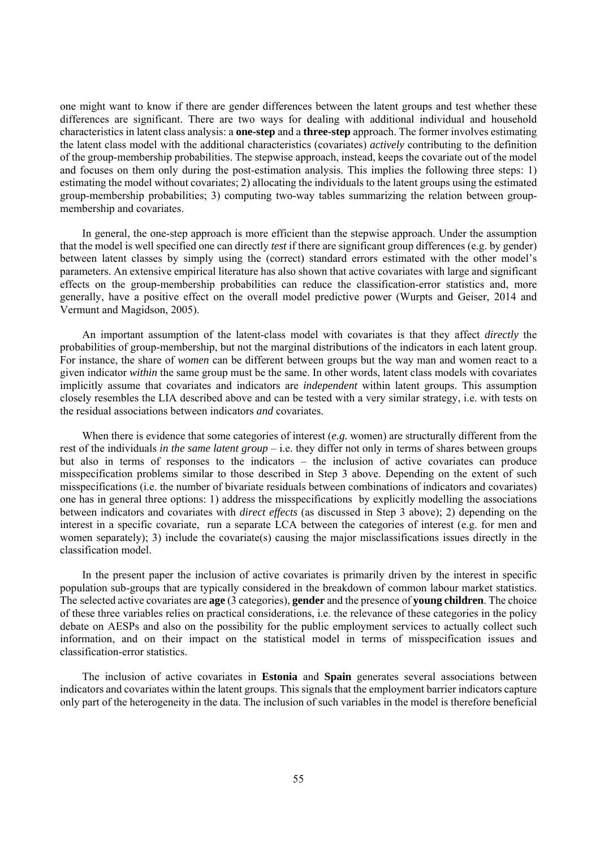one might want to know if there are gender differences between the latent groups and test whether these differences are significant. There are two ways for dealing with additional individual and household characteristics in latent class analysis: a **one-step** and a **three-step** approach. The former involves estimating the latent class model with the additional characteristics (covariates) *actively* contributing to the definition of the group-membership probabilities. The stepwise approach, instead, keeps the covariate out of the model and focuses on them only during the post-estimation analysis. This implies the following three steps: 1) estimating the model without covariates; 2) allocating the individuals to the latent groups using the estimated group-membership probabilities; 3) computing two-way tables summarizing the relation between groupmembership and covariates.

In general, the one-step approach is more efficient than the stepwise approach. Under the assumption that the model is well specified one can directly *test* if there are significant group differences (e.g. by gender) between latent classes by simply using the (correct) standard errors estimated with the other model's parameters. An extensive empirical literature has also shown that active covariates with large and significant effects on the group-membership probabilities can reduce the classification-error statistics and, more generally, have a positive effect on the overall model predictive power (Wurpts and Geiser, 2014 and Vermunt and Magidson, 2005).

An important assumption of the latent-class model with covariates is that they affect *directly* the probabilities of group-membership, but not the marginal distributions of the indicators in each latent group. For instance, the share of *women* can be different between groups but the way man and women react to a given indicator *within* the same group must be the same. In other words, latent class models with covariates implicitly assume that covariates and indicators are *independent* within latent groups. This assumption closely resembles the LIA described above and can be tested with a very similar strategy, i.e. with tests on the residual associations between indicators *and* covariates.

When there is evidence that some categories of interest (*e.g.* women) are structurally different from the rest of the individuals *in the same latent group* – i.e. they differ not only in terms of shares between groups but also in terms of responses to the indicators – the inclusion of active covariates can produce misspecification problems similar to those described in Step 3 above. Depending on the extent of such misspecifications (i.e. the number of bivariate residuals between combinations of indicators and covariates) one has in general three options: 1) address the misspecifications by explicitly modelling the associations between indicators and covariates with *direct effects* (as discussed in Step 3 above); 2) depending on the interest in a specific covariate, run a separate LCA between the categories of interest (e.g. for men and women separately); 3) include the covariate(s) causing the major misclassifications issues directly in the classification model.

In the present paper the inclusion of active covariates is primarily driven by the interest in specific population sub-groups that are typically considered in the breakdown of common labour market statistics. The selected active covariates are **age** (3 categories), **gender** and the presence of **young children**. The choice of these three variables relies on practical considerations, i.e. the relevance of these categories in the policy debate on AESPs and also on the possibility for the public employment services to actually collect such information, and on their impact on the statistical model in terms of misspecification issues and classification-error statistics.

The inclusion of active covariates in **Estonia** and **Spain** generates several associations between indicators and covariates within the latent groups. This signals that the employment barrier indicators capture only part of the heterogeneity in the data. The inclusion of such variables in the model is therefore beneficial